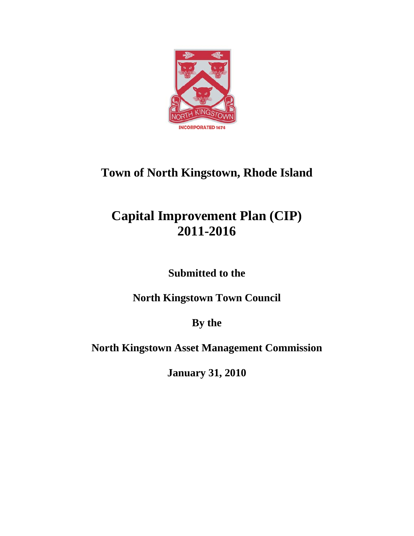

# **Town of North Kingstown, Rhode Island**

# **Capital Improvement Plan (CIP) 2011-2016**

**Submitted to the** 

**North Kingstown Town Council** 

**By the** 

**North Kingstown Asset Management Commission** 

**January 31, 2010**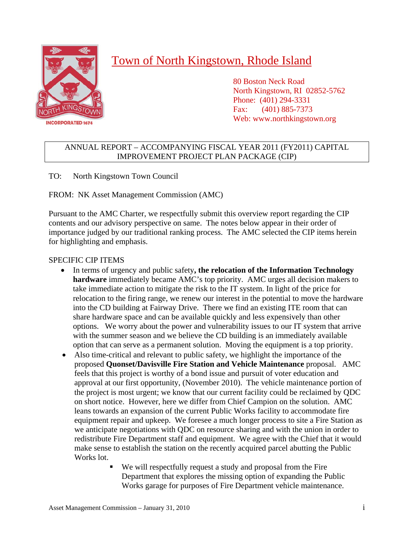

## Town of North Kingstown, Rhode Island

 80 Boston Neck Road North Kingstown, RI 02852-5762 Phone: (401) 294-3331 Fax: (401) 885-7373 Web: www.northkingstown.org

#### ANNUAL REPORT – ACCOMPANYING FISCAL YEAR 2011 (FY2011) CAPITAL IMPROVEMENT PROJECT PLAN PACKAGE (CIP)

TO: North Kingstown Town Council

FROM: NK Asset Management Commission (AMC)

Pursuant to the AMC Charter, we respectfully submit this overview report regarding the CIP contents and our advisory perspective on same. The notes below appear in their order of importance judged by our traditional ranking process. The AMC selected the CIP items herein for highlighting and emphasis.

#### SPECIFIC CIP ITEMS

- In terms of urgency and public safety**, the relocation of the Information Technology hardware** immediately became AMC's top priority. AMC urges all decision makers to take immediate action to mitigate the risk to the IT system. In light of the price for relocation to the firing range, we renew our interest in the potential to move the hardware into the CD building at Fairway Drive. There we find an existing ITE room that can share hardware space and can be available quickly and less expensively than other options. We worry about the power and vulnerability issues to our IT system that arrive with the summer season and we believe the CD building is an immediately available option that can serve as a permanent solution. Moving the equipment is a top priority.
- Also time-critical and relevant to public safety, we highlight the importance of the proposed **Quonset/Davisville Fire Station and Vehicle Maintenance** proposal. AMC feels that this project is worthy of a bond issue and pursuit of voter education and approval at our first opportunity, (November 2010). The vehicle maintenance portion of the project is most urgent; we know that our current facility could be reclaimed by QDC on short notice. However, here we differ from Chief Campion on the solution. AMC leans towards an expansion of the current Public Works facility to accommodate fire equipment repair and upkeep. We foresee a much longer process to site a Fire Station as we anticipate negotiations with QDC on resource sharing and with the union in order to redistribute Fire Department staff and equipment. We agree with the Chief that it would make sense to establish the station on the recently acquired parcel abutting the Public Works lot.
	- We will respectfully request a study and proposal from the Fire Department that explores the missing option of expanding the Public Works garage for purposes of Fire Department vehicle maintenance.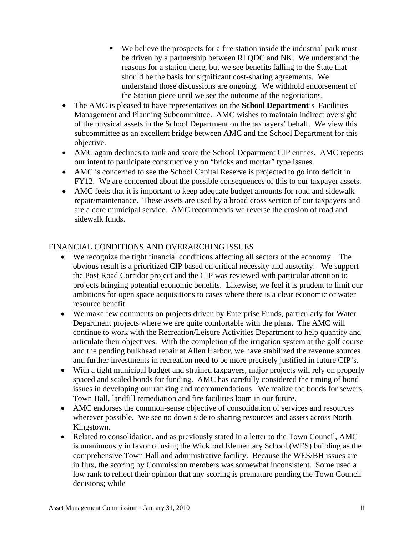- We believe the prospects for a fire station inside the industrial park must be driven by a partnership between RI QDC and NK. We understand the reasons for a station there, but we see benefits falling to the State that should be the basis for significant cost-sharing agreements. We understand those discussions are ongoing. We withhold endorsement of the Station piece until we see the outcome of the negotiations.
- The AMC is pleased to have representatives on the **School Department**'s Facilities Management and Planning Subcommittee. AMC wishes to maintain indirect oversight of the physical assets in the School Department on the taxpayers' behalf. We view this subcommittee as an excellent bridge between AMC and the School Department for this objective.
- AMC again declines to rank and score the School Department CIP entries. AMC repeats our intent to participate constructively on "bricks and mortar" type issues.
- AMC is concerned to see the School Capital Reserve is projected to go into deficit in FY12. We are concerned about the possible consequences of this to our taxpayer assets.
- AMC feels that it is important to keep adequate budget amounts for road and sidewalk repair/maintenance. These assets are used by a broad cross section of our taxpayers and are a core municipal service. AMC recommends we reverse the erosion of road and sidewalk funds.

#### FINANCIAL CONDITIONS AND OVERARCHING ISSUES

- We recognize the tight financial conditions affecting all sectors of the economy. The obvious result is a prioritized CIP based on critical necessity and austerity. We support the Post Road Corridor project and the CIP was reviewed with particular attention to projects bringing potential economic benefits. Likewise, we feel it is prudent to limit our ambitions for open space acquisitions to cases where there is a clear economic or water resource benefit.
- We make few comments on projects driven by Enterprise Funds, particularly for Water Department projects where we are quite comfortable with the plans. The AMC will continue to work with the Recreation/Leisure Activities Department to help quantify and articulate their objectives. With the completion of the irrigation system at the golf course and the pending bulkhead repair at Allen Harbor, we have stabilized the revenue sources and further investments in recreation need to be more precisely justified in future CIP's.
- With a tight municipal budget and strained taxpayers, major projects will rely on properly spaced and scaled bonds for funding. AMC has carefully considered the timing of bond issues in developing our ranking and recommendations. We realize the bonds for sewers, Town Hall, landfill remediation and fire facilities loom in our future.
- AMC endorses the common-sense objective of consolidation of services and resources wherever possible. We see no down side to sharing resources and assets across North Kingstown.
- Related to consolidation, and as previously stated in a letter to the Town Council, AMC is unanimously in favor of using the Wickford Elementary School (WES) building as the comprehensive Town Hall and administrative facility. Because the WES/BH issues are in flux, the scoring by Commission members was somewhat inconsistent. Some used a low rank to reflect their opinion that any scoring is premature pending the Town Council decisions; while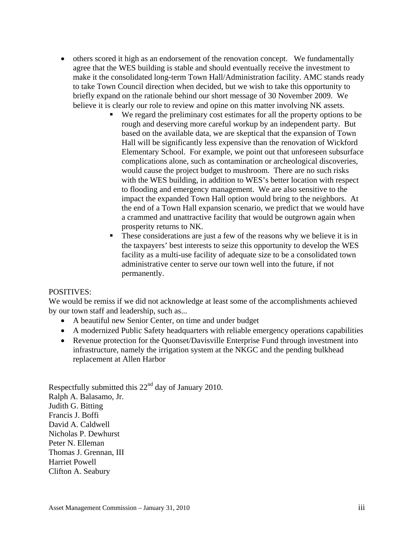- others scored it high as an endorsement of the renovation concept. We fundamentally agree that the WES building is stable and should eventually receive the investment to make it the consolidated long-term Town Hall/Administration facility. AMC stands ready to take Town Council direction when decided, but we wish to take this opportunity to briefly expand on the rationale behind our short message of 30 November 2009. We believe it is clearly our role to review and opine on this matter involving NK assets.
	- We regard the preliminary cost estimates for all the property options to be rough and deserving more careful workup by an independent party. But based on the available data, we are skeptical that the expansion of Town Hall will be significantly less expensive than the renovation of Wickford Elementary School. For example, we point out that unforeseen subsurface complications alone, such as contamination or archeological discoveries, would cause the project budget to mushroom. There are no such risks with the WES building, in addition to WES's better location with respect to flooding and emergency management. We are also sensitive to the impact the expanded Town Hall option would bring to the neighbors. At the end of a Town Hall expansion scenario, we predict that we would have a crammed and unattractive facility that would be outgrown again when prosperity returns to NK.
	- These considerations are just a few of the reasons why we believe it is in the taxpayers' best interests to seize this opportunity to develop the WES facility as a multi-use facility of adequate size to be a consolidated town administrative center to serve our town well into the future, if not permanently.

#### POSITIVES:

We would be remiss if we did not acknowledge at least some of the accomplishments achieved by our town staff and leadership, such as...

- A beautiful new Senior Center, on time and under budget
- A modernized Public Safety headquarters with reliable emergency operations capabilities
- Revenue protection for the Quonset/Davisville Enterprise Fund through investment into infrastructure, namely the irrigation system at the NKGC and the pending bulkhead replacement at Allen Harbor

Respectfully submitted this  $22<sup>nd</sup>$  day of January 2010. Ralph A. Balasamo, Jr. Judith G. Bitting Francis J. Boffi David A. Caldwell Nicholas P. Dewhurst Peter N. Elleman Thomas J. Grennan, III Harriet Powell Clifton A. Seabury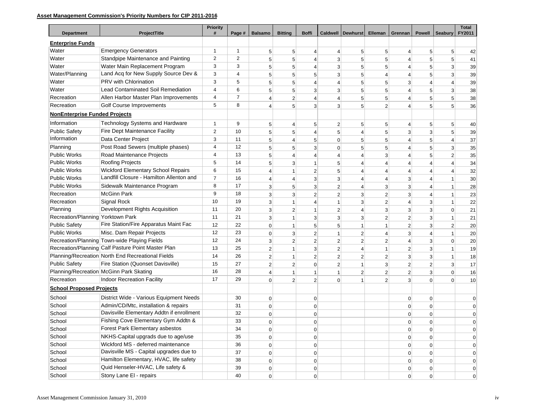#### **Asset Management Commission's Priority Numbers for CIP 2011-2016**

| <b>Department</b>                    | ProjectTitle                                       | <b>Priority</b><br># | Page #         | <b>Balsamo</b>  | <b>Bitting</b> | <b>Boffi</b>   |                | <b>Caldwell   Dewhurst</b> | Elleman        | Grennan        | <b>Powell</b>  | <b>Seabury</b>  | <b>Total</b><br>FY2011 |
|--------------------------------------|----------------------------------------------------|----------------------|----------------|-----------------|----------------|----------------|----------------|----------------------------|----------------|----------------|----------------|-----------------|------------------------|
| <b>Enterprise Funds</b>              |                                                    |                      |                |                 |                |                |                |                            |                |                |                |                 |                        |
| Water                                | <b>Emergency Generators</b>                        | 1                    | 1              | $5\overline{)}$ | $\sqrt{5}$     | $\overline{4}$ | 4              | $5\overline{)}$            | 5              | 4              | 5              | $5\overline{)}$ | 42                     |
| Water                                | Standpipe Maintenance and Painting                 | $\overline{2}$       | 2              | 5               | 5              | $\overline{4}$ | 3              | 5                          | 5 <sup>5</sup> | 4              | 5              | 5 <sup>1</sup>  | 41                     |
| Water                                | Water Main Replacement Program                     | 3                    | 3              | 5               | 5              | $\overline{4}$ | 3              | 5                          | 5              | 4              | 5              | 3               | 39                     |
| Water/Planning                       | Land Acq for New Supply Source Dev &               | 3                    | 4              | 5               | 5              | 5 <sup>5</sup> | 3              | 5                          | 4              | 4              | 5              | 3               | 39                     |
| Water                                | PRV with Chlorination                              | 3                    | 5              | 5               | 5              | 4              | 4              | 5                          | 5              | 3              | $\overline{4}$ | 4               | 39                     |
| Water                                | <b>Lead Contaminated Soil Remediation</b>          | 4                    | 6              | 5               | 5              | 3              | 3              | 5                          | 5              | 4              | 5              | 3               | 38                     |
| Recreation                           | Allen Harbor Master Plan Improvements              | $\overline{4}$       | $\overline{7}$ | $\overline{4}$  | $\overline{2}$ | $\overline{4}$ | 4              | 5                          | 5              | 4              | 5              | 5               | 38                     |
| Recreation                           | Golf Course Improvements                           | 5                    | 8              | $\overline{4}$  | 5              | $\overline{3}$ | 3              | 5                          | $\overline{2}$ | 4              | 5              | 5               | 36                     |
| <b>NonEnterprise Funded Projects</b> |                                                    |                      |                |                 |                |                |                |                            |                |                |                |                 |                        |
| Information                          | Technology Systems and Hardware                    | 1                    | 9              | $5\overline{)}$ | $\overline{4}$ | 5 <sup>5</sup> | 2              | 5                          | 5              | 4              | 5              | 5               | 40                     |
| <b>Public Safety</b>                 | Fire Dept Maintenance Facility                     | 2                    | 10             | 5               | 5              | 4              | 5              | $\overline{4}$             | 5              | 3              | 3              | 5               | 39                     |
| Information                          | Data Center Project                                | 3                    | 11             | 5               | $\overline{4}$ | 5 <sup>5</sup> | $\overline{0}$ | 5                          | 5              | 4              | 5              | 4               | 37                     |
| Planning                             | Post Road Sewers (multiple phases)                 | $\overline{4}$       | 12             | 5               | 5              | 3              | 0              | 5                          | 5              | 4              | 5              | 3               | 35                     |
| <b>Public Works</b>                  | Road Maintenance Projects                          | 4                    | 13             | 5               | $\overline{4}$ | 4              | 4              | $\overline{4}$             | 3              | 4              | 5              | $\overline{2}$  | 35                     |
| <b>Public Works</b>                  | Roofing Projects                                   | 5                    | 14             | 5               | 3              | $\mathbf{1}$   | 5              | $\overline{4}$             | 4              | 4              | $\overline{4}$ | 4               | 34                     |
| <b>Public Works</b>                  | <b>Wickford Elementary School Repairs</b>          | 6                    | 15             | $\overline{4}$  | -1             | $\mathbf{2}$   | 5              | $\overline{4}$             | 4              | 4              | 4              | 4               | 32                     |
| <b>Public Works</b>                  | Landfill Closure - Hamilton Allenton and           | $\overline{7}$       | 16             | $\overline{4}$  | $\overline{4}$ | $\overline{3}$ | 3              | $\overline{4}$             | 4              | 3              | $\overline{4}$ | 1               | 30                     |
| <b>Public Works</b>                  | Sidewalk Maintenance Program                       | 8                    | 17             | 3               | 5              | $\overline{3}$ | $\overline{2}$ | $\overline{4}$             | 3              | 3              | $\overline{4}$ | 1               | 28                     |
| Recreation                           | <b>McGinn Park</b>                                 | 9                    | 18             | $\overline{3}$  | 3              | $\overline{2}$ | $\overline{2}$ | 3                          | $\overline{2}$ | 3              | $\overline{4}$ | 1               | 23                     |
| Recreation                           | <b>Signal Rock</b>                                 | 10                   | 19             | $\overline{3}$  | $\overline{1}$ | $\overline{4}$ | $\mathbf{1}$   | 3                          | $\overline{2}$ | 4              | 3              | $\mathbf{1}$    | 22                     |
| Planning                             | Development Rights Acquisition                     | 11                   | 20             | $\mathbf{3}$    | $\overline{2}$ | $\mathbf{1}$   | 2              | $\overline{4}$             | 3              | 3              | 3              | $\mathbf 0$     | 21                     |
| Recreation/Planning Yorktown Park    |                                                    | 11                   | 21             | 3               | $\mathbf{1}$   | 3              | $\overline{3}$ | 3                          | $\overline{2}$ | $\overline{2}$ | 3              | 1               | 21                     |
| <b>Public Safety</b>                 | Fire Station/Fire Apparatus Maint Fac              | 12                   | 22             | $\mathbf 0$     | $\overline{1}$ | 5 <sup>1</sup> | 5              | $\mathbf{1}$               |                | 2              | 3              | $\overline{2}$  | 20                     |
| <b>Public Works</b>                  | Misc. Dam Repair Projects                          | 12                   | 23             | $\mathbf 0$     | 3              | $\overline{2}$ | $\mathbf{1}$   | $\boldsymbol{2}$           | 4              | 3              | $\overline{4}$ | 1               | 20                     |
|                                      | Recreation/Planning Town-wide Playing Fields       | 12                   | 24             | 3               | $\overline{2}$ | $\mathbf{2}$   | 2              | $\overline{2}$             | $\overline{2}$ | 4              | 3              | $\mathbf 0$     | 20                     |
|                                      | Recreation/Planning Calf Pasture Point Master Plan | 13                   | 25             | $\mathbf{2}$    | $\overline{1}$ | 3              | 2              | $\overline{4}$             | 1              | 2              | 3              | 1               | 19                     |
|                                      | Planning/Recreation North End Recreational Fields  | 14                   | 26             | $\overline{2}$  | $\mathbf{1}$   | $\overline{c}$ | 2              | $\overline{2}$             | $\overline{2}$ | 3              | 3              | 1               | 18                     |
| <b>Public Safety</b>                 | Fire Station (Quonset Davisville)                  | 15                   | 27             | $\overline{2}$  | $\overline{2}$ | $\overline{0}$ | 2              | $\mathbf{1}$               | 3              | $\overline{2}$ | $\overline{2}$ | 3               | 17                     |
|                                      | Planning/Recreation McGinn Park Skating            | 16                   | 28             | $\overline{4}$  | -1             | $\mathbf{1}$   | $\mathbf{1}$   | $\overline{2}$             | 2              | 2              | 3              | $\mathbf 0$     | 16                     |
| Recreation                           | Indoor Recreation Facility                         | 17                   | 29             | $\Omega$        | $\overline{2}$ | $\overline{2}$ | $\Omega$       | $\overline{1}$             | 2              | 3              | $\Omega$       | $\Omega$        | 10                     |
| <b>School Proposed Projects</b>      |                                                    |                      |                |                 |                |                |                |                            |                |                |                |                 |                        |
| School                               | District Wide - Various Equipment Needs            |                      | 30             | $\overline{0}$  |                | $\overline{0}$ |                |                            |                | $\mathbf 0$    | $\pmb{0}$      |                 | $\Omega$               |
| School                               | Admin/CD/Mtc, installation & repairs               |                      | 31             | $\mathbf 0$     |                | $\overline{0}$ |                |                            |                | 0              | $\mathbf 0$    |                 | $\Omega$               |
| School                               | Davisville Elementary Addtn if enrollment          |                      | 32             | 0               |                | $\overline{0}$ |                |                            |                | 0              | $\mathbf 0$    |                 | $\mathbf 0$            |
| School                               | Fishing Cove Elementary Gym Addtn &                |                      | 33             | $\mathbf 0$     |                | $\overline{0}$ |                |                            |                | $\Omega$       | 0              |                 | $\mathbf 0$            |
| School                               | Forest Park Elementary asbestos                    |                      | 34             | 0               |                | 0              |                |                            |                | $\overline{0}$ | 0              |                 | $\overline{0}$         |
| School                               | NKHS-Capital upgrads due to age/use                |                      | 35             | $\overline{0}$  |                | $\overline{0}$ |                |                            |                | $\overline{0}$ | $\mathbf 0$    |                 | 0                      |
| School                               | Wickford MS - deferred maintenance                 |                      | 36             | $\overline{0}$  |                | $\overline{0}$ |                |                            |                | $\overline{0}$ | $\mathbf 0$    |                 | $\mathbf 0$            |
| School                               | Davisville MS - Capital upgrades due to            |                      | 37             | $\overline{0}$  |                | 0              |                |                            |                | $\overline{0}$ | $\mathbf 0$    |                 | $\mathbf 0$            |
| School                               | Hamilton Elementary, HVAC, life safety             |                      | 38             | $\overline{0}$  |                | $\overline{0}$ |                |                            |                | $\overline{0}$ | $\pmb{0}$      |                 | 0                      |
| School                               | Quid Henseler-HVAC, Life safety &                  |                      | 39             | $\overline{0}$  |                | 0              |                |                            |                | $\overline{0}$ | $\pmb{0}$      |                 | $\overline{0}$         |
| School                               | Stony Lane El - repairs                            |                      | 40             | $\Omega$        |                | $\overline{0}$ |                |                            |                | $\Omega$       | $\mathbf 0$    |                 | $\overline{0}$         |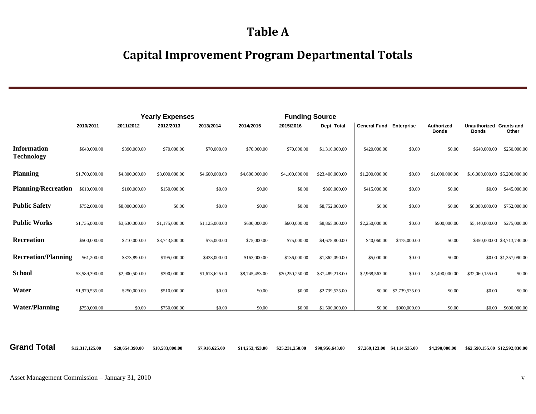## **Table A**

## **Capital Improvement Program Departmental Totals**

|                                         |                |                | <b>Yearly Expenses</b> |                |                | <b>Funding Source</b> |                 |                     |                   |                            |                                         |                                |
|-----------------------------------------|----------------|----------------|------------------------|----------------|----------------|-----------------------|-----------------|---------------------|-------------------|----------------------------|-----------------------------------------|--------------------------------|
|                                         | 2010/2011      | 2011/2012      | 2012/2013              | 2013/2014      | 2014/2015      | 2015/2016             | Dept. Total     | <b>General Fund</b> | <b>Enterprise</b> | Authorized<br><b>Bonds</b> | Unauthorized Grants and<br><b>Bonds</b> | Other                          |
| <b>Information</b><br><b>Technology</b> | \$640,000.00   | \$390,000.00   | \$70,000.00            | \$70,000.00    | \$70,000.00    | \$70,000.00           | \$1,310,000.00  | \$420,000.00        | \$0.00            | \$0.00                     | \$640,000.00                            | \$250,000.00                   |
| <b>Planning</b>                         | \$1,700,000.00 | \$4,800,000.00 | \$3,600,000.00         | \$4,600,000.00 | \$4,600,000.00 | \$4,100,000.00        | \$23,400,000.00 | \$1,200,000.00      | \$0.00            | \$1,000,000.00             |                                         | \$16,000,000.00 \$5,200,000.00 |
| <b>Planning/Recreation</b>              | \$610,000.00   | \$100,000.00   | \$150,000.00           | \$0.00         | \$0.00         | \$0.00                | \$860,000.00    | \$415,000.00        | \$0.00            | \$0.00                     | \$0.00                                  | \$445,000.00                   |
| <b>Public Safety</b>                    | \$752,000.00   | \$8,000,000.00 | \$0.00                 | \$0.00         | \$0.00         | \$0.00                | \$8,752,000.00  | \$0.00              | \$0.00            | \$0.00                     | \$8,000,000.00                          | \$752,000.00                   |
| <b>Public Works</b>                     | \$1,735,000.00 | \$3,630,000.00 | \$1,175,000.00         | \$1,125,000.00 | \$600,000.00   | \$600,000.00          | \$8,865,000.00  | \$2,250,000.00      | \$0.00            | \$900,000.00               | \$5,440,000.00                          | \$275,000.00                   |
| Recreation                              | \$500,000.00   | \$210,000.00   | \$3,743,800.00         | \$75,000.00    | \$75,000.00    | \$75,000.00           | \$4,678,800.00  | \$40,060.00         | \$475,000.00      | \$0.00                     |                                         | \$450,000.00 \$3,713,740.00    |
| <b>Recreation/Planning</b>              | \$61,200.00    | \$373,890.00   | \$195,000.00           | \$433,000.00   | \$163,000.00   | \$136,000.00          | \$1,362,090.00  | \$5,000.00          | \$0.00            | \$0.00                     |                                         | \$0.00 \$1,357,090.00          |
| <b>School</b>                           | \$3,589,390.00 | \$2,900,500.00 | \$390,000.00           | \$1,613,625.00 | \$8,745,453.00 | \$20,250,250.00       | \$37,489,218.00 | \$2,968,563.00      | \$0.00            | \$2,490,000.00             | \$32,060,155.00                         | \$0.00                         |
| Water                                   | \$1,979,535.00 | \$250,000.00   | \$510,000.00           | \$0.00         | \$0.00         | \$0.00                | \$2,739,535.00  | \$0.00              | \$2,739,535.00    | \$0.00                     | \$0.00                                  | \$0.00                         |
| <b>Water/Planning</b>                   | \$750,000.00   | \$0.00         | \$750,000.00           | \$0.00         | \$0.00         | \$0.00                | \$1,500,000.00  | \$0.00              | \$900,000.00      | \$0.00                     | \$0.00                                  | \$600,000.00                   |

Grand Total \$12,317,125.00 \$20,654,390.00 \$10,583,800.00 \$7,916,625.00 \$14,253,453.00 \$25,231,250.00 \$90,956,643.00 \$7,269,123.00 \$4,114,535.00 \$4,390,000.00 \$62,590,155.00 \$12,592,830.00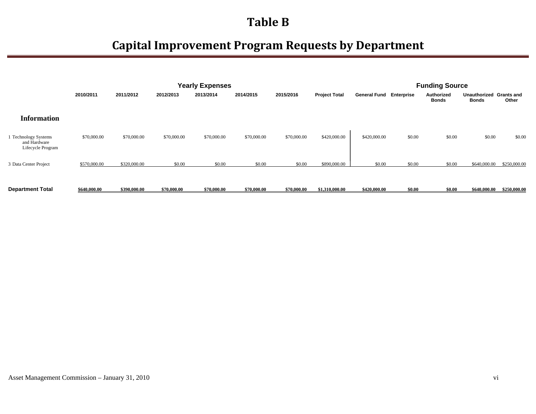|                                                           |              |              |             | <b>Yearly Expenses</b> |             |             |                      |                                |        | <b>Funding Source</b>      |                              |                     |
|-----------------------------------------------------------|--------------|--------------|-------------|------------------------|-------------|-------------|----------------------|--------------------------------|--------|----------------------------|------------------------------|---------------------|
|                                                           | 2010/2011    | 2011/2012    | 2012/2013   | 2013/2014              | 2014/2015   | 2015/2016   | <b>Project Total</b> | <b>General Fund Enterprise</b> |        | Authorized<br><b>Bonds</b> | <b>Unauthorized</b><br>Bonds | Grants and<br>Other |
| <b>Information</b>                                        |              |              |             |                        |             |             |                      |                                |        |                            |                              |                     |
| 1 Technology Systems<br>and Hardware<br>Lifecycle Program | \$70,000.00  | \$70,000.00  | \$70,000.00 | \$70,000.00            | \$70,000.00 | \$70,000.00 | \$420,000.00         | \$420,000.00                   | \$0.00 | \$0.00                     | \$0.00                       | \$0.00              |
| 3 Data Center Project                                     | \$570,000.00 | \$320,000.00 | \$0.00      | \$0.00                 | \$0.00      | \$0.00      | \$890,000.00         | \$0.00                         | \$0.00 | \$0.00                     | \$640,000.00                 | \$250,000.00        |
| <b>Department Total</b>                                   | \$640,000.00 | \$390,000.00 | \$70,000.00 | \$70,000.00            | \$70,000.00 | \$70,000.00 | \$1,310,000.00       | \$420,000.00                   | \$0.00 | \$0.00                     | \$640,000.00                 | \$250,000.00        |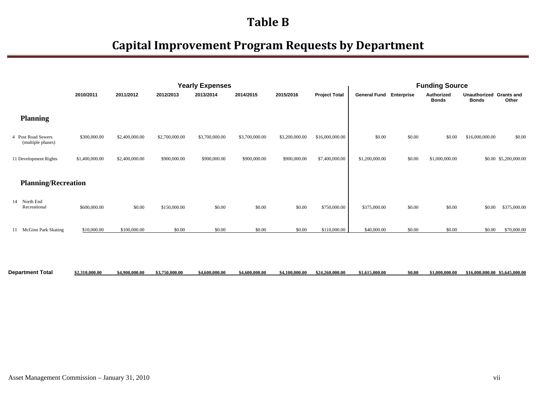|                                         |                |                |                | <b>Yearly Expenses</b> |                |                |                      |                                |        | <b>Funding Source</b>      |                                         |                       |
|-----------------------------------------|----------------|----------------|----------------|------------------------|----------------|----------------|----------------------|--------------------------------|--------|----------------------------|-----------------------------------------|-----------------------|
|                                         | 2010/2011      | 2011/2012      | 2012/2013      | 2013/2014              | 2014/2015      | 2015/2016      | <b>Project Total</b> | <b>General Fund Enterprise</b> |        | Authorized<br><b>Bonds</b> | Unauthorized Grants and<br><b>Bonds</b> | Other                 |
| <b>Planning</b>                         |                |                |                |                        |                |                |                      |                                |        |                            |                                         |                       |
| 4 Post Road Sewers<br>(multiple phases) | \$300,000.00   | \$2,400,000.00 | \$2,700,000.00 | \$3,700,000.00         | \$3,700,000.00 | \$3,200,000.00 | \$16,000,000.00      | \$0.00                         | \$0.00 | \$0.00                     | \$16,000,000.00                         | \$0.00                |
| 11 Development Rights                   | \$1,400,000.00 | \$2,400,000.00 | \$900,000.00   | \$900,000.00           | \$900,000.00   | \$900,000.00   | \$7,400,000.00       | \$1,200,000.00                 | \$0.00 | \$1,000,000.00             |                                         | \$0.00 \$5,200,000.00 |
| <b>Planning/Recreation</b>              |                |                |                |                        |                |                |                      |                                |        |                            |                                         |                       |
| 14 North End<br>Recreational            | \$600,000.00   | \$0.00         | \$150,000.00   | \$0.00                 | \$0.00         | \$0.00         | \$750,000.00         | \$375,000.00                   | \$0.00 | \$0.00                     | \$0.00                                  | \$375,000.00          |
| 11 McGinn Park Skating                  | \$10,000.00    | \$100,000.00   | \$0.00         | \$0.00                 | \$0.00         | \$0.00         | \$110,000.00         | \$40,000.00                    | \$0.00 | \$0.00                     | \$0.00                                  | \$70,000.00           |
|                                         |                |                |                |                        |                |                |                      |                                |        |                            |                                         |                       |

| <b>Department Total</b> | \$2,310,000.00 | \$4,900,000.00 | \$3,750,000.00 | \$4,600,000.00 | \$4,600,000.00 | $$4,100,000.00$ $$24,260,000.00$ | \$1,615,000.00 | \$0.00 | \$1,000,000.00 | \$16,000,000,00 \$5,645,000,00 |
|-------------------------|----------------|----------------|----------------|----------------|----------------|----------------------------------|----------------|--------|----------------|--------------------------------|
|                         |                |                |                |                |                |                                  |                |        |                |                                |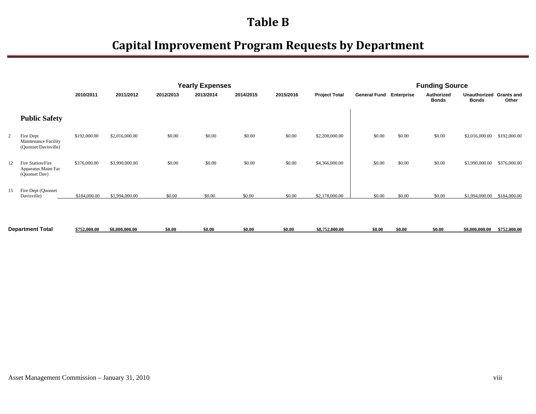|    |                                                           |              |                |           | <b>Yearly Expenses</b> |           |                      |                                |        | <b>Funding Source</b>      |                                         |                |              |
|----|-----------------------------------------------------------|--------------|----------------|-----------|------------------------|-----------|----------------------|--------------------------------|--------|----------------------------|-----------------------------------------|----------------|--------------|
|    |                                                           | 2010/2011    | 2011/2012      | 2012/2013 | 2013/2014              | 2015/2016 | <b>Project Total</b> | <b>General Fund Enterprise</b> |        | Authorized<br><b>Bonds</b> | Unauthorized Grants and<br><b>Bonds</b> | Other          |              |
|    | <b>Public Safety</b>                                      |              |                |           |                        |           |                      |                                |        |                            |                                         |                |              |
|    | Fire Dept<br>Maintenance Facility<br>(Quonset/Davisville) | \$192,000.00 | \$2,016,000.00 | \$0.00    | \$0.00                 | \$0.00    | \$0.00               | \$2,208,000.00                 | \$0.00 | \$0.00                     | \$0.00                                  | \$2,016,000.00 | \$192,000.00 |
| 12 | Fire Station/Fire<br>Apparatus Maint Fac<br>(Quonset Dav) | \$376,000.00 | \$3,990,000.00 | \$0.00    | \$0.00                 | \$0.00    | \$0.00               | \$4,366,000.00                 | \$0.00 | \$0.00                     | \$0.00                                  | \$3,990,000.00 | \$376,000.00 |
| 15 | Fire Dept (Quonset<br>Davisville)                         | \$184,000.00 | \$1,994,000.00 | \$0.00    | \$0.00                 | \$0.00    | \$0.00               | \$2,178,000.00                 | \$0.00 | \$0.00                     | \$0.00                                  | \$1,994,000.00 | \$184,000.00 |

| <b>Department Total</b> | \$752,000.00<br>، به | \$8,000,000.00 | \$0.00 | \$0.00 | \$0.00 | \$8,752,000.00 | \$0.00 | \$0.00 | \$0.00 | 88.000.000.00 | --- -<br>62.000.00<br>. |
|-------------------------|----------------------|----------------|--------|--------|--------|----------------|--------|--------|--------|---------------|-------------------------|
|                         |                      |                |        |        |        |                |        |        |        |               |                         |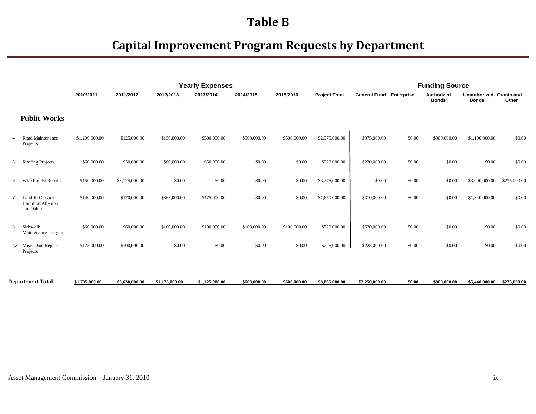|   |                                                               |                |                |                | <b>Yearly Expenses</b> |              |              |                      |                                |        | <b>Funding Source</b>             |                                         |              |
|---|---------------------------------------------------------------|----------------|----------------|----------------|------------------------|--------------|--------------|----------------------|--------------------------------|--------|-----------------------------------|-----------------------------------------|--------------|
|   |                                                               | 2010/2011      | 2011/2012      | 2012/2013      | 2013/2014              | 2014/2015    | 2015/2016    | <b>Project Total</b> | <b>General Fund Enterprise</b> |        | <b>Authorized</b><br><b>Bonds</b> | Unauthorized Grants and<br><b>Bonds</b> | Other        |
|   | <b>Public Works</b>                                           |                |                |                |                        |              |              |                      |                                |        |                                   |                                         |              |
|   | Road Maintenance<br>Projects                                  | \$1,200,000.00 | \$125,000.00   | \$150,000.00   | \$500,000.00           | \$500,000.00 | \$500,000.00 | \$2,975,000.00       | \$975,000.00                   | \$0.00 | \$900,000.00                      | \$1,100,000.00                          | \$0.00       |
| 5 | Roofing Projects                                              | \$60,000.00    | \$50,000.00    | \$60,000.00    | \$50,000.00            | \$0.00       | \$0.00       | \$220,000.00         | \$220,000.00                   | \$0.00 | \$0.00                            | \$0.00                                  | \$0.00       |
| 6 | Wickford El Repairs                                           | \$150,000.00   | \$3,125,000.00 | \$0.00         | \$0.00                 | \$0.00       | \$0.00       | \$3,275,000.00       | \$0.00                         | \$0.00 | \$0.00                            | \$3,000,000.00                          | \$275,000.00 |
|   | Landfill Closure -<br><b>Hamilton Allenton</b><br>and Oakhill | \$140,000.00   | \$170,000.00   | \$865,000.00   | \$475,000.00           | \$0.00       | \$0.00       | \$1,650,000.00       | \$310,000.00                   | \$0.00 | \$0.00                            | \$1,340,000.00                          | \$0.00       |
| 8 | Sidewalk<br>Maintenance Program                               | \$60,000.00    | \$60,000.00    | \$100,000.00   | \$100,000.00           | \$100,000.00 | \$100,000.00 | \$520,000.00         | \$520,000.00                   | \$0.00 | \$0.00                            | \$0.00                                  | \$0.00       |
|   | 12 Misc. Dam Repair<br>Projects                               | \$125,000.00   | \$100,000.00   | \$0.00         | \$0.00                 | \$0.00       | \$0.00       | \$225,000.00         | \$225,000.00                   | \$0.00 | \$0.00                            | \$0.00                                  | \$0.00       |
|   | <b>Department Total</b>                                       | \$1,735,000,00 | \$3,630,000,00 | \$1,175,000,00 | \$1,125,000.00         | \$600,000.00 | \$600,000,00 | \$8,865,000.00       | \$2,250,000,00                 | \$0.00 | \$900,000,00                      | \$5,440,000,00 \$275,000,00             |              |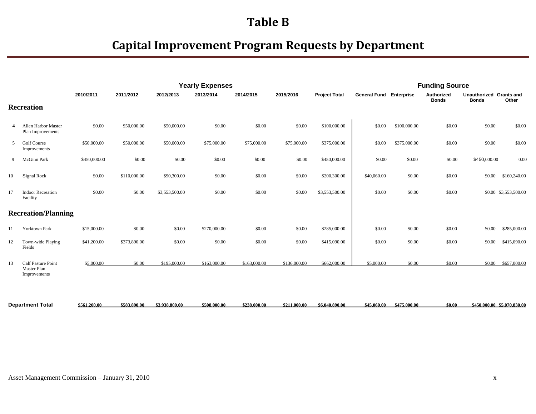|    |                                                          |              |              |                | <b>Yearly Expenses</b> |              |              |                      |                                |              | <b>Funding Source</b>      |                                         |                       |
|----|----------------------------------------------------------|--------------|--------------|----------------|------------------------|--------------|--------------|----------------------|--------------------------------|--------------|----------------------------|-----------------------------------------|-----------------------|
|    |                                                          | 2010/2011    | 2011/2012    | 2012/2013      | 2013/2014              | 2014/2015    | 2015/2016    | <b>Project Total</b> | <b>General Fund Enterprise</b> |              | Authorized<br><b>Bonds</b> | Unauthorized Grants and<br><b>Bonds</b> | Other                 |
|    | <b>Recreation</b>                                        |              |              |                |                        |              |              |                      |                                |              |                            |                                         |                       |
| 4  | <b>Allen Harbor Master</b><br>Plan Improvements          | \$0.00       | \$50,000.00  | \$50,000.00    | \$0.00                 | \$0.00       | \$0.00       | \$100,000.00         | \$0.00                         | \$100,000.00 | \$0.00                     | \$0.00                                  | \$0.00                |
| 5  | <b>Golf Course</b><br>Improvements                       | \$50,000.00  | \$50,000.00  | \$50,000.00    | \$75,000.00            | \$75,000.00  | \$75,000.00  | \$375,000.00         | \$0.00                         | \$375,000.00 | \$0.00                     | \$0.00                                  | \$0.00                |
| 9  | McGinn Park                                              | \$450,000.00 | \$0.00       | \$0.00         | \$0.00                 | \$0.00       | \$0.00       | \$450,000.00         | \$0.00                         | \$0.00       | \$0.00                     | \$450,000.00                            | 0.00                  |
| 10 | Signal Rock                                              | \$0.00       | \$110,000.00 | \$90,300.00    | \$0.00                 | \$0.00       | \$0.00       | \$200,300.00         | \$40,060.00                    | \$0.00       | \$0.00                     | \$0.00                                  | \$160,240.00          |
| 17 | <b>Indoor Recreation</b><br>Facility                     | \$0.00       | \$0.00       | \$3,553,500.00 | \$0.00                 | \$0.00       | \$0.00       | \$3,553,500.00       | \$0.00                         | \$0.00       | \$0.00                     |                                         | \$0.00 \$3,553,500.00 |
|    | <b>Recreation/Planning</b>                               |              |              |                |                        |              |              |                      |                                |              |                            |                                         |                       |
| 11 | <b>Yorktown Park</b>                                     | \$15,000.00  | \$0.00       | \$0.00         | \$270,000.00           | \$0.00       | \$0.00       | \$285,000.00         | \$0.00                         | \$0.00       | \$0.00                     | \$0.00                                  | \$285,000.00          |
| 12 | Town-wide Playing<br>Fields                              | \$41,200.00  | \$373,890.00 | \$0.00         | \$0.00                 | \$0.00       | \$0.00       | \$415,090.00         | \$0.00                         | \$0.00       | \$0.00                     | \$0.00                                  | \$415,090.00          |
| 13 | <b>Calf Pasture Point</b><br>Master Plan<br>Improvements | \$5,000.00   | \$0.00       | \$195,000.00   | \$163,000.00           | \$163,000.00 | \$136,000.00 | \$662,000.00         | \$5,000.00                     | \$0.00       | \$0.00                     | \$0.00                                  | \$657,000.00          |
|    |                                                          |              |              |                |                        |              |              |                      |                                |              |                            |                                         |                       |

| Department<br>Total | .1.200.00<br>. | \$583.890.00 | \$3.938.800.00 | \$508,000,00 | $AA^T$<br>238.000.00 | <b>1711</b><br>$0.000$ .00 $^{\circ}$ | 6.040.890.00 | \$45,060.0 | \$475,000.00 | \$0.00 | A5C<br>,000.00 | \$5.070.830.00 |
|---------------------|----------------|--------------|----------------|--------------|----------------------|---------------------------------------|--------------|------------|--------------|--------|----------------|----------------|
|                     |                |              |                |              |                      |                                       |              |            |              |        |                |                |
|                     |                |              |                |              |                      |                                       |              |            |              |        |                |                |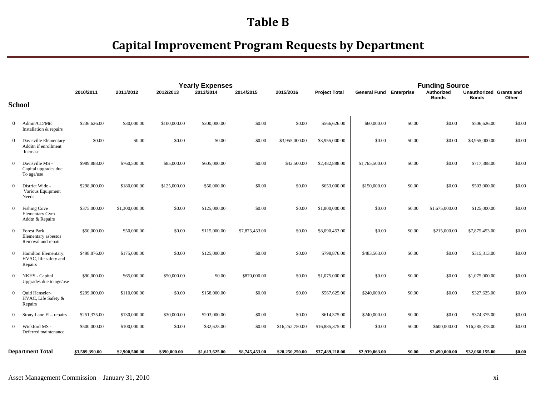|                |                                                                 |                |                |              | <b>Yearly Expenses</b> |                |                 |                      |                                |        | <b>Funding Source</b>      |                                         |        |
|----------------|-----------------------------------------------------------------|----------------|----------------|--------------|------------------------|----------------|-----------------|----------------------|--------------------------------|--------|----------------------------|-----------------------------------------|--------|
|                |                                                                 | 2010/2011      | 2011/2012      | 2012/2013    | 2013/2014              | 2014/2015      | 2015/2016       | <b>Project Total</b> | <b>General Fund Enterprise</b> |        | Authorized<br><b>Bonds</b> | Unauthorized Grants and<br><b>Bonds</b> | Other  |
|                | <b>School</b>                                                   |                |                |              |                        |                |                 |                      |                                |        |                            |                                         |        |
| 0              | Admin/CD/Mtc<br>Installation & repairs                          | \$236,626.00   | \$30,000.00    | \$100,000.00 | \$200,000.00           | \$0.00         | \$0.00          | \$566,626.00         | \$60,000.00                    | \$0.00 | \$0.00                     | \$506,626.00                            | \$0.00 |
| $\Omega$       | Davisville Elementary<br>Additn if enrollment<br>Increase       | \$0.00         | \$0.00         | \$0.00       | \$0.00                 | \$0.00         | \$3,955,000.00  | \$3,955,000.00       | \$0.00                         | \$0.00 | \$0.00                     | \$3,955,000.00                          | \$0.00 |
| $\Omega$       | Davisville MS -<br>Capital upgrades due<br>To age/use           | \$989,888.00   | \$760,500.00   | \$85,000.00  | \$605,000.00           | \$0.00         | \$42,500.00     | \$2,482,888.00       | \$1,765,500.00                 | \$0.00 | \$0.00                     | \$717,388.00                            | \$0.00 |
| $\Omega$       | District Wide -<br>Various Equipment<br>Needs                   | \$298,000.00   | \$180,000.00   | \$125,000.00 | \$50,000.00            | \$0.00         | \$0.00          | \$653,000.00         | \$150,000.00                   | \$0.00 | \$0.00                     | \$503,000.00                            | \$0.00 |
| $\Omega$       | <b>Fishing Cove</b><br><b>Elementary Gym</b><br>Addtn & Repairs | \$375,000.00   | \$1,300,000.00 | \$0.00       | \$125,000.00           | \$0.00         | \$0.00          | \$1,800,000.00       | \$0.00                         | \$0.00 | \$1,675,000.00             | \$125,000.00                            | \$0.00 |
| $\Omega$       | <b>Forest Park</b><br>Elementary asbestos<br>Removal and repair | \$50,000.00    | \$50,000.00    | \$0.00       | \$115,000.00           | \$7,875,453.00 | \$0.00          | \$8,090,453.00       | \$0.00                         | \$0.00 | \$215,000.00               | \$7,875,453.00                          | \$0.00 |
| $\Omega$       | Hamilton Elementary,<br>HVAC, life safety and<br>Repairs        | \$498,876.00   | \$175,000.00   | \$0.00       | \$125,000.00           | \$0.00         | \$0.00          | \$798,876.00         | \$483,563.00                   | \$0.00 | \$0.00                     | \$315,313.00                            | \$0.00 |
| $\Omega$       | NKHS - Capital<br>Upgrades due to age/use                       | \$90,000.00    | \$65,000.00    | \$50,000.00  | \$0.00                 | \$870,000.00   | \$0.00          | \$1,075,000.00       | \$0.00                         | \$0.00 | \$0.00                     | \$1,075,000.00                          | \$0.00 |
| $\Omega$       | <b>Ouid Henseler-</b><br>HVAC, Life Safety &<br>Repairs         | \$299,000.00   | \$110,000.00   | \$0.00       | \$158,000.00           | \$0.00         | \$0.00          | \$567,625.00         | \$240,000.00                   | \$0.00 | \$0.00                     | \$327,625.00                            | \$0.00 |
| $\overline{0}$ | Stony Lane EL- repairs                                          | \$251,375.00   | \$130,000.00   | \$30,000.00  | \$203,000.00           | \$0.00         | \$0.00          | \$614,375.00         | \$240,000.00                   | \$0.00 | \$0.00                     | \$374,375.00                            | \$0.00 |
| $\overline{0}$ | Wickford MS -<br>Deferred maintenance                           | \$500,000.00   | \$100,000.00   | \$0.00       | \$32,625.00            | \$0.00         | \$16,252,750.00 | \$16,885,375.00      | \$0.00                         | \$0.00 | \$600,000.00               | \$16,285,375.00                         | \$0.00 |
|                | <b>Department Total</b>                                         | \$3,589,390.00 | \$2,900,500.00 | \$390,000.00 | \$1,613,625,00         | \$8,745,453,00 | \$20,250,250,00 | \$37,489,218,00      | \$2,939,063,00                 | \$0.00 | \$2,490,000,00             | \$32,060,155,00                         | \$0.00 |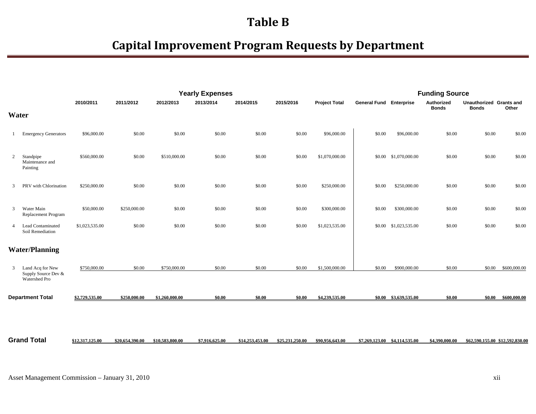|                |                                                          |                 |                 |                 | <b>Yearly Expenses</b> |                 |                 |                      |                                | <b>Funding Source</b>         |                            |                                         |                                 |
|----------------|----------------------------------------------------------|-----------------|-----------------|-----------------|------------------------|-----------------|-----------------|----------------------|--------------------------------|-------------------------------|----------------------------|-----------------------------------------|---------------------------------|
|                |                                                          | 2010/2011       | 2011/2012       | 2012/2013       | 2013/2014              | 2014/2015       | 2015/2016       | <b>Project Total</b> | <b>General Fund Enterprise</b> |                               | Authorized<br><b>Bonds</b> | Unauthorized Grants and<br><b>Bonds</b> | Other                           |
|                | Water                                                    |                 |                 |                 |                        |                 |                 |                      |                                |                               |                            |                                         |                                 |
|                | <b>Emergency Generators</b>                              | \$96,000.00     | \$0.00          | \$0.00          | \$0.00                 | \$0.00          | \$0.00          | \$96,000.00          | \$0.00                         | \$96,000.00                   | \$0.00                     | \$0.00                                  | \$0.00                          |
| 2              | Standpipe<br>Maintenance and<br>Painting                 | \$560,000.00    | \$0.00          | \$510,000.00    | \$0.00                 | \$0.00          | \$0.00          | \$1,070,000.00       | \$0.00                         | \$1,070,000.00                | \$0.00                     | \$0.00                                  | \$0.00                          |
| 3              | PRV with Chlorination                                    | \$250,000.00    | \$0.00          | \$0.00          | \$0.00                 | \$0.00          | \$0.00          | \$250,000.00         | \$0.00                         | \$250,000.00                  | \$0.00                     | \$0.00                                  | \$0.00                          |
| 3              | Water Main<br>Replacement Program                        | \$50,000.00     | \$250,000.00    | \$0.00          | \$0.00                 | \$0.00          | \$0.00          | \$300,000.00         | \$0.00                         | \$300,000.00                  | \$0.00                     | \$0.00                                  | \$0.00                          |
| $\overline{4}$ | Lead Contaminated<br>Soil Remediation                    | \$1,023,535.00  | \$0.00          | \$0.00          | \$0.00                 | \$0.00          | \$0.00          | \$1,023,535.00       | \$0.00                         | \$1,023,535.00                | \$0.00                     | \$0.00                                  | \$0.00                          |
|                | <b>Water/Planning</b>                                    |                 |                 |                 |                        |                 |                 |                      |                                |                               |                            |                                         |                                 |
| 3              | Land Acq for New<br>Supply Source Dev &<br>Watershed Pro | \$750,000.00    | \$0.00          | \$750,000.00    | \$0.00                 | \$0.00          | \$0.00          | \$1,500,000.00       | \$0.00                         | \$900,000.00                  | \$0.00                     | \$0.00                                  | \$600,000.00                    |
|                | <b>Department Total</b>                                  | \$2,729,535.00  | \$250,000.00    | \$1,260,000.00  | \$0.00                 | \$0.00          | \$0.00          | \$4,239,535.00       |                                | \$0.00 \$3,639,535.00         | \$0.00                     |                                         | $$0.00$ $$600.000.00$           |
|                |                                                          |                 |                 |                 |                        |                 |                 |                      |                                |                               |                            |                                         |                                 |
|                | <b>Grand Total</b>                                       | \$12,317,125.00 | \$20,654,390.00 | \$10,583,800.00 | \$7,916,625.00         | \$14,253,453,00 | \$25,231,250.00 | \$90,956,643.00      |                                | \$7,269,123.00 \$4,114,535.00 | \$4,390,000.00             |                                         | \$62,590,155,00 \$12,592,830,00 |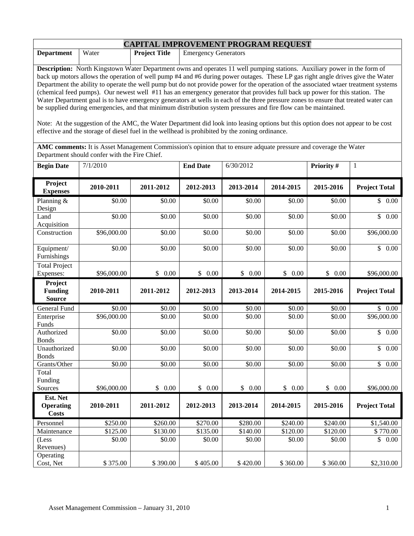| <b>CAPITAL IMPROVEMENT PROGRAM REOUEST</b> |       |                      |                             |  |  |  |  |  |
|--------------------------------------------|-------|----------------------|-----------------------------|--|--|--|--|--|
| <b>Department</b>                          | Water | <b>Project Title</b> | <b>Emergency Generators</b> |  |  |  |  |  |

**Description:** North Kingstown Water Department owns and operates 11 well pumping stations. Auxiliary power in the form of back up motors allows the operation of well pump #4 and #6 during power outages. These LP gas right angle drives give the Water Department the ability to operate the well pump but do not provide power for the operation of the associated wtaer treatment systems (chemical feed pumps). Our newest well #11 has an emergency generator that provides full back up power for this station. The Water Department goal is to have emergency generators at wells in each of the three pressure zones to ensure that treated water can be supplied during emergencies, and that minimum distribution system pressures and fire flow can be maintained.

Note: At the suggestion of the AMC, the Water Department did look into leasing options but this option does not appear to be cost effective and the storage of diesel fuel in the wellhead is prohibited by the zoning ordinance.

**AMC comments:** It is Asset Management Commission's opinion that to ensure adquate pressure and coverage the Water Department should confer with the Fire Chief.

| <b>Begin Date</b>                            | 7/1/2010    |           | <b>End Date</b> | 6/30/2012 |           | Priority # | $\mathbf{1}$            |
|----------------------------------------------|-------------|-----------|-----------------|-----------|-----------|------------|-------------------------|
| Project<br><b>Expenses</b>                   | 2010-2011   | 2011-2012 | 2012-2013       | 2013-2014 | 2014-2015 | 2015-2016  | <b>Project Total</b>    |
| Planning $\overline{\&}$<br>Design           | \$0.00      | \$0.00    | \$0.00          | \$0.00    | \$0.00    | \$0.00     | \$0.00                  |
| Land<br>Acquisition                          | \$0.00      | \$0.00    | \$0.00          | \$0.00    | \$0.00    | \$0.00     | \$<br>$\overline{0.00}$ |
| Construction                                 | \$96,000.00 | \$0.00    | \$0.00          | \$0.00    | \$0.00    | \$0.00     | \$96,000.00             |
| Equipment/<br>Furnishings                    | \$0.00      | \$0.00    | \$0.00          | \$0.00    | \$0.00    | \$0.00     | \$0.00                  |
| <b>Total Project</b><br>Expenses:            | \$96,000.00 | \$0.00    | \$0.00          | \$0.00    | \$0.00    | \$0.00     | \$96,000.00             |
| Project<br><b>Funding</b><br><b>Source</b>   | 2010-2011   | 2011-2012 | 2012-2013       | 2013-2014 | 2014-2015 | 2015-2016  | <b>Project Total</b>    |
| General Fund                                 | \$0.00      | \$0.00    | \$0.00          | \$0.00    | \$0.00    | \$0.00     | \$0.00                  |
| Enterprise<br>Funds                          | \$96,000.00 | \$0.00    | \$0.00          | \$0.00    | \$0.00    | \$0.00     | \$96,000.00             |
| Authorized<br><b>Bonds</b>                   | \$0.00      | \$0.00    | \$0.00          | \$0.00    | \$0.00    | \$0.00     | \$<br>0.00              |
| Unauthorized<br><b>Bonds</b>                 | \$0.00      | \$0.00    | \$0.00          | \$0.00    | \$0.00    | \$0.00     | \$<br>0.00              |
| Grants/Other                                 | \$0.00      | \$0.00    | \$0.00          | \$0.00    | \$0.00    | \$0.00     | $\mathbb{S}$<br>0.00    |
| Total<br>Funding                             |             |           |                 |           |           |            |                         |
| Sources                                      | \$96,000.00 | \$0.00    | \$0.00          | \$0.00    | \$0.00    | \$0.00     | \$96,000.00             |
| Est. Net<br><b>Operating</b><br><b>Costs</b> | 2010-2011   | 2011-2012 | 2012-2013       | 2013-2014 | 2014-2015 | 2015-2016  | <b>Project Total</b>    |
| Personnel                                    | \$250.00    | \$260.00  | \$270.00        | \$280.00  | \$240.00  | \$240.00   | \$1,540.00              |
| Maintenance                                  | \$125.00    | \$130.00  | \$135.00        | \$140.00  | \$120.00  | \$120.00   | $\sqrt{$770.00}$        |
| (Less<br>Revenues)                           | \$0.00      | \$0.00    | \$0.00          | \$0.00    | \$0.00    | \$0.00     | \$<br>0.00              |
| Operating<br>Cost, Net                       | \$375.00    | \$390.00  | \$405.00        | \$420.00  | \$360.00  | \$360.00   | \$2,310.00              |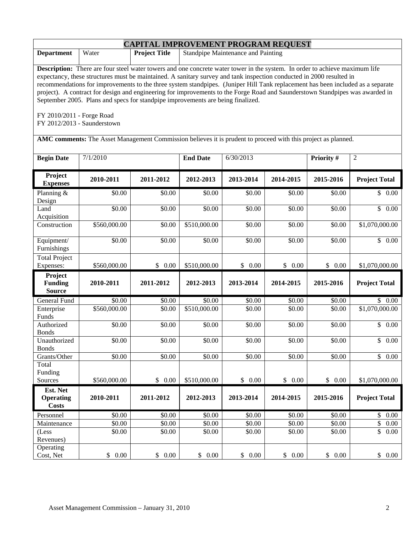|                                                                                                               | <b>CAPITAL IMPROVEMENT PROGRAM REQUEST</b>                                                                                                                                                                                                                                                                                                                                                                                                                                                                                                                                                                        |           |                 |           |           |           |                      |  |  |  |
|---------------------------------------------------------------------------------------------------------------|-------------------------------------------------------------------------------------------------------------------------------------------------------------------------------------------------------------------------------------------------------------------------------------------------------------------------------------------------------------------------------------------------------------------------------------------------------------------------------------------------------------------------------------------------------------------------------------------------------------------|-----------|-----------------|-----------|-----------|-----------|----------------------|--|--|--|
| <b>Department</b>                                                                                             | <b>Project Title</b><br>Standpipe Maintenance and Painting<br>Water                                                                                                                                                                                                                                                                                                                                                                                                                                                                                                                                               |           |                 |           |           |           |                      |  |  |  |
| FY 2010/2011 - Forge Road<br>FY 2012/2013 - Saunderstown                                                      | <b>Description:</b> There are four steel water towers and one concrete water tower in the system. In order to achieve maximum life<br>expectancy, these structures must be maintained. A sanitary survey and tank inspection conducted in 2000 resulted in<br>recommendations for improvements to the three system standpipes. (Juniper Hill Tank replacement has been included as a separate<br>project). A contract for design and engineering for improvements to the Forge Road and Saunderstown Standpipes was awarded in<br>September 2005. Plans and specs for standpipe improvements are being finalized. |           |                 |           |           |           |                      |  |  |  |
| AMC comments: The Asset Management Commission believes it is prudent to proceed with this project as planned. |                                                                                                                                                                                                                                                                                                                                                                                                                                                                                                                                                                                                                   |           |                 |           |           |           |                      |  |  |  |
| <b>Begin Date</b>                                                                                             | 7/1/2010                                                                                                                                                                                                                                                                                                                                                                                                                                                                                                                                                                                                          |           | <b>End Date</b> | 6/30/2013 |           | Priority# | $\overline{2}$       |  |  |  |
| Project<br><b>Expenses</b>                                                                                    | 2010-2011                                                                                                                                                                                                                                                                                                                                                                                                                                                                                                                                                                                                         | 2011-2012 | 2012-2013       | 2013-2014 | 2014-2015 | 2015-2016 | <b>Project Total</b> |  |  |  |
| Planning &<br>Design                                                                                          | \$0.00                                                                                                                                                                                                                                                                                                                                                                                                                                                                                                                                                                                                            | \$0.00    | \$0.00          | \$0.00    | \$0.00    | \$0.00    | \$0.00               |  |  |  |
| Land<br>Acquisition                                                                                           | \$0.00                                                                                                                                                                                                                                                                                                                                                                                                                                                                                                                                                                                                            | \$0.00    | \$0.00          | \$0.00    | \$0.00    | \$0.00    | \$<br>0.00           |  |  |  |
| Construction                                                                                                  | \$560,000.00                                                                                                                                                                                                                                                                                                                                                                                                                                                                                                                                                                                                      | \$0.00    | \$510,000.00    | \$0.00    | \$0.00    | \$0.00    | \$1,070,000.00       |  |  |  |
| Equipment/<br>Furnishings                                                                                     | \$0.00                                                                                                                                                                                                                                                                                                                                                                                                                                                                                                                                                                                                            | \$0.00    | \$0.00          | \$0.00    | \$0.00    | \$0.00    | $\overline{\$}$ 0.00 |  |  |  |
| <b>Total Project</b><br>Expenses:                                                                             | \$560,000.00                                                                                                                                                                                                                                                                                                                                                                                                                                                                                                                                                                                                      | \$0.00    | \$510,000.00    | \$0.00    | \$0.00    | \$0.00    | \$1,070,000.00       |  |  |  |
| Project<br><b>Funding</b><br><b>Source</b>                                                                    | 2010-2011                                                                                                                                                                                                                                                                                                                                                                                                                                                                                                                                                                                                         | 2011-2012 | 2012-2013       | 2013-2014 | 2014-2015 | 2015-2016 | <b>Project Total</b> |  |  |  |
| General Fund                                                                                                  | \$0.00                                                                                                                                                                                                                                                                                                                                                                                                                                                                                                                                                                                                            | \$0.00    | \$0.00          | \$0.00    | \$0.00    | \$0.00    | \$0.00               |  |  |  |
| Enterprise<br>Funds                                                                                           | \$560,000.00                                                                                                                                                                                                                                                                                                                                                                                                                                                                                                                                                                                                      | \$0.00    | \$510,000.00    | \$0.00    | \$0.00    | \$0.00    | \$1,070,000.00       |  |  |  |
| Authorized<br><b>Bonds</b>                                                                                    | \$0.00                                                                                                                                                                                                                                                                                                                                                                                                                                                                                                                                                                                                            | \$0.00    | \$0.00          | \$0.00    | \$0.00    | \$0.00    | \$<br>0.00           |  |  |  |
| Unauthorized<br><b>Bonds</b>                                                                                  | \$0.00                                                                                                                                                                                                                                                                                                                                                                                                                                                                                                                                                                                                            | \$0.00    | \$0.00          | \$0.00    | \$0.00    | \$0.00    | \$0.00               |  |  |  |
| Grants/Other                                                                                                  | \$0.00                                                                                                                                                                                                                                                                                                                                                                                                                                                                                                                                                                                                            | \$0.00    | \$0.00          | \$0.00    | \$0.00    | \$0.00    | \$<br>0.00           |  |  |  |
| Total<br>Funding<br>Sources                                                                                   | \$560,000.00                                                                                                                                                                                                                                                                                                                                                                                                                                                                                                                                                                                                      | \$0.00    | \$510,000.00    | \$0.00    | \$0.00    | \$0.00    | \$1,070,000.00       |  |  |  |
| Est. Net<br><b>Operating</b><br><b>Costs</b>                                                                  | 2010-2011                                                                                                                                                                                                                                                                                                                                                                                                                                                                                                                                                                                                         | 2011-2012 | 2012-2013       | 2013-2014 | 2014-2015 | 2015-2016 | <b>Project Total</b> |  |  |  |
| Personnel                                                                                                     | \$0.00                                                                                                                                                                                                                                                                                                                                                                                                                                                                                                                                                                                                            | \$0.00    | \$0.00          | \$0.00    | \$0.00    | \$0.00    | \$<br>0.00           |  |  |  |
| Maintenance                                                                                                   | \$0.00                                                                                                                                                                                                                                                                                                                                                                                                                                                                                                                                                                                                            | \$0.00    | \$0.00          | \$0.00    | \$0.00    | \$0.00    | \$<br>0.00           |  |  |  |
| (Less<br>Revenues)                                                                                            | \$0.00                                                                                                                                                                                                                                                                                                                                                                                                                                                                                                                                                                                                            | \$0.00    | \$0.00          | \$0.00    | \$0.00    | \$0.00    | \$<br>0.00           |  |  |  |
| Operating<br>Cost, Net                                                                                        | \$0.00                                                                                                                                                                                                                                                                                                                                                                                                                                                                                                                                                                                                            | \$0.00    | \$0.00          | \$0.00    | \$0.00    | \$0.00    | \$<br>0.00           |  |  |  |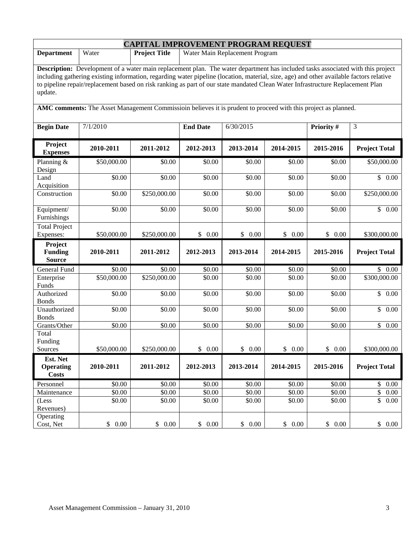| <b>CAPITAL IMPROVEMENT PROGRAM REQUEST</b>                                                                                                                                                                                                                                                                                                                                                                                     |             |                      |                 |                                |           |            |                          |  |  |
|--------------------------------------------------------------------------------------------------------------------------------------------------------------------------------------------------------------------------------------------------------------------------------------------------------------------------------------------------------------------------------------------------------------------------------|-------------|----------------------|-----------------|--------------------------------|-----------|------------|--------------------------|--|--|
| <b>Department</b>                                                                                                                                                                                                                                                                                                                                                                                                              | Water       | <b>Project Title</b> |                 | Water Main Replacement Program |           |            |                          |  |  |
| <b>Description:</b> Development of a water main replacement plan. The water department has included tasks associated with this project<br>including gathering existing information, regarding water pipeline (location, material, size, age) and other available factors relative<br>to pipeline repair/replacement based on risk ranking as part of our state mandated Clean Water Infrastructure Replacement Plan<br>update. |             |                      |                 |                                |           |            |                          |  |  |
| AMC comments: The Asset Management Commissioin believes it is prudent to proceed with this project as planned.                                                                                                                                                                                                                                                                                                                 |             |                      |                 |                                |           |            |                          |  |  |
| <b>Begin Date</b>                                                                                                                                                                                                                                                                                                                                                                                                              | 7/1/2010    |                      | <b>End Date</b> | 6/30/2015                      |           | Priority # | 3                        |  |  |
| Project<br><b>Expenses</b>                                                                                                                                                                                                                                                                                                                                                                                                     | 2010-2011   | 2011-2012            | 2012-2013       | 2013-2014                      | 2014-2015 | 2015-2016  | <b>Project Total</b>     |  |  |
| Planning &<br>Design                                                                                                                                                                                                                                                                                                                                                                                                           | \$50,000.00 | \$0.00               | \$0.00          | \$0.00                         | \$0.00    | \$0.00     | \$50,000.00              |  |  |
| Land<br>Acquisition                                                                                                                                                                                                                                                                                                                                                                                                            | \$0.00      | \$0.00               | \$0.00          | \$0.00                         | \$0.00    | \$0.00     | \$0.00                   |  |  |
| Construction                                                                                                                                                                                                                                                                                                                                                                                                                   | \$0.00      | \$250,000.00         | \$0.00          | \$0.00                         | \$0.00    | \$0.00     | \$250,000.00             |  |  |
| Equipment/<br>Furnishings                                                                                                                                                                                                                                                                                                                                                                                                      | \$0.00      | \$0.00               | \$0.00          | \$0.00                         | \$0.00    | \$0.00     | \$0.00                   |  |  |
| <b>Total Project</b><br>Expenses:                                                                                                                                                                                                                                                                                                                                                                                              | \$50,000.00 | \$250,000.00         | \$<br>0.00      | \$0.00                         | \$0.00    | \$0.00     | \$300,000.00             |  |  |
| Project<br><b>Funding</b><br><b>Source</b>                                                                                                                                                                                                                                                                                                                                                                                     | 2010-2011   | 2011-2012            | 2012-2013       | 2013-2014                      | 2014-2015 | 2015-2016  | <b>Project Total</b>     |  |  |
| General Fund                                                                                                                                                                                                                                                                                                                                                                                                                   | \$0.00      | \$0.00               | \$0.00          | \$0.00                         | \$0.00    | \$0.00     | \$0.00                   |  |  |
| Enterprise<br>Funds                                                                                                                                                                                                                                                                                                                                                                                                            | \$50,000.00 | \$250,000.00         | \$0.00          | \$0.00                         | \$0.00    | \$0.00     | $\overline{$300,000.00}$ |  |  |
| Authorized<br><b>Bonds</b>                                                                                                                                                                                                                                                                                                                                                                                                     | \$0.00      | \$0.00               | \$0.00          | \$0.00                         | \$0.00    | \$0.00     | $\mathbb{S}$<br>0.00     |  |  |
| Unauthorized<br><b>Bonds</b>                                                                                                                                                                                                                                                                                                                                                                                                   | \$0.00      | \$0.00               | \$0.00          | \$0.00                         | \$0.00    | \$0.00     | $\mathbb{S}$<br>0.00     |  |  |
| Grants/Other                                                                                                                                                                                                                                                                                                                                                                                                                   | \$0.00      | \$0.00               | \$0.00          | \$0.00                         | \$0.00    | \$0.00     | \$0.00                   |  |  |
| Total<br>Funding<br>Sources                                                                                                                                                                                                                                                                                                                                                                                                    | \$50,000.00 | \$250,000.00         | \$0.00          | \$0.00                         | \$0.00    | \$0.00     | \$300,000.00             |  |  |
| Est. Net<br><b>Operating</b><br><b>Costs</b>                                                                                                                                                                                                                                                                                                                                                                                   | 2010-2011   | 2011-2012            | 2012-2013       | 2013-2014                      | 2014-2015 | 2015-2016  | <b>Project Total</b>     |  |  |
| Personnel                                                                                                                                                                                                                                                                                                                                                                                                                      | \$0.00      | \$0.00               | \$0.00          | \$0.00                         | \$0.00    | \$0.00     | \$0.00                   |  |  |
| Maintenance                                                                                                                                                                                                                                                                                                                                                                                                                    | \$0.00      | \$0.00               | \$0.00          | \$0.00                         | \$0.00    | \$0.00     | $\mathbb{S}$<br>0.00     |  |  |
| (Less<br>Revenues)                                                                                                                                                                                                                                                                                                                                                                                                             | \$0.00      | \$0.00               | \$0.00          | \$0.00                         | \$0.00    | \$0.00     | $\mathbb{S}$<br>0.00     |  |  |
| Operating<br>Cost, Net                                                                                                                                                                                                                                                                                                                                                                                                         | \$0.00      | \$0.00               | \$0.00          | \$0.00                         | \$0.00    | \$0.00     | \$0.00                   |  |  |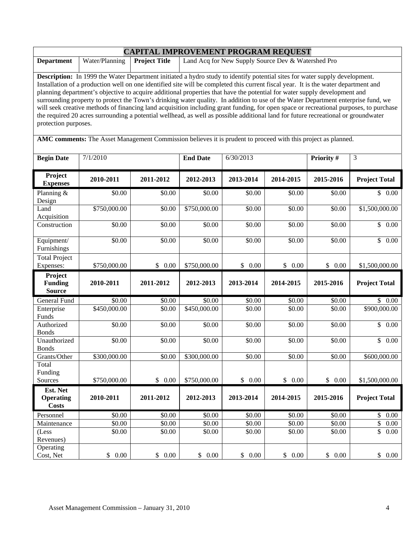|                                                                                                                                                                                                                                                                                                                                                                                                                                                                                                                                                                                                                                                                                                                                                                                                                                              | <b>CAPITAL IMPROVEMENT PROGRAM REQUEST</b> |                      |                      |                                                    |           |            |                          |  |  |  |
|----------------------------------------------------------------------------------------------------------------------------------------------------------------------------------------------------------------------------------------------------------------------------------------------------------------------------------------------------------------------------------------------------------------------------------------------------------------------------------------------------------------------------------------------------------------------------------------------------------------------------------------------------------------------------------------------------------------------------------------------------------------------------------------------------------------------------------------------|--------------------------------------------|----------------------|----------------------|----------------------------------------------------|-----------|------------|--------------------------|--|--|--|
| <b>Department</b>                                                                                                                                                                                                                                                                                                                                                                                                                                                                                                                                                                                                                                                                                                                                                                                                                            | Water/Planning                             | <b>Project Title</b> |                      | Land Acq for New Supply Source Dev & Watershed Pro |           |            |                          |  |  |  |
| Description: In 1999 the Water Department initiated a hydro study to identify potential sites for water supply development.<br>Installation of a production well on one identified site will be completed this current fiscal year. It is the water department and<br>planning department's objective to acquire additional properties that have the potential for water supply development and<br>surrounding property to protect the Town's drinking water quality. In addition to use of the Water Department enterprise fund, we<br>will seek creative methods of financing land acquisition including grant funding, for open space or recreational purposes, to purchase<br>the required 20 acres surrounding a potential wellhead, as well as possible additional land for future recreational or groundwater<br>protection purposes. |                                            |                      |                      |                                                    |           |            |                          |  |  |  |
| AMC comments: The Asset Management Commission believes it is prudent to proceed with this project as planned.                                                                                                                                                                                                                                                                                                                                                                                                                                                                                                                                                                                                                                                                                                                                |                                            |                      |                      |                                                    |           |            |                          |  |  |  |
| <b>Begin Date</b>                                                                                                                                                                                                                                                                                                                                                                                                                                                                                                                                                                                                                                                                                                                                                                                                                            | 7/1/2010                                   |                      | <b>End Date</b>      | 6/30/2013                                          |           | Priority # | $\overline{3}$           |  |  |  |
| Project<br><b>Expenses</b>                                                                                                                                                                                                                                                                                                                                                                                                                                                                                                                                                                                                                                                                                                                                                                                                                   | 2010-2011                                  | 2011-2012            | 2012-2013            | 2013-2014                                          | 2014-2015 | 2015-2016  | <b>Project Total</b>     |  |  |  |
| Planning &<br>Design                                                                                                                                                                                                                                                                                                                                                                                                                                                                                                                                                                                                                                                                                                                                                                                                                         | \$0.00                                     | \$0.00               | \$0.00               | \$0.00                                             | \$0.00    | \$0.00     | \$0.00                   |  |  |  |
| Land<br>Acquisition                                                                                                                                                                                                                                                                                                                                                                                                                                                                                                                                                                                                                                                                                                                                                                                                                          | \$750,000.00                               | \$0.00               | \$750,000.00         | \$0.00                                             | \$0.00    | \$0.00     | \$1,500,000.00           |  |  |  |
| Construction                                                                                                                                                                                                                                                                                                                                                                                                                                                                                                                                                                                                                                                                                                                                                                                                                                 | \$0.00                                     | \$0.00               | \$0.00               | \$0.00                                             | \$0.00    | \$0.00     | $\overline{\$}$ 0.00     |  |  |  |
| Equipment/<br>Furnishings                                                                                                                                                                                                                                                                                                                                                                                                                                                                                                                                                                                                                                                                                                                                                                                                                    | \$0.00                                     | \$0.00               | \$0.00               | \$0.00                                             | \$0.00    | \$0.00     | \$0.00                   |  |  |  |
| <b>Total Project</b><br>Expenses:                                                                                                                                                                                                                                                                                                                                                                                                                                                                                                                                                                                                                                                                                                                                                                                                            | \$750,000.00                               | \$0.00               | \$750,000.00         | \$0.00                                             | \$0.00    | \$0.00     | \$1,500,000.00           |  |  |  |
| Project<br><b>Funding</b><br><b>Source</b>                                                                                                                                                                                                                                                                                                                                                                                                                                                                                                                                                                                                                                                                                                                                                                                                   | 2010-2011                                  | 2011-2012            | 2012-2013            | 2013-2014                                          | 2014-2015 | 2015-2016  | <b>Project Total</b>     |  |  |  |
| General Fund                                                                                                                                                                                                                                                                                                                                                                                                                                                                                                                                                                                                                                                                                                                                                                                                                                 | \$0.00                                     | \$0.00               | \$0.00               | \$0.00                                             | \$0.00    | \$0.00     | \$0.00                   |  |  |  |
| Enterprise<br>Funds                                                                                                                                                                                                                                                                                                                                                                                                                                                                                                                                                                                                                                                                                                                                                                                                                          | \$450,000.00                               | \$0.00               | \$450,000.00         | \$0.00                                             | \$0.00    | \$0.00     | \$900,000.00             |  |  |  |
| Authorized<br><b>Bonds</b>                                                                                                                                                                                                                                                                                                                                                                                                                                                                                                                                                                                                                                                                                                                                                                                                                   | \$0.00                                     | \$0.00               | \$0.00               | \$0.00                                             | \$0.00    | \$0.00     | $\mathbb{S}$<br>0.00     |  |  |  |
| Unauthorized<br><b>Bonds</b>                                                                                                                                                                                                                                                                                                                                                                                                                                                                                                                                                                                                                                                                                                                                                                                                                 | \$0.00                                     | \$0.00               | \$0.00               | \$0.00                                             | \$0.00    | \$0.00     | \$<br>0.00               |  |  |  |
| Grants/Other                                                                                                                                                                                                                                                                                                                                                                                                                                                                                                                                                                                                                                                                                                                                                                                                                                 | \$300,000.00                               | \$0.00               | \$300,000.00         | \$0.00                                             | \$0.00    | \$0.00     | \$600,000.00             |  |  |  |
| Total<br>Funding<br>Sources                                                                                                                                                                                                                                                                                                                                                                                                                                                                                                                                                                                                                                                                                                                                                                                                                  | \$750,000.00                               | \$0.00               | \$750,000.00         | \$0.00                                             | \$0.00    | \$0.00     | \$1,500,000.00           |  |  |  |
| Est. Net                                                                                                                                                                                                                                                                                                                                                                                                                                                                                                                                                                                                                                                                                                                                                                                                                                     |                                            |                      |                      |                                                    |           |            |                          |  |  |  |
| <b>Operating</b><br><b>Costs</b>                                                                                                                                                                                                                                                                                                                                                                                                                                                                                                                                                                                                                                                                                                                                                                                                             | 2010-2011                                  | 2011-2012            | 2012-2013            | 2013-2014                                          | 2014-2015 | 2015-2016  | <b>Project Total</b>     |  |  |  |
| Personnel                                                                                                                                                                                                                                                                                                                                                                                                                                                                                                                                                                                                                                                                                                                                                                                                                                    | \$0.00                                     | \$0.00               | \$0.00               | \$0.00                                             | \$0.00    | \$0.00     | \$<br>$0.00\,$           |  |  |  |
| Maintenance                                                                                                                                                                                                                                                                                                                                                                                                                                                                                                                                                                                                                                                                                                                                                                                                                                  | \$0.00                                     | \$0.00               | \$0.00               | \$0.00                                             | \$0.00    | \$0.00     | \$<br>0.00               |  |  |  |
| (Less<br>Revenues)                                                                                                                                                                                                                                                                                                                                                                                                                                                                                                                                                                                                                                                                                                                                                                                                                           | \$0.00                                     | \$0.00               | \$0.00               | \$0.00                                             | \$0.00    | \$0.00     | \$<br>0.00               |  |  |  |
| Operating<br>Cost, Net                                                                                                                                                                                                                                                                                                                                                                                                                                                                                                                                                                                                                                                                                                                                                                                                                       | \$<br>0.00                                 | \$0.00               | $\mathbb{S}$<br>0.00 | $\$$ 0.00                                          | \$0.00    | $\$$ 0.00  | $\mathsf{S}$<br>$0.00\,$ |  |  |  |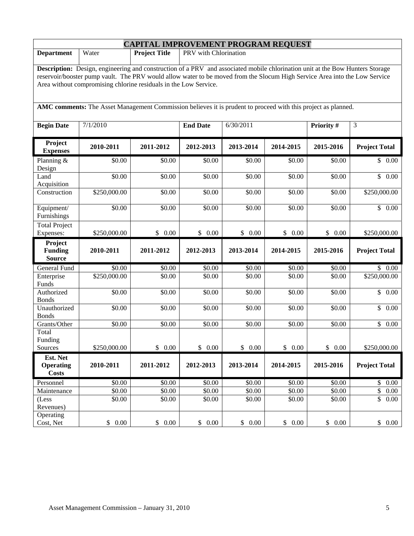| <b>CAPITAL IMPROVEMENT PROGRAM REQUEST</b>                                                                                                                                                                                                                                                                                      |                       |                      |                       |           |           |            |                      |  |  |
|---------------------------------------------------------------------------------------------------------------------------------------------------------------------------------------------------------------------------------------------------------------------------------------------------------------------------------|-----------------------|----------------------|-----------------------|-----------|-----------|------------|----------------------|--|--|
| <b>Department</b>                                                                                                                                                                                                                                                                                                               | Water                 | <b>Project Title</b> | PRV with Chlorination |           |           |            |                      |  |  |
| Description: Design, engineering and construction of a PRV and associated mobile chlorination unit at the Bow Hunters Storage<br>reservoir/booster pump vault. The PRV would allow water to be moved from the Slocum High Service Area into the Low Service<br>Area without compromising chlorine residuals in the Low Service. |                       |                      |                       |           |           |            |                      |  |  |
| AMC comments: The Asset Management Commission believes it is prudent to proceed with this project as planned.                                                                                                                                                                                                                   |                       |                      |                       |           |           |            |                      |  |  |
| <b>Begin Date</b>                                                                                                                                                                                                                                                                                                               | 7/1/2010              |                      | <b>End Date</b>       | 6/30/2011 |           | Priority # | 3                    |  |  |
| Project<br><b>Expenses</b>                                                                                                                                                                                                                                                                                                      | 2010-2011             | 2011-2012            | 2012-2013             | 2013-2014 | 2014-2015 | 2015-2016  | <b>Project Total</b> |  |  |
| Planning &<br>Design                                                                                                                                                                                                                                                                                                            | \$0.00                | \$0.00               | \$0.00                | \$0.00    | \$0.00    | \$0.00     | \$0.00               |  |  |
| Land<br>Acquisition                                                                                                                                                                                                                                                                                                             | \$0.00                | \$0.00               | \$0.00                | \$0.00    | \$0.00    | \$0.00     | \$0.00               |  |  |
| Construction                                                                                                                                                                                                                                                                                                                    | \$250,000.00          | \$0.00               | \$0.00                | \$0.00    | \$0.00    | \$0.00     | \$250,000.00         |  |  |
| Equipment/<br>Furnishings                                                                                                                                                                                                                                                                                                       | \$0.00                | \$0.00               | \$0.00                | \$0.00    | \$0.00    | \$0.00     | \$0.00               |  |  |
| <b>Total Project</b><br>Expenses:                                                                                                                                                                                                                                                                                               | \$250,000.00          | \$0.00               | \$<br>0.00            | \$0.00    | \$0.00    | \$0.00     | \$250,000.00         |  |  |
| Project<br><b>Funding</b><br><b>Source</b>                                                                                                                                                                                                                                                                                      | 2010-2011             | 2011-2012            | 2012-2013             | 2013-2014 | 2014-2015 | 2015-2016  | <b>Project Total</b> |  |  |
| General Fund                                                                                                                                                                                                                                                                                                                    | \$0.00                | \$0.00               | \$0.00                | \$0.00    | \$0.00    | \$0.00     | \$0.00               |  |  |
| Enterprise<br>Funds                                                                                                                                                                                                                                                                                                             | \$250,000.00          | \$0.00               | \$0.00                | \$0.00    | \$0.00    | \$0.00     | \$250,000.00         |  |  |
| Authorized<br><b>Bonds</b>                                                                                                                                                                                                                                                                                                      | \$0.00                | \$0.00               | \$0.00                | \$0.00    | \$0.00    | \$0.00     | \$0.00               |  |  |
| Unauthorized<br><b>Bonds</b>                                                                                                                                                                                                                                                                                                    | \$0.00                | \$0.00               | \$0.00                | \$0.00    | \$0.00    | \$0.00     | $\mathbb{S}$<br>0.00 |  |  |
| Grants/Other                                                                                                                                                                                                                                                                                                                    | \$0.00                | \$0.00               | \$0.00                | \$0.00    | \$0.00    | \$0.00     | \$0.00               |  |  |
| Total<br>Funding<br>Sources                                                                                                                                                                                                                                                                                                     | \$250,000.00          | \$0.00               | \$0.00                | \$0.00    | \$0.00    | \$0.00     | \$250,000.00         |  |  |
| Est. Net<br><b>Operating</b><br><b>Costs</b>                                                                                                                                                                                                                                                                                    | 2010-2011             | 2011-2012            | 2012-2013             | 2013-2014 | 2014-2015 | 2015-2016  | <b>Project Total</b> |  |  |
| Personnel                                                                                                                                                                                                                                                                                                                       | \$0.00                | \$0.00               | \$0.00                | \$0.00    | \$0.00    | \$0.00     | \$0.00               |  |  |
| Maintenance                                                                                                                                                                                                                                                                                                                     | \$0.00                | \$0.00               | \$0.00                | \$0.00    | \$0.00    | \$0.00     | $\mathbb S$<br>0.00  |  |  |
| (Less<br>Revenues)                                                                                                                                                                                                                                                                                                              | \$0.00                | \$0.00               | \$0.00                | \$0.00    | \$0.00    | \$0.00     | $\mathbb{S}$<br>0.00 |  |  |
| Operating<br>Cost, Net                                                                                                                                                                                                                                                                                                          | 0.00<br>$\mathcal{S}$ | \$0.00               | $0.00\,$<br>\$        | \$0.00    | \$0.00    | \$0.00     | \$0.00               |  |  |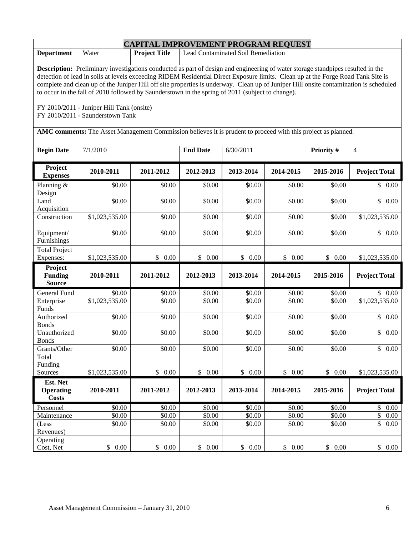|                                                                                                                                                                                                                                                                                                                                                                                                                                                                                                                                                                                                                                                                                                                           | <b>CAPITAL IMPROVEMENT PROGRAM REQUEST</b> |                      |                 |                                    |                    |            |                      |  |  |  |
|---------------------------------------------------------------------------------------------------------------------------------------------------------------------------------------------------------------------------------------------------------------------------------------------------------------------------------------------------------------------------------------------------------------------------------------------------------------------------------------------------------------------------------------------------------------------------------------------------------------------------------------------------------------------------------------------------------------------------|--------------------------------------------|----------------------|-----------------|------------------------------------|--------------------|------------|----------------------|--|--|--|
| <b>Department</b>                                                                                                                                                                                                                                                                                                                                                                                                                                                                                                                                                                                                                                                                                                         | Water                                      | <b>Project Title</b> |                 | Lead Contaminated Soil Remediation |                    |            |                      |  |  |  |
| <b>Description:</b> Preliminary investigations conducted as part of design and engineering of water storage standpipes resulted in the<br>detection of lead in soils at levels exceeding RIDEM Residential Direct Exposure limits. Clean up at the Forge Road Tank Site is<br>complete and clean up of the Juniper Hill off site properties is underway. Clean up of Juniper Hill onsite contamination is scheduled<br>to occur in the fall of 2010 followed by Saunderstown in the spring of 2011 (subject to change).<br>FY 2010/2011 - Juniper Hill Tank (onsite)<br>FY 2010/2011 - Saunderstown Tank<br>AMC comments: The Asset Management Commission believes it is prudent to proceed with this project as planned. |                                            |                      |                 |                                    |                    |            |                      |  |  |  |
| <b>Begin Date</b>                                                                                                                                                                                                                                                                                                                                                                                                                                                                                                                                                                                                                                                                                                         | 7/1/2010                                   |                      | <b>End Date</b> | 6/30/2011                          |                    | Priority # | $\overline{4}$       |  |  |  |
| Project<br><b>Expenses</b>                                                                                                                                                                                                                                                                                                                                                                                                                                                                                                                                                                                                                                                                                                | 2010-2011                                  | 2011-2012            | 2012-2013       | 2013-2014                          | 2014-2015          | 2015-2016  | <b>Project Total</b> |  |  |  |
| Planning &<br>Design                                                                                                                                                                                                                                                                                                                                                                                                                                                                                                                                                                                                                                                                                                      | \$0.00                                     | \$0.00               | \$0.00          | \$0.00                             | \$0.00             | \$0.00     | \$0.00               |  |  |  |
| Land<br>Acquisition                                                                                                                                                                                                                                                                                                                                                                                                                                                                                                                                                                                                                                                                                                       | \$0.00                                     | \$0.00               | \$0.00          | \$0.00                             | \$0.00             | \$0.00     | \$0.00               |  |  |  |
| Construction                                                                                                                                                                                                                                                                                                                                                                                                                                                                                                                                                                                                                                                                                                              | \$1,023,535.00                             | \$0.00               | \$0.00          | \$0.00                             | \$0.00             | \$0.00     | \$1,023,535.00       |  |  |  |
| Equipment/<br>Furnishings                                                                                                                                                                                                                                                                                                                                                                                                                                                                                                                                                                                                                                                                                                 | \$0.00                                     | \$0.00               | \$0.00          | \$0.00                             | \$0.00             | \$0.00     | \$0.00               |  |  |  |
| <b>Total Project</b><br>Expenses:                                                                                                                                                                                                                                                                                                                                                                                                                                                                                                                                                                                                                                                                                         | \$1,023,535.00                             | \$0.00               | \$0.00          | \$0.00                             | \$0.00             | \$0.00     | \$1,023,535.00       |  |  |  |
| Project<br><b>Funding</b><br><b>Source</b>                                                                                                                                                                                                                                                                                                                                                                                                                                                                                                                                                                                                                                                                                | 2010-2011                                  | 2011-2012            | 2012-2013       | 2013-2014                          | 2014-2015          | 2015-2016  | <b>Project Total</b> |  |  |  |
| General Fund                                                                                                                                                                                                                                                                                                                                                                                                                                                                                                                                                                                                                                                                                                              | \$0.00                                     | \$0.00               | \$0.00          | \$0.00                             | \$0.00             | \$0.00     | \$0.00               |  |  |  |
| Enterprise<br>Funds                                                                                                                                                                                                                                                                                                                                                                                                                                                                                                                                                                                                                                                                                                       | \$1,023,535.00                             | \$0.00               | \$0.00          | \$0.00                             | \$0.00             | \$0.00     | \$1,023,535.00       |  |  |  |
| Authorized<br><b>Bonds</b>                                                                                                                                                                                                                                                                                                                                                                                                                                                                                                                                                                                                                                                                                                | \$0.00                                     | \$0.00               | \$0.00          | \$0.00                             | \$0.00             | \$0.00     | \$<br>0.00           |  |  |  |
| Unauthorized<br><b>Bonds</b>                                                                                                                                                                                                                                                                                                                                                                                                                                                                                                                                                                                                                                                                                              | \$0.00                                     | \$0.00               | \$0.00          | \$0.00                             | \$0.00             | \$0.00     | \$<br>0.00           |  |  |  |
| Grants/Other                                                                                                                                                                                                                                                                                                                                                                                                                                                                                                                                                                                                                                                                                                              | \$0.00                                     | \$0.00               | \$0.00          | \$0.00                             | \$0.00             | \$0.00     | \$<br>0.00           |  |  |  |
| Total<br>Funding<br>Sources                                                                                                                                                                                                                                                                                                                                                                                                                                                                                                                                                                                                                                                                                               | \$1,023,535.00                             | \$0.00               | \$0.00          | \$0.00                             | \$0.00             | \$0.00     | \$1,023,535.00       |  |  |  |
| Est. Net<br><b>Operating</b><br><b>Costs</b>                                                                                                                                                                                                                                                                                                                                                                                                                                                                                                                                                                                                                                                                              | 2010-2011                                  | 2011-2012            | 2012-2013       | 2013-2014                          | 2014-2015          | 2015-2016  | <b>Project Total</b> |  |  |  |
| Personnel                                                                                                                                                                                                                                                                                                                                                                                                                                                                                                                                                                                                                                                                                                                 | \$0.00                                     | \$0.00               | \$0.00          | \$0.00                             | $\overline{$}0.00$ | \$0.00     | \$0.00               |  |  |  |
| Maintenance                                                                                                                                                                                                                                                                                                                                                                                                                                                                                                                                                                                                                                                                                                               | \$0.00                                     | \$0.00               | \$0.00          | \$0.00                             | \$0.00             | \$0.00     | \$<br>0.00           |  |  |  |
| (Less<br>Revenues)                                                                                                                                                                                                                                                                                                                                                                                                                                                                                                                                                                                                                                                                                                        | \$0.00                                     | \$0.00               | \$0.00          | \$0.00                             | \$0.00             | \$0.00     | \$<br>0.00           |  |  |  |
| Operating<br>Cost, Net                                                                                                                                                                                                                                                                                                                                                                                                                                                                                                                                                                                                                                                                                                    | \$0.00                                     | \$0.00               | \$0.00          | \$0.00                             | \$0.00             | \$ 0.00    | \$0.00               |  |  |  |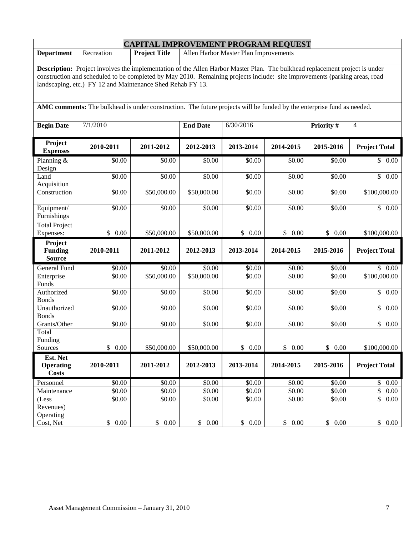| <b>CAPITAL IMPROVEMENT PROGRAM REQUEST</b>                                                                                                                                                                                                                                                                              |            |                      |                 |                                       |           |            |                      |  |  |
|-------------------------------------------------------------------------------------------------------------------------------------------------------------------------------------------------------------------------------------------------------------------------------------------------------------------------|------------|----------------------|-----------------|---------------------------------------|-----------|------------|----------------------|--|--|
| <b>Department</b>                                                                                                                                                                                                                                                                                                       | Recreation | <b>Project Title</b> |                 | Allen Harbor Master Plan Improvements |           |            |                      |  |  |
| Description: Project involves the implementation of the Allen Harbor Master Plan. The bulkhead replacement project is under<br>construction and scheduled to be completed by May 2010. Remaining projects include: site improvements (parking areas, road<br>landscaping, etc.) FY 12 and Maintenance Shed Rehab FY 13. |            |                      |                 |                                       |           |            |                      |  |  |
| AMC comments: The bulkhead is under construction. The future projects will be funded by the enterprise fund as needed.                                                                                                                                                                                                  |            |                      |                 |                                       |           |            |                      |  |  |
| <b>Begin Date</b>                                                                                                                                                                                                                                                                                                       | 7/1/2010   |                      | <b>End Date</b> | 6/30/2016                             |           | Priority # | $\overline{4}$       |  |  |
| Project<br><b>Expenses</b>                                                                                                                                                                                                                                                                                              | 2010-2011  | 2011-2012            | 2012-2013       | 2013-2014                             | 2014-2015 | 2015-2016  | <b>Project Total</b> |  |  |
| Planning $&$<br>Design                                                                                                                                                                                                                                                                                                  | \$0.00     | \$0.00               | \$0.00          | \$0.00                                | \$0.00    | \$0.00     | \$0.00               |  |  |
| Land<br>Acquisition                                                                                                                                                                                                                                                                                                     | \$0.00     | \$0.00               | \$0.00          | \$0.00                                | \$0.00    | \$0.00     | \$<br>0.00           |  |  |
| Construction                                                                                                                                                                                                                                                                                                            | \$0.00     | \$50,000.00          | \$50,000.00     | \$0.00                                | \$0.00    | \$0.00     | \$100,000.00         |  |  |
| Equipment/<br>Furnishings                                                                                                                                                                                                                                                                                               | \$0.00     | \$0.00               | \$0.00          | \$0.00                                | \$0.00    | \$0.00     | $\mathbb{S}$<br>0.00 |  |  |
| <b>Total Project</b><br>Expenses:                                                                                                                                                                                                                                                                                       | \$0.00     | \$50,000.00          | \$50,000.00     | \$0.00                                | \$0.00    | \$0.00     | \$100,000.00         |  |  |
| Project<br><b>Funding</b><br><b>Source</b>                                                                                                                                                                                                                                                                              | 2010-2011  | 2011-2012            | 2012-2013       | 2013-2014                             | 2014-2015 | 2015-2016  | <b>Project Total</b> |  |  |
| General Fund                                                                                                                                                                                                                                                                                                            | \$0.00     | \$0.00               | \$0.00          | \$0.00                                | \$0.00    | \$0.00     | \$0.00               |  |  |
| Enterprise<br>Funds                                                                                                                                                                                                                                                                                                     | \$0.00     | \$50,000.00          | \$50,000.00     | \$0.00                                | \$0.00    | \$0.00     | \$100,000.00         |  |  |
| Authorized<br><b>Bonds</b>                                                                                                                                                                                                                                                                                              | \$0.00     | \$0.00               | \$0.00          | \$0.00                                | \$0.00    | \$0.00     | \$<br>0.00           |  |  |
| Unauthorized<br><b>Bonds</b>                                                                                                                                                                                                                                                                                            | \$0.00     | \$0.00               | \$0.00          | \$0.00                                | \$0.00    | \$0.00     | \$<br>0.00           |  |  |
| Grants/Other                                                                                                                                                                                                                                                                                                            | \$0.00     | \$0.00               | \$0.00          | \$0.00                                | \$0.00    | \$0.00     | $\mathbb{S}$<br>0.00 |  |  |
| Total<br>Funding<br>Sources                                                                                                                                                                                                                                                                                             | \$0.00     | \$50,000.00          | \$50,000.00     | \$0.00                                | \$0.00    | \$0.00     | \$100,000.00         |  |  |
| Est. Net<br><b>Operating</b><br><b>Costs</b>                                                                                                                                                                                                                                                                            | 2010-2011  | 2011-2012            | 2012-2013       | 2013-2014                             | 2014-2015 | 2015-2016  | <b>Project Total</b> |  |  |
| Personnel                                                                                                                                                                                                                                                                                                               | \$0.00     | \$0.00               | \$0.00          | \$0.00                                | \$0.00    | \$0.00     | \$0.00               |  |  |
| Maintenance                                                                                                                                                                                                                                                                                                             | \$0.00     | \$0.00               | \$0.00          | \$0.00                                | \$0.00    | \$0.00     | \$<br>0.00           |  |  |
| (Less<br>Revenues)                                                                                                                                                                                                                                                                                                      | \$0.00     | \$0.00               | \$0.00          | \$0.00                                | \$0.00    | \$0.00     | \$<br>0.00           |  |  |
| Operating<br>Cost, Net                                                                                                                                                                                                                                                                                                  | \$0.00     | \$0.00               | \$0.00          | \$0.00                                | \$0.00    | \$0.00     | \$0.00               |  |  |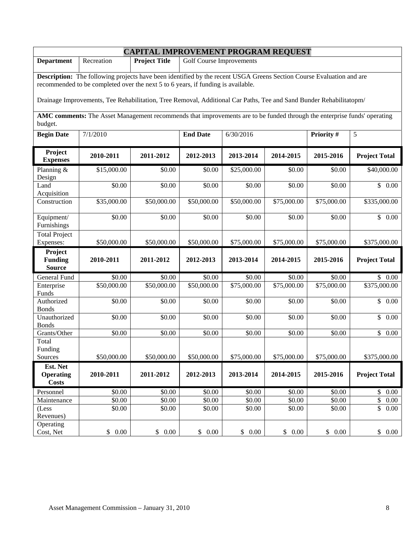| <b>CAPITAL IMPROVEMENT PROGRAM REQUEST</b>                                                                                          |                                                                                                                                                                                                          |                      |                                 |                  |             |                  |                              |  |  |  |
|-------------------------------------------------------------------------------------------------------------------------------------|----------------------------------------------------------------------------------------------------------------------------------------------------------------------------------------------------------|----------------------|---------------------------------|------------------|-------------|------------------|------------------------------|--|--|--|
| <b>Department</b>                                                                                                                   | Recreation                                                                                                                                                                                               | <b>Project Title</b> | <b>Golf Course Improvements</b> |                  |             |                  |                              |  |  |  |
|                                                                                                                                     |                                                                                                                                                                                                          |                      |                                 |                  |             |                  |                              |  |  |  |
|                                                                                                                                     | Description: The following projects have been identified by the recent USGA Greens Section Course Evaluation and are<br>recommended to be completed over the next 5 to 6 years, if funding is available. |                      |                                 |                  |             |                  |                              |  |  |  |
|                                                                                                                                     |                                                                                                                                                                                                          |                      |                                 |                  |             |                  |                              |  |  |  |
| Drainage Improvements, Tee Rehabilitation, Tree Removal, Additional Car Paths, Tee and Sand Bunder Rehabilitatopm/                  |                                                                                                                                                                                                          |                      |                                 |                  |             |                  |                              |  |  |  |
| AMC comments: The Asset Management recommends that improvements are to be funded through the enterprise funds' operating<br>budget. |                                                                                                                                                                                                          |                      |                                 |                  |             |                  |                              |  |  |  |
| <b>Begin Date</b>                                                                                                                   | 7/1/2010                                                                                                                                                                                                 |                      | <b>End Date</b>                 | 6/30/2016        |             | Priority #       | 5                            |  |  |  |
| Project<br><b>Expenses</b>                                                                                                          | 2010-2011                                                                                                                                                                                                | 2011-2012            | 2012-2013                       | 2013-2014        | 2014-2015   | 2015-2016        | <b>Project Total</b>         |  |  |  |
| Planning &<br>Design                                                                                                                | \$15,000.00                                                                                                                                                                                              | \$0.00               | \$0.00                          | \$25,000.00      | \$0.00      | \$0.00           | \$40,000.00                  |  |  |  |
| Land<br>Acquisition                                                                                                                 | \$0.00                                                                                                                                                                                                   | \$0.00               | \$0.00                          | \$0.00           | \$0.00      | \$0.00           | \$0.00                       |  |  |  |
| Construction                                                                                                                        | \$35,000.00                                                                                                                                                                                              | \$50,000.00          | \$50,000.00                     | \$50,000.00      | \$75,000.00 | \$75,000.00      | \$335,000.00                 |  |  |  |
| Equipment/<br>Furnishings                                                                                                           | \$0.00                                                                                                                                                                                                   | \$0.00               | \$0.00                          | \$0.00           | \$0.00      | \$0.00           | \$0.00                       |  |  |  |
| <b>Total Project</b><br>Expenses:                                                                                                   | \$50,000.00                                                                                                                                                                                              | \$50,000.00          | \$50,000.00                     | \$75,000.00      | \$75,000.00 | \$75,000.00      | \$375,000.00                 |  |  |  |
| Project                                                                                                                             |                                                                                                                                                                                                          |                      |                                 |                  |             |                  |                              |  |  |  |
| <b>Funding</b>                                                                                                                      | 2010-2011                                                                                                                                                                                                | 2011-2012            | 2012-2013                       | 2013-2014        | 2014-2015   | 2015-2016        | <b>Project Total</b>         |  |  |  |
| <b>Source</b>                                                                                                                       |                                                                                                                                                                                                          |                      |                                 |                  |             |                  |                              |  |  |  |
| General Fund                                                                                                                        | \$0.00                                                                                                                                                                                                   | \$0.00               | \$0.00                          | \$0.00           | \$0.00      | \$0.00           | \$0.00                       |  |  |  |
| Enterprise<br>Funds                                                                                                                 | \$50,000.00                                                                                                                                                                                              | \$50,000.00          | \$50,000.00                     | \$75,000.00      | \$75,000.00 | \$75,000.00      | \$375,000.00                 |  |  |  |
| Authorized                                                                                                                          | $\overline{$}0.00$                                                                                                                                                                                       | \$0.00               | \$0.00                          | \$0.00           | \$0.00      | \$0.00           | $\mathbb{S}$<br>0.00         |  |  |  |
| <b>Bonds</b>                                                                                                                        |                                                                                                                                                                                                          |                      |                                 |                  |             |                  |                              |  |  |  |
| Unauthorized<br><b>Bonds</b>                                                                                                        | \$0.00                                                                                                                                                                                                   | \$0.00               | \$0.00                          | \$0.00           | \$0.00      | \$0.00           | \$<br>0.00                   |  |  |  |
| Grants/Other                                                                                                                        | \$0.00                                                                                                                                                                                                   | \$0.00               | \$0.00                          | \$0.00           | \$0.00      | \$0.00           | $\mathbb{S}$<br>0.00         |  |  |  |
| Total                                                                                                                               |                                                                                                                                                                                                          |                      |                                 |                  |             |                  |                              |  |  |  |
| Funding                                                                                                                             |                                                                                                                                                                                                          |                      |                                 |                  |             |                  |                              |  |  |  |
| Sources                                                                                                                             | \$50,000.00                                                                                                                                                                                              | \$50,000.00          | \$50,000.00                     | \$75,000.00      | \$75,000.00 | \$75,000.00      | \$375,000.00                 |  |  |  |
| Est. Net                                                                                                                            |                                                                                                                                                                                                          |                      |                                 |                  |             |                  |                              |  |  |  |
| <b>Operating</b><br><b>Costs</b>                                                                                                    | 2010-2011                                                                                                                                                                                                | 2011-2012            | 2012-2013                       | 2013-2014        | 2014-2015   | 2015-2016        | <b>Project Total</b>         |  |  |  |
|                                                                                                                                     |                                                                                                                                                                                                          |                      | \$0.00                          |                  | \$0.00      |                  |                              |  |  |  |
| Personnel<br>Maintenance                                                                                                            | \$0.00<br>\$0.00                                                                                                                                                                                         | \$0.00<br>\$0.00     | \$0.00                          | \$0.00<br>\$0.00 | \$0.00      | \$0.00<br>\$0.00 | \$<br>$0.00\,$<br>\$<br>0.00 |  |  |  |
| (Less)                                                                                                                              | \$0.00                                                                                                                                                                                                   | \$0.00               | \$0.00                          | \$0.00           | \$0.00      | \$0.00           | \$<br>0.00                   |  |  |  |
| Revenues)                                                                                                                           |                                                                                                                                                                                                          |                      |                                 |                  |             |                  |                              |  |  |  |
| Operating                                                                                                                           |                                                                                                                                                                                                          |                      |                                 |                  |             |                  |                              |  |  |  |
| Cost, Net                                                                                                                           | 0.00<br>\$                                                                                                                                                                                               | \$ 0.00              | \$0.00                          | \$0.00           | \$0.00      | \$0.00           | \$0.00                       |  |  |  |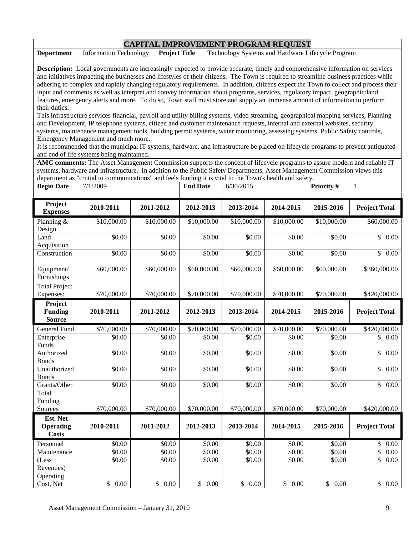|                                                                                                                                                                                                                                                                                                            | <b>CAPITAL IMPROVEMENT PROGRAM REQUEST</b>                                                                                                                                                                                                                                                                                                                                                                       |                      |                  |                                                   |                    |                  |                                       |  |  |  |
|------------------------------------------------------------------------------------------------------------------------------------------------------------------------------------------------------------------------------------------------------------------------------------------------------------|------------------------------------------------------------------------------------------------------------------------------------------------------------------------------------------------------------------------------------------------------------------------------------------------------------------------------------------------------------------------------------------------------------------|----------------------|------------------|---------------------------------------------------|--------------------|------------------|---------------------------------------|--|--|--|
| <b>Department</b>                                                                                                                                                                                                                                                                                          | <b>Information Technology</b>                                                                                                                                                                                                                                                                                                                                                                                    | <b>Project Title</b> |                  | Technology Systems and Hardware Lifecycle Program |                    |                  |                                       |  |  |  |
|                                                                                                                                                                                                                                                                                                            | Description: Local governments are increasingly expected to provide accurate, timely and comprehensive information on services<br>and initiatives impacting the businesses and lifestyles of their citizens. The Town is required to streamline business practices while<br>adhering to complex and rapidly changing regulatory requirements. In addition, citizens expect the Town to collect and process their |                      |                  |                                                   |                    |                  |                                       |  |  |  |
| input and comments as well as interpret and convey information about programs, services, regulatory impact, geographic/land<br>features, emergency alerts and more. To do so, Town staff must store and supply an immense amount of information to perform                                                 |                                                                                                                                                                                                                                                                                                                                                                                                                  |                      |                  |                                                   |                    |                  |                                       |  |  |  |
| their duties.<br>This infrastructure services financial, payroll and utility billing systems, video streaming, geographical mapping services, Planning<br>and Development, IP telephone systems, citizen and customer maintenance requests, internal and external websites, security                       |                                                                                                                                                                                                                                                                                                                                                                                                                  |                      |                  |                                                   |                    |                  |                                       |  |  |  |
| systems, maintenance management tools, building permit systems, water monitoring, assessing systems, Public Safety controls,<br>Emergency Management and much more.<br>It is recommended that the municipal IT systems, hardware, and infrastructure be placed on lifecycle programs to prevent antiquated |                                                                                                                                                                                                                                                                                                                                                                                                                  |                      |                  |                                                   |                    |                  |                                       |  |  |  |
|                                                                                                                                                                                                                                                                                                            | and end of life systems being maintained.<br>AMC comments: The Asset Management Commission supports the concept of lifecycle programs to assure modern and reliable IT                                                                                                                                                                                                                                           |                      |                  |                                                   |                    |                  |                                       |  |  |  |
|                                                                                                                                                                                                                                                                                                            | systems, hardware and infrastructure. In addition to the Public Safety Departments, Asset Management Commission views this<br>department as "crutial to communications" and feels funding it is vital to the Town's health and safety.                                                                                                                                                                           |                      |                  |                                                   |                    |                  |                                       |  |  |  |
| <b>Begin Date</b>                                                                                                                                                                                                                                                                                          | 7/1/2009                                                                                                                                                                                                                                                                                                                                                                                                         |                      | <b>End Date</b>  | 6/30/2015                                         |                    | Priority #       | $\mathbf{1}$                          |  |  |  |
| Project<br><b>Expenses</b>                                                                                                                                                                                                                                                                                 | 2010-2011                                                                                                                                                                                                                                                                                                                                                                                                        | 2011-2012            | 2012-2013        | 2013-2014                                         | 2014-2015          | 2015-2016        | <b>Project Total</b>                  |  |  |  |
| Planning &<br>Design                                                                                                                                                                                                                                                                                       | \$10,000.00                                                                                                                                                                                                                                                                                                                                                                                                      | \$10,000.00          | \$10,000.00      | \$10,000.00                                       | \$10,000.00        | \$10,000.00      | \$60,000.00                           |  |  |  |
| Land<br>Acquisition                                                                                                                                                                                                                                                                                        | \$0.00                                                                                                                                                                                                                                                                                                                                                                                                           | \$0.00               | \$0.00           | \$0.00                                            | \$0.00             | \$0.00           | \$0.00                                |  |  |  |
| Construction                                                                                                                                                                                                                                                                                               | \$0.00                                                                                                                                                                                                                                                                                                                                                                                                           | \$0.00               | \$0.00           | \$0.00                                            | \$0.00             | \$0.00           | \$<br>0.00                            |  |  |  |
| Equipment/<br>Furnishings                                                                                                                                                                                                                                                                                  | \$60,000.00                                                                                                                                                                                                                                                                                                                                                                                                      | \$60,000.00          | \$60,000.00      | \$60,000.00                                       | \$60,000.00        | \$60,000.00      | \$360,000.00                          |  |  |  |
| Total Project<br>Expenses:                                                                                                                                                                                                                                                                                 | \$70,000.00                                                                                                                                                                                                                                                                                                                                                                                                      | \$70,000.00          | \$70,000.00      | \$70,000.00                                       | \$70,000.00        | \$70,000.00      | \$420,000.00                          |  |  |  |
| Project<br><b>Funding</b><br><b>Source</b>                                                                                                                                                                                                                                                                 | 2010-2011                                                                                                                                                                                                                                                                                                                                                                                                        | 2011-2012            | 2012-2013        | 2013-2014                                         | 2014-2015          | 2015-2016        | <b>Project Total</b>                  |  |  |  |
| General Fund                                                                                                                                                                                                                                                                                               | \$70,000.00                                                                                                                                                                                                                                                                                                                                                                                                      | \$70,000.00          | \$70,000.00      | \$70,000.00                                       | \$70,000.00        | \$70,000.00      | \$420,000.00                          |  |  |  |
| Enterprise<br>Funds                                                                                                                                                                                                                                                                                        | \$0.00                                                                                                                                                                                                                                                                                                                                                                                                           | \$0.00               | \$0.00           | \$0.00                                            | \$0.00             | \$0.00           | \$<br>0.00                            |  |  |  |
| Authorized<br><b>Bonds</b>                                                                                                                                                                                                                                                                                 | \$0.00                                                                                                                                                                                                                                                                                                                                                                                                           | \$0.00               | \$0.00           | \$0.00                                            | $\overline{$}0.00$ | \$0.00           | \$<br>0.00                            |  |  |  |
| Unauthorized<br><b>Bonds</b>                                                                                                                                                                                                                                                                               | \$0.00                                                                                                                                                                                                                                                                                                                                                                                                           | \$0.00               | \$0.00           | \$0.00                                            | \$0.00             | \$0.00           | \$<br>0.00                            |  |  |  |
| Grants/Other<br>Total                                                                                                                                                                                                                                                                                      | \$0.00                                                                                                                                                                                                                                                                                                                                                                                                           | \$0.00               | \$0.00           | \$0.00                                            | \$0.00             | \$0.00           | \$<br>0.00                            |  |  |  |
| Funding<br>Sources                                                                                                                                                                                                                                                                                         | \$70,000.00                                                                                                                                                                                                                                                                                                                                                                                                      | \$70,000.00          | \$70,000.00      | \$70,000.00                                       | \$70,000.00        | \$70,000.00      | \$420,000.00                          |  |  |  |
| Est. Net<br><b>Operating</b><br><b>Costs</b>                                                                                                                                                                                                                                                               | 2010-2011                                                                                                                                                                                                                                                                                                                                                                                                        | 2011-2012            | 2012-2013        | 2013-2014                                         | 2014-2015          | 2015-2016        | <b>Project Total</b>                  |  |  |  |
| Personnel                                                                                                                                                                                                                                                                                                  | \$0.00                                                                                                                                                                                                                                                                                                                                                                                                           | \$0.00               | \$0.00           | \$0.00                                            | \$0.00             | \$0.00           | \$<br>0.00                            |  |  |  |
| Maintenance<br>(Less<br>Revenues)                                                                                                                                                                                                                                                                          | \$0.00<br>\$0.00                                                                                                                                                                                                                                                                                                                                                                                                 | \$0.00<br>\$0.00     | \$0.00<br>\$0.00 | \$0.00<br>\$0.00                                  | \$0.00<br>\$0.00   | \$0.00<br>\$0.00 | $\overline{\$}$<br>0.00<br>\$<br>0.00 |  |  |  |
| Operating<br>Cost, Net                                                                                                                                                                                                                                                                                     | \$0.00                                                                                                                                                                                                                                                                                                                                                                                                           | \$0.00               | \$0.00           | \$0.00                                            | \$0.00             | \$0.00           | \$0.00                                |  |  |  |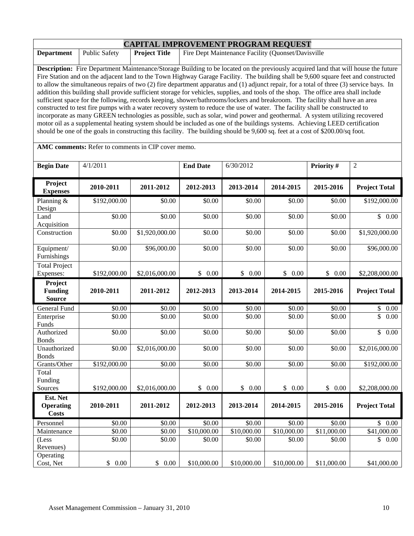| <b>CAPITAL IMPROVEMENT PROGRAM REQUEST</b>                                                                                                     |               |                      |                                                                                                                                      |  |  |  |  |  |
|------------------------------------------------------------------------------------------------------------------------------------------------|---------------|----------------------|--------------------------------------------------------------------------------------------------------------------------------------|--|--|--|--|--|
| <b>Department</b>                                                                                                                              | Public Safety | <b>Project Title</b> | Fire Dept Maintenance Facility (Quonset/Davisville                                                                                   |  |  |  |  |  |
|                                                                                                                                                |               |                      |                                                                                                                                      |  |  |  |  |  |
| <b>Description:</b> Fire Department Maintenance/Storage Building to be located on the previously acquired land that will house the future      |               |                      |                                                                                                                                      |  |  |  |  |  |
| Fire Station and on the adjacent land to the Town Highway Garage Facility. The building shall be 9,600 square feet and constructed             |               |                      |                                                                                                                                      |  |  |  |  |  |
| to allow the simultaneous repairs of two $(2)$ fire department apparatus and $(1)$ adjunct repair, for a total of three $(3)$ service bays. In |               |                      |                                                                                                                                      |  |  |  |  |  |
|                                                                                                                                                |               |                      | addition this building shall provide sufficient storage for vehicles, supplies, and tools of the shop. The office area shall include |  |  |  |  |  |
|                                                                                                                                                |               |                      | sufficient space for the following, records keeping, shower/bathrooms/lockers and breakroom. The facility shall have an area         |  |  |  |  |  |
|                                                                                                                                                |               |                      | constructed to test fire pumps with a water recovery system to reduce the use of water. The facility shall be constructed to         |  |  |  |  |  |
|                                                                                                                                                |               |                      | incorporate as many GREEN technologies as possible, such as solar, wind power and geothermal. A system utilizing recovered           |  |  |  |  |  |
|                                                                                                                                                |               |                      | motor oil as a supplemental heating system should be included as one of the buildings systems. Achieving LEED certification          |  |  |  |  |  |
|                                                                                                                                                |               |                      | should be one of the goals in constructing this facility. The building should be 9,600 sq. feet at a cost of \$200.00/sq foot.       |  |  |  |  |  |
|                                                                                                                                                |               |                      |                                                                                                                                      |  |  |  |  |  |

**AMC comments:** Refer to comments in CIP cover memo.

| <b>Begin Date</b>                            | 4/1/2011     |                      | <b>End Date</b>    | 6/30/2012   |             | Priority #  | $\overline{2}$                  |
|----------------------------------------------|--------------|----------------------|--------------------|-------------|-------------|-------------|---------------------------------|
| Project<br><b>Expenses</b>                   | 2010-2011    | 2011-2012            | 2012-2013          | 2013-2014   | 2014-2015   | 2015-2016   | <b>Project Total</b>            |
| Planning &<br>Design                         | \$192,000.00 | \$0.00               | \$0.00             | \$0.00      | \$0.00      | \$0.00      | \$192,000.00                    |
| Land<br>Acquisition                          | \$0.00       | \$0.00               | \$0.00             | \$0.00      | \$0.00      | \$0.00      | \$0.00                          |
| Construction                                 | \$0.00       | \$1,920,000.00       | \$0.00             | \$0.00      | \$0.00      | \$0.00      | \$1,920,000.00                  |
| Equipment/<br>Furnishings                    | \$0.00       | \$96,000.00          | \$0.00             | \$0.00      | \$0.00      | \$0.00      | \$96,000.00                     |
| <b>Total Project</b><br>Expenses:            | \$192,000.00 | \$2,016,000.00       | \$0.00             | \$0.00      | \$0.00      | \$0.00      | \$2,208,000.00                  |
| Project<br><b>Funding</b><br><b>Source</b>   | 2010-2011    | 2011-2012            | 2012-2013          | 2013-2014   | 2014-2015   | 2015-2016   | <b>Project Total</b>            |
| General Fund                                 | \$0.00       | \$0.00               | \$0.00             | \$0.00      | \$0.00      | \$0.00      | \$<br>$0.00\,$                  |
| Enterprise<br>Funds                          | \$0.00       | \$0.00               | \$0.00             | \$0.00      | \$0.00      | \$0.00      | $\overline{\mathbb{S}}$<br>0.00 |
| Authorized<br><b>Bonds</b>                   | \$0.00       | \$0.00               | \$0.00             | \$0.00      | \$0.00      | \$0.00      | $\mathbb{S}$<br>0.00            |
| Unauthorized<br><b>Bonds</b>                 | \$0.00       | \$2,016,000.00       | \$0.00             | \$0.00      | \$0.00      | \$0.00      | \$2,016,000.00                  |
| Grants/Other<br>Total                        | \$192,000.00 | \$0.00               | \$0.00             | \$0.00      | \$0.00      | \$0.00      | \$192,000.00                    |
| Funding<br>Sources                           | \$192,000.00 | \$2,016,000.00       | \$0.00             | \$0.00      | \$0.00      | \$0.00      | \$2,208,000.00                  |
| Est. Net<br><b>Operating</b><br><b>Costs</b> | 2010-2011    | 2011-2012            | 2012-2013          | 2013-2014   | 2014-2015   | 2015-2016   | <b>Project Total</b>            |
| Personnel                                    | \$0.00       | \$0.00               | $\overline{$}0.00$ | \$0.00      | \$0.00      | \$0.00      | \$0.00                          |
| Maintenance                                  | \$0.00       | \$0.00               | \$10,000.00        | \$10,000.00 | \$10,000.00 | \$11,000.00 | \$41,000.00                     |
| (Less<br>Revenues)                           | \$0.00       | \$0.00               | \$0.00             | \$0.00      | \$0.00      | \$0.00      | $\mathbb{S}$<br>0.00            |
| Operating<br>Cost, Net                       | \$<br>0.00   | $\mathbb{S}$<br>0.00 | \$10,000.00        | \$10,000.00 | \$10,000.00 | \$11,000.00 | \$41,000.00                     |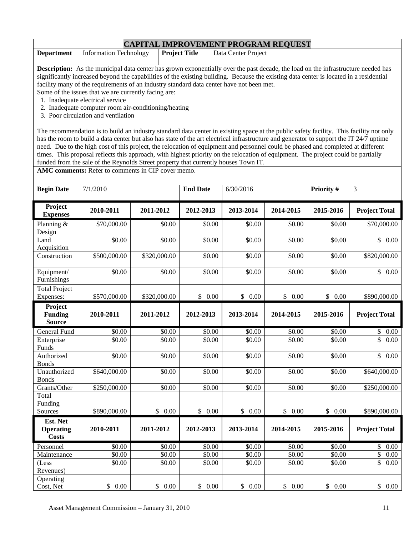|                   | <b>CAPITAL IMPROVEMENT PROGRAM REQUEST</b> |                      |                     |  |  |  |  |  |
|-------------------|--------------------------------------------|----------------------|---------------------|--|--|--|--|--|
| <b>Department</b> | Information Technology                     | <b>Project Title</b> | Data Center Project |  |  |  |  |  |

**Description:** As the municipal data center has grown exponentially over the past decade, the load on the infrastructure needed has significantly increased beyond the capabilities of the existing building. Because the existing data center is located in a residential facility many of the requirements of an industry standard data center have not been met.

Some of the issues that we are currently facing are:

- 1. Inadequate electrical service
- 2. Inadequate computer room air-conditioning/heating
- 3. Poor circulation and ventilation

The recommendation is to build an industry standard data center in existing space at the public safety facility. This facility not only has the room to build a data center but also has state of the art electrical infrastructure and generator to support the IT 24/7 uptime need. Due to the high cost of this project, the relocation of equipment and personnel could be phased and completed at different times. This proposal reflects this approach, with highest priority on the relocation of equipment. The project could be partially funded from the sale of the Reynolds Street property that currently houses Town IT.

**AMC comments:** Refer to comments in CIP cover memo.

| <b>Begin Date</b>                            | 7/1/2010             |                      | <b>End Date</b>      | 6/30/2016 |                      | Priority # | 3                                |
|----------------------------------------------|----------------------|----------------------|----------------------|-----------|----------------------|------------|----------------------------------|
| Project<br><b>Expenses</b>                   | 2010-2011            | 2011-2012            | 2012-2013            | 2013-2014 | 2014-2015            | 2015-2016  | <b>Project Total</b>             |
| Planning $&$<br>Design                       | \$70,000.00          | \$0.00               | \$0.00               | \$0.00    | \$0.00               | \$0.00     | \$70,000.00                      |
| Land<br>Acquisition                          | \$0.00               | \$0.00               | \$0.00               | \$0.00    | \$0.00               | \$0.00     | \$0.00                           |
| Construction                                 | \$500,000.00         | \$320,000.00         | \$0.00               | \$0.00    | \$0.00               | \$0.00     | \$820,000.00                     |
| Equipment/<br>Furnishings                    | \$0.00               | \$0.00               | \$0.00               | \$0.00    | \$0.00               | \$0.00     | $\overline{\$}$ 0.00             |
| <b>Total Project</b><br>Expenses:            | \$570,000.00         | \$320,000.00         | \$0.00               | \$0.00    | \$0.00               | \$0.00     | \$890,000.00                     |
| Project<br><b>Funding</b><br><b>Source</b>   | 2010-2011            | 2011-2012            | 2012-2013            | 2013-2014 | 2014-2015            | 2015-2016  | <b>Project Total</b>             |
| <b>General Fund</b>                          | \$0.00               | \$0.00               | \$0.00               | \$0.00    | \$0.00               | \$0.00     | \$<br>$0.00\,$                   |
| Enterprise<br>Funds                          | \$0.00               | \$0.00               | \$0.00               | \$0.00    | \$0.00               | \$0.00     | \$<br>0.00                       |
| Authorized<br><b>Bonds</b>                   | \$0.00               | \$0.00               | \$0.00               | \$0.00    | \$0.00               | \$0.00     | $\overline{\mathcal{S}}$<br>0.00 |
| Unauthorized<br><b>Bonds</b>                 | \$640,000.00         | \$0.00               | \$0.00               | \$0.00    | \$0.00               | \$0.00     | \$640,000.00                     |
| Grants/Other                                 | \$250,000.00         | \$0.00               | $\sqrt{$0.00}$       | \$0.00    | \$0.00               | \$0.00     | \$250,000.00                     |
| Total<br>Funding                             |                      |                      |                      |           |                      |            |                                  |
| Sources                                      | \$890,000.00         | \$0.00               | $\mathbb{S}$<br>0.00 | \$0.00    | $\mathbb{S}$<br>0.00 | \$0.00     | \$890,000.00                     |
| Est. Net<br><b>Operating</b><br><b>Costs</b> | 2010-2011            | 2011-2012            | 2012-2013            | 2013-2014 | 2014-2015            | 2015-2016  | <b>Project Total</b>             |
| Personnel                                    | \$0.00               | \$0.00               | \$0.00               | \$0.00    | \$0.00               | \$0.00     | \$<br>0.00                       |
| Maintenance                                  | \$0.00               | \$0.00               | \$0.00               | \$0.00    | \$0.00               | \$0.00     | \$<br>0.00                       |
| (Less<br>Revenues)                           | \$0.00               | \$0.00               | \$0.00               | \$0.00    | \$0.00               | \$0.00     | \$<br>0.00                       |
| Operating<br>Cost, Net                       | 0.00<br>$\mathbb{S}$ | $\mathbb{S}$<br>0.00 | \$<br>0.00           | \$0.00    | \$0.00               | \$0.00     | \$0.00                           |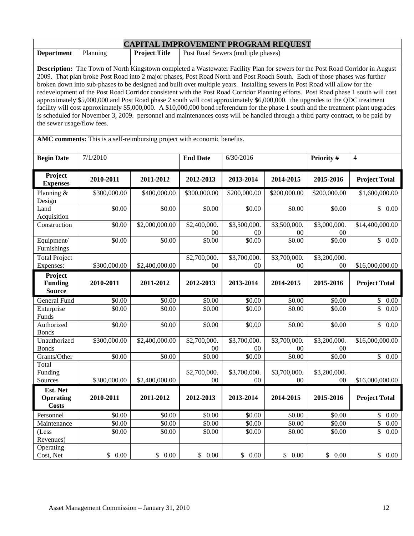| <b>CAPITAL IMPROVEMENT PROGRAM REQUEST</b>                                                                                  |                                                                                                                                                                                                                                                                          |                |                 |                          |              |                         |                      |  |  |  |
|-----------------------------------------------------------------------------------------------------------------------------|--------------------------------------------------------------------------------------------------------------------------------------------------------------------------------------------------------------------------------------------------------------------------|----------------|-----------------|--------------------------|--------------|-------------------------|----------------------|--|--|--|
| <b>Department</b>                                                                                                           | <b>Project Title</b><br>Post Road Sewers (multiple phases)<br>Planning                                                                                                                                                                                                   |                |                 |                          |              |                         |                      |  |  |  |
|                                                                                                                             | Description: The Town of North Kingstown completed a Wastewater Facility Plan for sewers for the Post Road Corridor in August                                                                                                                                            |                |                 |                          |              |                         |                      |  |  |  |
| 2009. That plan broke Post Road into 2 major phases, Post Road North and Post Roach South. Each of those phases was further |                                                                                                                                                                                                                                                                          |                |                 |                          |              |                         |                      |  |  |  |
| broken down into sub-phases to be designed and built over multiple years. Installing sewers in Post Road will allow for the |                                                                                                                                                                                                                                                                          |                |                 |                          |              |                         |                      |  |  |  |
|                                                                                                                             | redevelopment of the Post Road Corridor consistent with the Post Road Corridor Planning efforts. Post Road phase 1 south will cost                                                                                                                                       |                |                 |                          |              |                         |                      |  |  |  |
|                                                                                                                             | approximately \$5,000,000 and Post Road phase 2 south will cost approximately \$6,000,000. the upgrades to the QDC treatment                                                                                                                                             |                |                 |                          |              |                         |                      |  |  |  |
|                                                                                                                             | facility will cost approximately \$5,000,000. A \$10,000,000 bond referendum for the phase 1 south and the treatment plant upgrades<br>is scheduled for November 3, 2009. personnel and maintenances costs will be handled through a third party contract, to be paid by |                |                 |                          |              |                         |                      |  |  |  |
| the sewer usage/flow fees.                                                                                                  |                                                                                                                                                                                                                                                                          |                |                 |                          |              |                         |                      |  |  |  |
|                                                                                                                             |                                                                                                                                                                                                                                                                          |                |                 |                          |              |                         |                      |  |  |  |
|                                                                                                                             | AMC comments: This is a self-reimbursing project with economic benefits.                                                                                                                                                                                                 |                |                 |                          |              |                         |                      |  |  |  |
| <b>Begin Date</b>                                                                                                           | 7/1/2010                                                                                                                                                                                                                                                                 |                | <b>End Date</b> | 6/30/2016                |              | Priority $\overline{H}$ | 4                    |  |  |  |
|                                                                                                                             |                                                                                                                                                                                                                                                                          |                |                 |                          |              |                         |                      |  |  |  |
| Project<br><b>Expenses</b>                                                                                                  | 2010-2011                                                                                                                                                                                                                                                                | 2011-2012      | 2012-2013       | 2013-2014                | 2014-2015    | 2015-2016               | <b>Project Total</b> |  |  |  |
| Planning &<br>Design                                                                                                        | \$300,000.00                                                                                                                                                                                                                                                             | \$400,000.00   | \$300,000.00    | \$200,000.00             | \$200,000.00 | \$200,000.00            | \$1,600,000.00       |  |  |  |
| Land<br>Acquisition                                                                                                         | \$0.00                                                                                                                                                                                                                                                                   | \$0.00         | \$0.00          | \$0.00                   | \$0.00       | \$0.00                  | \$0.00               |  |  |  |
| Construction                                                                                                                | \$0.00                                                                                                                                                                                                                                                                   | \$2,000,000.00 | \$2,400,000.    | \$3,500,000.             | \$3,500,000. | \$3,000,000.            | \$14,400,000.00      |  |  |  |
|                                                                                                                             |                                                                                                                                                                                                                                                                          |                | $00\,$          | $00\,$                   | $00\,$       | $00\,$                  |                      |  |  |  |
| Equipment/                                                                                                                  | \$0.00                                                                                                                                                                                                                                                                   | \$0.00         | \$0.00          | \$0.00                   | \$0.00       | \$0.00                  | \$0.00               |  |  |  |
| Furnishings                                                                                                                 |                                                                                                                                                                                                                                                                          |                |                 |                          |              |                         |                      |  |  |  |
| <b>Total Project</b>                                                                                                        |                                                                                                                                                                                                                                                                          |                | \$2,700,000.    | \$3,700,000.             | \$3,700,000. | \$3,200,000.            |                      |  |  |  |
| Expenses:                                                                                                                   | \$300,000.00                                                                                                                                                                                                                                                             | \$2,400,000.00 | 00              | $00\,$                   | $00\,$       | $00\,$                  | \$16,000,000.00      |  |  |  |
| Project<br><b>Funding</b>                                                                                                   | 2010-2011                                                                                                                                                                                                                                                                | 2011-2012      | 2012-2013       | 2013-2014                | 2014-2015    | 2015-2016               | <b>Project Total</b> |  |  |  |
| <b>Source</b>                                                                                                               |                                                                                                                                                                                                                                                                          |                |                 |                          |              |                         |                      |  |  |  |
| General Fund                                                                                                                | \$0.00                                                                                                                                                                                                                                                                   | \$0.00         | \$0.00          | \$0.00                   | \$0.00       | \$0.00                  | \$0.00               |  |  |  |
| Enterprise                                                                                                                  | \$0.00                                                                                                                                                                                                                                                                   | \$0.00         | \$0.00          | \$0.00                   | \$0.00       | \$0.00                  | \$<br>0.00           |  |  |  |
| Funds                                                                                                                       |                                                                                                                                                                                                                                                                          |                |                 |                          |              |                         |                      |  |  |  |
| Authorized<br><b>Bonds</b>                                                                                                  | \$0.00                                                                                                                                                                                                                                                                   | \$0.00         | \$0.00          | \$0.00                   | \$0.00       | \$0.00                  | $\overline{\$}$ 0.00 |  |  |  |
| Unauthorized                                                                                                                | \$300,000.00                                                                                                                                                                                                                                                             | \$2,400,000.00 | \$2,700,000.    | \$3,700,000.             | \$3,700,000. | \$3,200,000.            | \$16,000,000.00      |  |  |  |
| <b>Bonds</b>                                                                                                                |                                                                                                                                                                                                                                                                          |                | 00              | $00\,$                   | 00           | 00                      |                      |  |  |  |
| Grants/Other                                                                                                                | \$0.00                                                                                                                                                                                                                                                                   | \$0.00         | \$0.00          | \$0.00                   | \$0.00       | \$0.00                  | \$0.00               |  |  |  |
| Total<br>Funding                                                                                                            |                                                                                                                                                                                                                                                                          |                | \$2,700,000.    | \$3,700,000.             | \$3,700,000. | \$3,200,000.            |                      |  |  |  |
| Sources                                                                                                                     | \$300,000.00                                                                                                                                                                                                                                                             | \$2,400,000.00 | $00\,$          | $00\,$                   | $00\,$       | $00\,$                  | \$16,000,000.00      |  |  |  |
| Est. Net                                                                                                                    |                                                                                                                                                                                                                                                                          |                |                 |                          |              |                         |                      |  |  |  |
| <b>Operating</b>                                                                                                            | 2010-2011                                                                                                                                                                                                                                                                | 2011-2012      | 2012-2013       | 2013-2014                | 2014-2015    | 2015-2016               | <b>Project Total</b> |  |  |  |
| <b>Costs</b>                                                                                                                |                                                                                                                                                                                                                                                                          |                |                 |                          |              |                         |                      |  |  |  |
| Personnel                                                                                                                   | \$0.00                                                                                                                                                                                                                                                                   | \$0.00         | \$0.00          | \$0.00                   | \$0.00       | \$0.00                  | $\mathbb{S}$<br>0.00 |  |  |  |
| Maintenance                                                                                                                 | \$0.00                                                                                                                                                                                                                                                                   | \$0.00         | \$0.00          | \$0.00                   | \$0.00       | \$0.00                  | \$<br>0.00           |  |  |  |
| (Less<br>Revenues)                                                                                                          | \$0.00                                                                                                                                                                                                                                                                   | \$0.00         | \$0.00          | \$0.00                   | \$0.00       | \$0.00                  | \$<br>0.00           |  |  |  |
| Operating                                                                                                                   |                                                                                                                                                                                                                                                                          |                |                 |                          |              |                         |                      |  |  |  |
| Cost, Net                                                                                                                   | \$0.00                                                                                                                                                                                                                                                                   | \$0.00         | \$0.00          | $\mathbb{S}$<br>$0.00\,$ | \$0.00       | \$0.00                  | \$0.00               |  |  |  |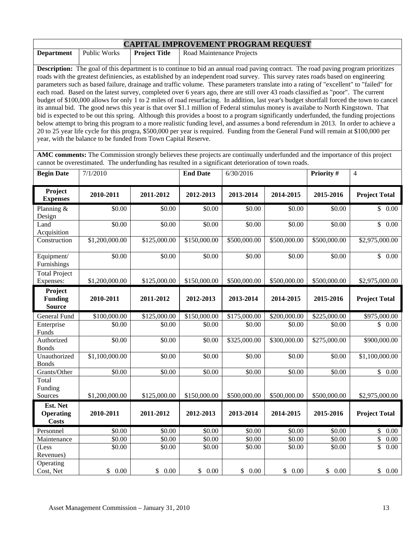| <b>CAPITAL IMPROVEMENT PROGRAM REQUEST</b> |                                                                                                                                           |                      |                                                                                                                                                                                                                                                                                                                                                                                                                                                              |  |  |  |  |  |
|--------------------------------------------|-------------------------------------------------------------------------------------------------------------------------------------------|----------------------|--------------------------------------------------------------------------------------------------------------------------------------------------------------------------------------------------------------------------------------------------------------------------------------------------------------------------------------------------------------------------------------------------------------------------------------------------------------|--|--|--|--|--|
| <b>Department</b>                          | <b>Public Works</b>                                                                                                                       | <b>Project Title</b> | Road Maintenance Projects                                                                                                                                                                                                                                                                                                                                                                                                                                    |  |  |  |  |  |
|                                            |                                                                                                                                           |                      |                                                                                                                                                                                                                                                                                                                                                                                                                                                              |  |  |  |  |  |
|                                            | <b>Description:</b> The goal of this department is to continue to bid an annual road paving contract. The road paving program prioritizes |                      |                                                                                                                                                                                                                                                                                                                                                                                                                                                              |  |  |  |  |  |
|                                            | roads with the greatest definiencies, as established by an independent road survey. This survey rates roads based on engineering          |                      |                                                                                                                                                                                                                                                                                                                                                                                                                                                              |  |  |  |  |  |
|                                            |                                                                                                                                           |                      | $\mathcal{A} = \mathcal{A} = \mathcal{A} = \mathcal{A} = \mathcal{A} = \mathcal{A} = \mathcal{A} = \mathcal{A} = \mathcal{A} = \mathcal{A} = \mathcal{A} = \mathcal{A} = \mathcal{A} = \mathcal{A} = \mathcal{A} = \mathcal{A} = \mathcal{A} = \mathcal{A} = \mathcal{A} = \mathcal{A} = \mathcal{A} = \mathcal{A} = \mathcal{A} = \mathcal{A} = \mathcal{A} = \mathcal{A} = \mathcal{A} = \mathcal{A} = \mathcal{A} = \mathcal{A} = \mathcal{A} = \mathcal$ |  |  |  |  |  |

parameters such as based failure, drainage and traffic volume. These parameters translate into a rating of "excellent" to "failed" for each road. Based on the latest survey, completed over 6 years ago, there are still over 43 roads classified as "poor". The current budget of \$100,000 allows for only 1 to 2 miles of road resurfacing. In addition, last year's budget shortfall forced the town to cancel its annual bid. The good news this year is that over \$1.1 million of Federal stimulus money is availabe to North Kingstown. That bid is expected to be out this spring. Although this provides a boost to a program significantly underfunded, the funding projections below attempt to bring this program to a more realistic funding level, and assumes a bond referendum in 2013. In order to achieve a 20 to 25 year life cycle for this progra, \$500,000 per year is required. Funding from the General Fund will remain at \$100,000 per year, with the balance to be funded from Town Capital Reserve.

**AMC comments:** The Commission strongly believes these projects are continually underfunded and the importance of this project cannot be overestimated. The underfunding has resulted in a significant deterioration of town roads.

| <b>Begin Date</b>                            | 7/1/2010       |              | <b>End Date</b>       | 6/30/2016          |              | Priority #   | $\overline{4}$                       |
|----------------------------------------------|----------------|--------------|-----------------------|--------------------|--------------|--------------|--------------------------------------|
| Project<br><b>Expenses</b>                   | 2010-2011      | 2011-2012    | 2012-2013             | 2013-2014          | 2014-2015    | 2015-2016    | <b>Project Total</b>                 |
| Planning &<br>Design                         | \$0.00         | \$0.00       | \$0.00                | \$0.00             | \$0.00       | \$0.00       | \$0.00                               |
| Land<br>Acquisition                          | \$0.00         | \$0.00       | \$0.00                | \$0.00             | \$0.00       | \$0.00       | $\overline{\$}$<br>0.00              |
| Construction                                 | \$1,200,000.00 | \$125,000.00 | \$150,000.00          | \$500,000.00       | \$500,000.00 | \$500,000.00 | \$2,975,000.00                       |
| Equipment/<br>Furnishings                    | \$0.00         | \$0.00       | \$0.00                | \$0.00             | \$0.00       | \$0.00       | $\mathbb{S}$<br>0.00                 |
| <b>Total Project</b><br>Expenses:            | \$1,200,000.00 | \$125,000.00 | \$150,000.00          | \$500,000.00       | \$500,000.00 | \$500,000.00 | \$2,975,000.00                       |
| Project<br><b>Funding</b><br><b>Source</b>   | 2010-2011      | 2011-2012    | 2012-2013             | 2013-2014          | 2014-2015    | 2015-2016    | <b>Project Total</b>                 |
| <b>General Fund</b>                          | \$100,000.00   | \$125,000.00 | \$150,000.00          | \$175,000.00       | \$200,000.00 | \$225,000.00 | \$975,000.00                         |
| Enterprise<br>Funds                          | \$0.00         | \$0.00       | \$0.00                | \$0.00             | \$0.00       | \$0.00       | \$<br>0.00                           |
| Authorized<br><b>Bonds</b>                   | \$0.00         | \$0.00       | \$0.00                | \$325,000.00       | \$300,000.00 | \$275,000.00 | \$900,000.00                         |
| Unauthorized<br><b>Bonds</b>                 | \$1,100,000.00 | \$0.00       | \$0.00                | \$0.00             | \$0.00       | \$0.00       | \$1,100,000.00                       |
| Grants/Other                                 | \$0.00         | \$0.00       | \$0.00                | \$0.00             | \$0.00       | \$0.00       | \$0.00                               |
| Total<br>Funding<br>Sources                  | \$1,200,000.00 | \$125,000.00 | \$150,000.00          | \$500,000.00       | \$500,000.00 | \$500,000.00 | \$2,975,000.00                       |
| Est. Net<br><b>Operating</b><br><b>Costs</b> | 2010-2011      | 2011-2012    | 2012-2013             | 2013-2014          | 2014-2015    | 2015-2016    | <b>Project Total</b>                 |
| Personnel                                    | \$0.00         | \$0.00       | \$0.00                | \$0.00             | \$0.00       | \$0.00       | \$<br>0.00                           |
| Maintenance                                  | \$0.00         | \$0.00       | \$0.00                | $\overline{$}0.00$ | \$0.00       | \$0.00       | $\overline{\$}$<br>0.00              |
| (Less<br>Revenues)                           | \$0.00         | \$0.00       | \$0.00                | \$0.00             | \$0.00       | \$0.00       | $\overline{\$}$<br>$\overline{0.00}$ |
| Operating<br>Cost, Net                       | \$0.00         | \$0.00       | $\mathcal{S}$<br>0.00 | \$0.00             | \$0.00       | \$<br>0.00   | 0.00<br>\$                           |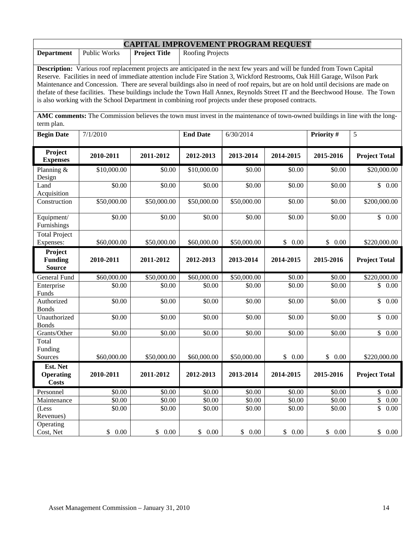| <b>CAPITAL IMPROVEMENT PROGRAM REQUEST</b>                                                                                                                                                                                                                                                                                                                                                                                                                                                                                                                                                                                               |                                                                        |                       |                       |                       |                  |                  |                        |  |
|------------------------------------------------------------------------------------------------------------------------------------------------------------------------------------------------------------------------------------------------------------------------------------------------------------------------------------------------------------------------------------------------------------------------------------------------------------------------------------------------------------------------------------------------------------------------------------------------------------------------------------------|------------------------------------------------------------------------|-----------------------|-----------------------|-----------------------|------------------|------------------|------------------------|--|
| <b>Department</b>                                                                                                                                                                                                                                                                                                                                                                                                                                                                                                                                                                                                                        | <b>Project Title</b><br><b>Public Works</b><br><b>Roofing Projects</b> |                       |                       |                       |                  |                  |                        |  |
| Description: Various roof replacement projects are anticipated in the next few years and will be funded from Town Capital<br>Reserve. Facilities in need of immediate attention include Fire Station 3, Wickford Restrooms, Oak Hill Garage, Wilson Park<br>Maintenance and Concession. There are several buildings also in need of roof repairs, but are on hold until decisions are made on<br>thefate of these facilities. These buildings include the Town Hall Annex, Reynolds Street IT and the Beechwood House. The Town<br>is also working with the School Department in combining roof projects under these proposed contracts. |                                                                        |                       |                       |                       |                  |                  |                        |  |
| AMC comments: The Commission believes the town must invest in the maintenance of town-owned buildings in line with the long-<br>term plan.                                                                                                                                                                                                                                                                                                                                                                                                                                                                                               |                                                                        |                       |                       |                       |                  |                  |                        |  |
| <b>Begin Date</b>                                                                                                                                                                                                                                                                                                                                                                                                                                                                                                                                                                                                                        | 7/1/2010                                                               |                       | <b>End Date</b>       | 6/30/2014             |                  | Priority#        | 5                      |  |
| Project<br><b>Expenses</b>                                                                                                                                                                                                                                                                                                                                                                                                                                                                                                                                                                                                               | 2010-2011                                                              | 2011-2012             | 2012-2013             | 2013-2014             | 2014-2015        | 2015-2016        | <b>Project Total</b>   |  |
| Planning &<br>Design                                                                                                                                                                                                                                                                                                                                                                                                                                                                                                                                                                                                                     | \$10,000.00                                                            | \$0.00                | \$10,000.00           | \$0.00                | \$0.00           | \$0.00           | \$20,000.00            |  |
| Land<br>Acquisition                                                                                                                                                                                                                                                                                                                                                                                                                                                                                                                                                                                                                      | \$0.00                                                                 | \$0.00                | \$0.00                | \$0.00                | \$0.00           | \$0.00           | \$<br>0.00             |  |
| Construction                                                                                                                                                                                                                                                                                                                                                                                                                                                                                                                                                                                                                             | \$50,000.00                                                            | \$50,000.00           | \$50,000.00           | \$50,000.00           | \$0.00           | \$0.00           | \$200,000.00           |  |
| Equipment/<br>Furnishings                                                                                                                                                                                                                                                                                                                                                                                                                                                                                                                                                                                                                | \$0.00                                                                 | \$0.00                | \$0.00                | \$0.00                | \$0.00           | \$0.00           | $\mathbb{S}$<br>0.00   |  |
| <b>Total Project</b><br>Expenses:                                                                                                                                                                                                                                                                                                                                                                                                                                                                                                                                                                                                        | \$60,000.00                                                            | \$50,000.00           | \$60,000.00           | \$50,000.00           | \$0.00           | \$0.00           | \$220,000.00           |  |
| Project<br><b>Funding</b><br><b>Source</b>                                                                                                                                                                                                                                                                                                                                                                                                                                                                                                                                                                                               | 2010-2011                                                              | 2011-2012             | 2012-2013             | 2013-2014             | 2014-2015        | 2015-2016        | <b>Project Total</b>   |  |
| General Fund                                                                                                                                                                                                                                                                                                                                                                                                                                                                                                                                                                                                                             | \$60,000.00                                                            | \$50,000.00           | \$60,000.00           | \$50,000.00           | \$0.00           | \$0.00           | \$220,000.00           |  |
| Enterprise<br>Funds                                                                                                                                                                                                                                                                                                                                                                                                                                                                                                                                                                                                                      | \$0.00                                                                 | \$0.00                | \$0.00                | \$0.00                | \$0.00           | \$0.00           | \$<br>0.00             |  |
| Authorized<br><b>Bonds</b>                                                                                                                                                                                                                                                                                                                                                                                                                                                                                                                                                                                                               | \$0.00                                                                 | \$0.00                | \$0.00                | \$0.00                | \$0.00           | \$0.00           | \$<br>0.00             |  |
| Unauthorized<br><b>Bonds</b>                                                                                                                                                                                                                                                                                                                                                                                                                                                                                                                                                                                                             | \$0.00                                                                 | \$0.00                | \$0.00                | \$0.00                | \$0.00           | \$0.00           | \$<br>0.00             |  |
| Grants/Other<br>Total<br>Funding<br>Sources                                                                                                                                                                                                                                                                                                                                                                                                                                                                                                                                                                                              | \$0.00<br>\$60,000.00                                                  | \$0.00<br>\$50,000.00 | \$0.00<br>\$60,000.00 | \$0.00<br>\$50,000.00 | \$0.00<br>\$0.00 | \$0.00<br>\$0.00 | \$0.00<br>\$220,000.00 |  |
| Est. Net                                                                                                                                                                                                                                                                                                                                                                                                                                                                                                                                                                                                                                 |                                                                        |                       |                       |                       |                  |                  |                        |  |
| <b>Operating</b><br><b>Costs</b>                                                                                                                                                                                                                                                                                                                                                                                                                                                                                                                                                                                                         | 2010-2011                                                              | 2011-2012             | 2012-2013             | 2013-2014             | 2014-2015        | 2015-2016        | <b>Project Total</b>   |  |
| Personnel                                                                                                                                                                                                                                                                                                                                                                                                                                                                                                                                                                                                                                | \$0.00                                                                 | \$0.00                | \$0.00                | \$0.00                | \$0.00           | \$0.00           | \$<br>0.00             |  |
| Maintenance                                                                                                                                                                                                                                                                                                                                                                                                                                                                                                                                                                                                                              | \$0.00                                                                 | \$0.00                | \$0.00                | \$0.00                | \$0.00           | \$0.00           | \$<br>0.00             |  |
| (Less<br>Revenues)                                                                                                                                                                                                                                                                                                                                                                                                                                                                                                                                                                                                                       | \$0.00                                                                 | \$0.00                | \$0.00                | \$0.00                | \$0.00           | \$0.00           | \$<br>0.00             |  |
| Operating<br>Cost, Net                                                                                                                                                                                                                                                                                                                                                                                                                                                                                                                                                                                                                   | \$0.00                                                                 | \$0.00                | \$0.00                | \$0.00                | \$0.00           | \$0.00           | \$0.00                 |  |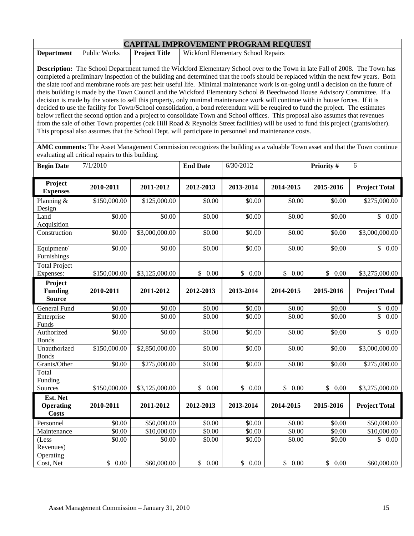| <b>CAPITAL IMPROVEMENT PROGRAM REQUEST</b> |              |                      |                                                                                                                                       |  |  |  |  |
|--------------------------------------------|--------------|----------------------|---------------------------------------------------------------------------------------------------------------------------------------|--|--|--|--|
| <b>Department</b>                          | Public Works | <b>Project Title</b> | <b>Wickford Elementary School Repairs</b>                                                                                             |  |  |  |  |
|                                            |              |                      |                                                                                                                                       |  |  |  |  |
|                                            |              |                      | <b>Description:</b> The School Department turned the Wickford Elementary School over to the Town in late Fall of 2008. The Town has   |  |  |  |  |
|                                            |              |                      | completed a preliminary inspection of the building and determined that the roofs should be replaced within the next few years. Both   |  |  |  |  |
|                                            |              |                      | the slate roof and membrane roofs are past heir useful life. Minimal maintenance work is on-going until a decision on the future of   |  |  |  |  |
|                                            |              |                      | theis building is made by the Town Council and the Wickford Elementary School & Beechwood House Advisory Committee. If a              |  |  |  |  |
|                                            |              |                      | decision is made by the voters to sell this property, only minimal maintenance work will continue with in house forces. If it is      |  |  |  |  |
|                                            |              |                      | decided to use the facility for Town/School consolidation, a bond referendum will be reugired to fund the project. The estimates      |  |  |  |  |
|                                            |              |                      | below reflect the second option and a project to consolidate Town and School offices. This proposal also assumes that revenues        |  |  |  |  |
|                                            |              |                      | from the sale of other Town properties (oak Hill Road & Reynolds Street facilities) will be used to fund this project (grants/other). |  |  |  |  |
|                                            |              |                      | This proposal also assumes that the School Dept. will participate in personnel and maintenance costs.                                 |  |  |  |  |

**AMC comments:** The Asset Management Commission recognizes the building as a valuable Town asset and that the Town continue evaluating all critical repairs to this building.

| <b>Begin Date</b>                            | 7/1/2010     |                | <b>End Date</b> | 6/30/2012          |           | Priority # | 6                                            |
|----------------------------------------------|--------------|----------------|-----------------|--------------------|-----------|------------|----------------------------------------------|
| Project<br><b>Expenses</b>                   | 2010-2011    | 2011-2012      | 2012-2013       | 2013-2014          | 2014-2015 | 2015-2016  | <b>Project Total</b>                         |
| Planning $&$<br>Design                       | \$150,000.00 | \$125,000.00   | \$0.00          | \$0.00             | \$0.00    | \$0.00     | \$275,000.00                                 |
| Land<br>Acquisition                          | \$0.00       | \$0.00         | \$0.00          | \$0.00             | \$0.00    | \$0.00     | $\overline{\mathbb{S}}$<br>$\overline{0.00}$ |
| Construction                                 | \$0.00       | \$3,000,000.00 | \$0.00          | \$0.00             | \$0.00    | \$0.00     | \$3,000,000.00                               |
| Equipment/<br>Furnishings                    | \$0.00       | \$0.00         | \$0.00          | \$0.00             | \$0.00    | \$0.00     | \$0.00                                       |
| <b>Total Project</b><br>Expenses:            | \$150,000.00 | \$3,125,000.00 | \$0.00          | \$0.00             | \$0.00    | \$0.00     | \$3,275,000.00                               |
| Project<br><b>Funding</b><br><b>Source</b>   | 2010-2011    | 2011-2012      | 2012-2013       | 2013-2014          | 2014-2015 | 2015-2016  | <b>Project Total</b>                         |
| General Fund                                 | \$0.00       | \$0.00         | \$0.00          | $\overline{$}0.00$ | \$0.00    | \$0.00     | \$<br>0.00                                   |
| Enterprise<br>Funds                          | \$0.00       | \$0.00         | \$0.00          | \$0.00             | \$0.00    | \$0.00     | \$<br>0.00                                   |
| Authorized<br><b>Bonds</b>                   | \$0.00       | \$0.00         | \$0.00          | \$0.00             | \$0.00    | \$0.00     | \$<br>0.00                                   |
| Unauthorized<br><b>Bonds</b>                 | \$150,000.00 | \$2,850,000.00 | \$0.00          | \$0.00             | \$0.00    | \$0.00     | \$3,000,000.00                               |
| Grants/Other                                 | \$0.00       | \$275,000.00   | \$0.00          | \$0.00             | \$0.00    | \$0.00     | \$275,000.00                                 |
| Total<br>Funding                             |              |                |                 |                    |           |            |                                              |
| Sources                                      | \$150,000.00 | \$3,125,000.00 | \$0.00          | $\$$ 0.00          | \$0.00    | \$0.00     | \$3,275,000.00                               |
| Est. Net<br><b>Operating</b><br><b>Costs</b> | 2010-2011    | 2011-2012      | 2012-2013       | 2013-2014          | 2014-2015 | 2015-2016  | <b>Project Total</b>                         |
| Personnel                                    | \$0.00       | \$50,000.00    | \$0.00          | \$0.00             | \$0.00    | \$0.00     | \$50,000.00                                  |
| Maintenance                                  | \$0.00       | \$10,000.00    | \$0.00          | \$0.00             | \$0.00    | \$0.00     | \$10,000.00                                  |
| (Less<br>Revenues)                           | \$0.00       | \$0.00         | \$0.00          | \$0.00             | \$0.00    | \$0.00     | \$<br>0.00                                   |
| Operating<br>Cost, Net                       | \$0.00       | \$60,000.00    | \$0.00          | \$0.00             | \$0.00    | \$0.00     | \$60,000.00                                  |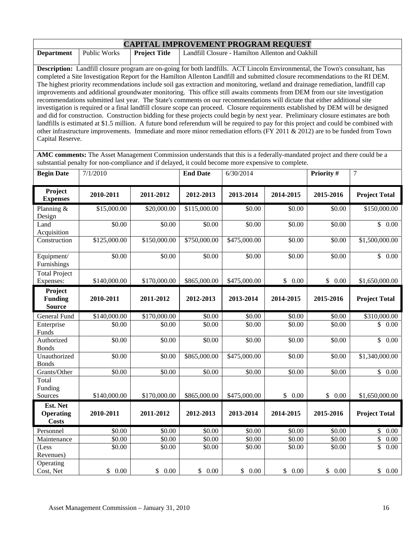| <b>Department</b>                                                                                                                                                                                                                                                                                                                                                                                                                                                                                                                                                                                                                                                                                                                                                                                                                                                                                                                                                                                                                                                                                                                                                                                                                                                                                                                                                                                                                                                    | Public Works<br><b>Project Title</b><br>Landfill Closure - Hamilton Allenton and Oakhill |              |                 |              |           |            |                      |  |  |
|----------------------------------------------------------------------------------------------------------------------------------------------------------------------------------------------------------------------------------------------------------------------------------------------------------------------------------------------------------------------------------------------------------------------------------------------------------------------------------------------------------------------------------------------------------------------------------------------------------------------------------------------------------------------------------------------------------------------------------------------------------------------------------------------------------------------------------------------------------------------------------------------------------------------------------------------------------------------------------------------------------------------------------------------------------------------------------------------------------------------------------------------------------------------------------------------------------------------------------------------------------------------------------------------------------------------------------------------------------------------------------------------------------------------------------------------------------------------|------------------------------------------------------------------------------------------|--------------|-----------------|--------------|-----------|------------|----------------------|--|--|
| Description: Landfill closure program are on-going for both landfills. ACT Lincoln Environmental, the Town's consultant, has<br>completed a Site Investigation Report for the Hamilton Allenton Landfill and submitted closure recommendations to the RI DEM.<br>The highest priority recommendations include soil gas extraction and monitoring, wetland and drainage remediation, landfill cap<br>improvements and additional groundwater monitoring. This office still awaits comments from DEM from our site investigation<br>recommendations submitted last year. The State's comments on our recommendations will dictate that either additional site<br>investigation is required or a final landfill closure scope can proceed. Closure requirements established by DEM will be designed<br>and did for construction. Construction bidding for these projects could begin by next year. Preliminary closure estimates are both<br>landfills is estimated at \$1.5 million. A future bond referendum will be required to pay for this project and could be combined with<br>other infrastructure improvements. Immediate and more minor remediation efforts (FY 2011 & 2012) are to be funded from Town<br>Capital Reserve.<br>AMC comments: The Asset Management Commission understands that this is a federally-mandated project and there could be a<br>substantial penalty for non-compliance and if delayed, it could become more expensive to complete. |                                                                                          |              |                 |              |           |            |                      |  |  |
| <b>Begin Date</b>                                                                                                                                                                                                                                                                                                                                                                                                                                                                                                                                                                                                                                                                                                                                                                                                                                                                                                                                                                                                                                                                                                                                                                                                                                                                                                                                                                                                                                                    | 7/1/2010                                                                                 |              | <b>End Date</b> | 6/30/2014    |           | Priority # | 7                    |  |  |
| Project<br><b>Expenses</b>                                                                                                                                                                                                                                                                                                                                                                                                                                                                                                                                                                                                                                                                                                                                                                                                                                                                                                                                                                                                                                                                                                                                                                                                                                                                                                                                                                                                                                           | 2010-2011                                                                                | 2011-2012    | 2012-2013       | 2013-2014    | 2014-2015 | 2015-2016  | <b>Project Total</b> |  |  |
| Planning &<br>Design                                                                                                                                                                                                                                                                                                                                                                                                                                                                                                                                                                                                                                                                                                                                                                                                                                                                                                                                                                                                                                                                                                                                                                                                                                                                                                                                                                                                                                                 | \$15,000.00                                                                              | \$20,000.00  | \$115,000.00    | \$0.00       | \$0.00    | \$0.00     | \$150,000.00         |  |  |
| Land<br>Acquisition                                                                                                                                                                                                                                                                                                                                                                                                                                                                                                                                                                                                                                                                                                                                                                                                                                                                                                                                                                                                                                                                                                                                                                                                                                                                                                                                                                                                                                                  | \$0.00                                                                                   | \$0.00       | \$0.00          | \$0.00       | \$0.00    | \$0.00     | \$0.00               |  |  |
| Construction                                                                                                                                                                                                                                                                                                                                                                                                                                                                                                                                                                                                                                                                                                                                                                                                                                                                                                                                                                                                                                                                                                                                                                                                                                                                                                                                                                                                                                                         | \$125,000.00                                                                             | \$150,000.00 | \$750,000.00    | \$475,000.00 | \$0.00    | \$0.00     | \$1,500,000.00       |  |  |
| Equipment/<br>Furnishings                                                                                                                                                                                                                                                                                                                                                                                                                                                                                                                                                                                                                                                                                                                                                                                                                                                                                                                                                                                                                                                                                                                                                                                                                                                                                                                                                                                                                                            | \$0.00                                                                                   | \$0.00       | \$0.00          | \$0.00       | \$0.00    | \$0.00     | \$0.00               |  |  |
| <b>Total Project</b><br>Expenses:                                                                                                                                                                                                                                                                                                                                                                                                                                                                                                                                                                                                                                                                                                                                                                                                                                                                                                                                                                                                                                                                                                                                                                                                                                                                                                                                                                                                                                    | \$140,000.00                                                                             | \$170,000.00 | \$865,000.00    | \$475,000.00 | \$0.00    | \$0.00     | \$1,650,000.00       |  |  |
| Project<br><b>Funding</b><br><b>Source</b>                                                                                                                                                                                                                                                                                                                                                                                                                                                                                                                                                                                                                                                                                                                                                                                                                                                                                                                                                                                                                                                                                                                                                                                                                                                                                                                                                                                                                           | 2010-2011                                                                                | 2011-2012    | 2012-2013       | 2013-2014    | 2014-2015 | 2015-2016  | <b>Project Total</b> |  |  |
| General Fund                                                                                                                                                                                                                                                                                                                                                                                                                                                                                                                                                                                                                                                                                                                                                                                                                                                                                                                                                                                                                                                                                                                                                                                                                                                                                                                                                                                                                                                         | \$140,000.00                                                                             | \$170,000.00 | \$0.00          | \$0.00       | \$0.00    | \$0.00     | \$310,000.00         |  |  |
| Enterprise<br>Funds                                                                                                                                                                                                                                                                                                                                                                                                                                                                                                                                                                                                                                                                                                                                                                                                                                                                                                                                                                                                                                                                                                                                                                                                                                                                                                                                                                                                                                                  | \$0.00                                                                                   | \$0.00       | \$0.00          | \$0.00       | \$0.00    | \$0.00     | \$0.00               |  |  |
| Authorized<br><b>Bonds</b>                                                                                                                                                                                                                                                                                                                                                                                                                                                                                                                                                                                                                                                                                                                                                                                                                                                                                                                                                                                                                                                                                                                                                                                                                                                                                                                                                                                                                                           | \$0.00                                                                                   | \$0.00       | \$0.00          | \$0.00       | \$0.00    | \$0.00     | \$0.00               |  |  |
| Unauthorized<br><b>Bonds</b>                                                                                                                                                                                                                                                                                                                                                                                                                                                                                                                                                                                                                                                                                                                                                                                                                                                                                                                                                                                                                                                                                                                                                                                                                                                                                                                                                                                                                                         | \$0.00                                                                                   | \$0.00       | \$865,000.00    | \$475,000.00 | \$0.00    | \$0.00     | \$1,340,000.00       |  |  |
| Grants/Other                                                                                                                                                                                                                                                                                                                                                                                                                                                                                                                                                                                                                                                                                                                                                                                                                                                                                                                                                                                                                                                                                                                                                                                                                                                                                                                                                                                                                                                         | \$0.00                                                                                   | \$0.00       | \$0.00          | \$0.00       | \$0.00    | \$0.00     | \$0.00               |  |  |
| Total<br>Funding                                                                                                                                                                                                                                                                                                                                                                                                                                                                                                                                                                                                                                                                                                                                                                                                                                                                                                                                                                                                                                                                                                                                                                                                                                                                                                                                                                                                                                                     |                                                                                          |              |                 |              |           |            |                      |  |  |
| Sources                                                                                                                                                                                                                                                                                                                                                                                                                                                                                                                                                                                                                                                                                                                                                                                                                                                                                                                                                                                                                                                                                                                                                                                                                                                                                                                                                                                                                                                              | \$140,000.00                                                                             | \$170,000.00 | \$865,000.00    | \$475,000.00 | \$0.00    | \$0.00     | \$1,650,000.00       |  |  |
| Est. Net                                                                                                                                                                                                                                                                                                                                                                                                                                                                                                                                                                                                                                                                                                                                                                                                                                                                                                                                                                                                                                                                                                                                                                                                                                                                                                                                                                                                                                                             |                                                                                          |              |                 |              |           |            |                      |  |  |
| <b>Operating</b><br><b>Costs</b>                                                                                                                                                                                                                                                                                                                                                                                                                                                                                                                                                                                                                                                                                                                                                                                                                                                                                                                                                                                                                                                                                                                                                                                                                                                                                                                                                                                                                                     | 2010-2011                                                                                | 2011-2012    | 2012-2013       | 2013-2014    | 2014-2015 | 2015-2016  | <b>Project Total</b> |  |  |
| Personnel                                                                                                                                                                                                                                                                                                                                                                                                                                                                                                                                                                                                                                                                                                                                                                                                                                                                                                                                                                                                                                                                                                                                                                                                                                                                                                                                                                                                                                                            | \$0.00                                                                                   | \$0.00       | \$0.00          | \$0.00       | \$0.00    | \$0.00     | \$0.00               |  |  |
| Maintenance                                                                                                                                                                                                                                                                                                                                                                                                                                                                                                                                                                                                                                                                                                                                                                                                                                                                                                                                                                                                                                                                                                                                                                                                                                                                                                                                                                                                                                                          | \$0.00                                                                                   | \$0.00       | \$0.00          | \$0.00       | \$0.00    | \$0.00     | \$<br>0.00           |  |  |
| (Less<br>Revenues)                                                                                                                                                                                                                                                                                                                                                                                                                                                                                                                                                                                                                                                                                                                                                                                                                                                                                                                                                                                                                                                                                                                                                                                                                                                                                                                                                                                                                                                   | \$0.00                                                                                   | \$0.00       | \$0.00          | \$0.00       | \$0.00    | \$0.00     | \$<br>0.00           |  |  |

Cost, Net \$ 0.00 \$ 0.00 \$ 0.00 \$ 0.00 \$ 0.00 \$ 0.00 \$ 0.00

**CAPITAL IMPROVEMENT PROGRAM REQUEST**

Operating<br>Cost, Net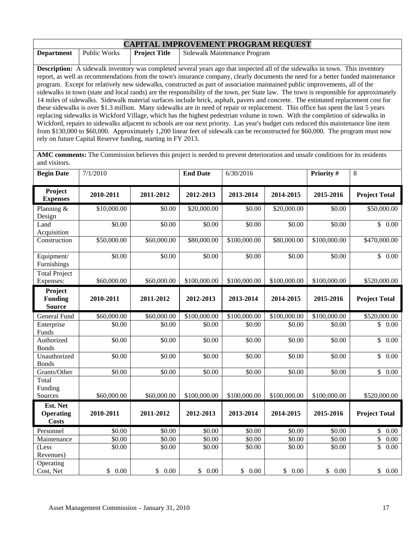| <b>CAPITAL IMPROVEMENT PROGRAM REQUEST</b>                                                                                  |                                                                                                                                     |                      |                                                                                                                                        |  |  |  |  |
|-----------------------------------------------------------------------------------------------------------------------------|-------------------------------------------------------------------------------------------------------------------------------------|----------------------|----------------------------------------------------------------------------------------------------------------------------------------|--|--|--|--|
| <b>Department</b>                                                                                                           | Public Works                                                                                                                        | <b>Project Title</b> | Sidewalk Maintenance Program                                                                                                           |  |  |  |  |
|                                                                                                                             |                                                                                                                                     |                      |                                                                                                                                        |  |  |  |  |
|                                                                                                                             |                                                                                                                                     |                      | <b>Description:</b> A sidewalk inventory was completed several years ago that inspected all of the sidewalks in town. This inventory   |  |  |  |  |
|                                                                                                                             |                                                                                                                                     |                      | report, as well as recommendations from the town's insurance company, clearly documents the need for a better funded maintenance       |  |  |  |  |
| program. Except for relatively new sidewalks, constructed as part of association maintained public improvements, all of the |                                                                                                                                     |                      |                                                                                                                                        |  |  |  |  |
|                                                                                                                             |                                                                                                                                     |                      | sidewalks in town (state and local raods) are the responsibility of the town, per State law. The town is responsible for approximately |  |  |  |  |
|                                                                                                                             |                                                                                                                                     |                      | 14 miles of sidewalks. Sidewalk material surfaces include brick, asphalt, pavers and concrete. The estimated replacement cost for      |  |  |  |  |
|                                                                                                                             |                                                                                                                                     |                      | these sidewalks is over \$1.3 million. Many sidewalks are in need of repair or replacement. This office has spent the last 5 years     |  |  |  |  |
|                                                                                                                             |                                                                                                                                     |                      | replacing sidewalks in Wickford Village, which has the highest pedestrian volume in town. With the completion of sidewalks in          |  |  |  |  |
|                                                                                                                             | Wickford, repairs to sidewalks adjacent to schools are our next priority. Las year's budget cuts reduced this maintenance line item |                      |                                                                                                                                        |  |  |  |  |
|                                                                                                                             |                                                                                                                                     |                      | from \$130,000 to \$60,000. Approximately 1,200 linear feet of sidewalk can be reconstructed for \$60,000. The program must now        |  |  |  |  |
|                                                                                                                             | rely on future Capital Reserve funding, starting in FY 2013.                                                                        |                      |                                                                                                                                        |  |  |  |  |

**AMC comments:** The Commission believes this project is needed to prevent deterioration and unsafe conditions for its residents and visitors.

| <b>Begin Date</b>                          | 7/1/2010    |             | <b>End Date</b> | 6/30/2016    |              | Priority #   | 8                               |
|--------------------------------------------|-------------|-------------|-----------------|--------------|--------------|--------------|---------------------------------|
| Project<br><b>Expenses</b>                 | 2010-2011   | 2011-2012   | 2012-2013       | 2013-2014    | 2014-2015    | 2015-2016    | <b>Project Total</b>            |
| Planning $&$<br>Design                     | \$10,000.00 | \$0.00      | \$20,000.00     | \$0.00       | \$20,000.00  | \$0.00       | \$50,000.00                     |
| Land<br>Acquisition                        | \$0.00      | \$0.00      | \$0.00          | \$0.00       | \$0.00       | \$0.00       | \$0.00                          |
| Construction                               | \$50,000.00 | \$60,000.00 | \$80,000.00     | \$100,000.00 | \$80,000.00  | \$100,000.00 | \$470,000.00                    |
| Equipment/<br>Furnishings                  | \$0.00      | \$0.00      | \$0.00          | \$0.00       | \$0.00       | \$0.00       | $\mathbb{S}$<br>0.00            |
| <b>Total Project</b><br>Expenses:          | \$60,000.00 | \$60,000.00 | \$100,000.00    | \$100,000.00 | \$100,000.00 | \$100,000.00 | \$520,000.00                    |
| Project<br><b>Funding</b><br><b>Source</b> | 2010-2011   | 2011-2012   | 2012-2013       | 2013-2014    | 2014-2015    | 2015-2016    | <b>Project Total</b>            |
| <b>General Fund</b>                        | \$60,000.00 | \$60,000.00 | \$100,000.00    | \$100,000.00 | \$100,000.00 | \$100,000.00 | \$520,000.00                    |
| Enterprise<br>Funds                        | \$0.00      | \$0.00      | \$0.00          | \$0.00       | \$0.00       | \$0.00       | \$<br>0.00                      |
| Authorized<br><b>Bonds</b>                 | \$0.00      | \$0.00      | $\sqrt{$0.00}$  | \$0.00       | \$0.00       | \$0.00       | $\overline{\mathbb{S}}$<br>0.00 |
| Unauthorized<br><b>Bonds</b>               | \$0.00      | \$0.00      | \$0.00          | \$0.00       | \$0.00       | \$0.00       | \$<br>0.00                      |
| Grants/Other                               | \$0.00      | \$0.00      | \$0.00          | \$0.00       | \$0.00       | \$0.00       | $\mathbb{S}$<br>0.00            |
| Total<br>Funding<br>Sources                | \$60,000.00 | \$60,000.00 | \$100,000.00    | \$100,000.00 | \$100,000.00 | \$100,000.00 | \$520,000.00                    |
| Est. Net                                   |             |             |                 |              |              |              |                                 |
| <b>Operating</b><br><b>Costs</b>           | 2010-2011   | 2011-2012   | 2012-2013       | 2013-2014    | 2014-2015    | 2015-2016    | <b>Project Total</b>            |
| Personnel                                  | \$0.00      | \$0.00      | \$0.00          | \$0.00       | \$0.00       | \$0.00       | \$<br>0.00                      |
| Maintenance                                | \$0.00      | \$0.00      | \$0.00          | \$0.00       | \$0.00       | \$0.00       | $\overline{\$}$<br>0.00         |
| (Less<br>Revenues)                         | \$0.00      | \$0.00      | \$0.00          | \$0.00       | \$0.00       | \$0.00       | \$<br>0.00                      |
| Operating<br>Cost, Net                     | \$0.00      | \$0.00      | \$0.00          | \$0.00       | \$0.00       | \$0.00       | \$0.00                          |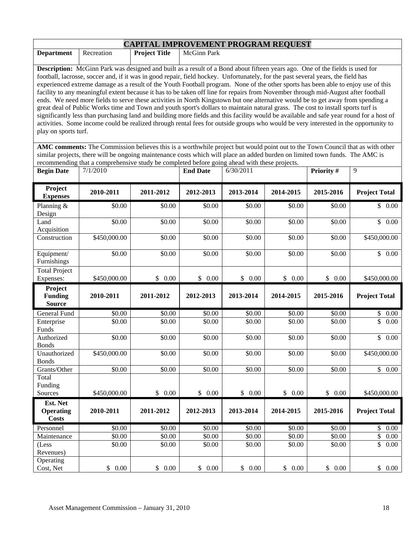|                                                                                                                                                                                                                                                                                                                                                                                                                                                                                                                                                                                                                                                                                                                                                                                                                                                                                                                                                                                                                                                                                                                                    |                                                                                                                               | <b>CAPITAL IMPROVEMENT PROGRAM REQUEST</b> |                 |            |           |            |                       |  |  |
|------------------------------------------------------------------------------------------------------------------------------------------------------------------------------------------------------------------------------------------------------------------------------------------------------------------------------------------------------------------------------------------------------------------------------------------------------------------------------------------------------------------------------------------------------------------------------------------------------------------------------------------------------------------------------------------------------------------------------------------------------------------------------------------------------------------------------------------------------------------------------------------------------------------------------------------------------------------------------------------------------------------------------------------------------------------------------------------------------------------------------------|-------------------------------------------------------------------------------------------------------------------------------|--------------------------------------------|-----------------|------------|-----------|------------|-----------------------|--|--|
| <b>Department</b>                                                                                                                                                                                                                                                                                                                                                                                                                                                                                                                                                                                                                                                                                                                                                                                                                                                                                                                                                                                                                                                                                                                  | Recreation                                                                                                                    | <b>Project Title</b>                       | McGinn Park     |            |           |            |                       |  |  |
| <b>Description:</b> McGinn Park was designed and built as a result of a Bond about fifteen years ago. One of the fields is used for<br>football, lacrosse, soccer and, if it was in good repair, field hockey. Unfortunately, for the past several years, the field has<br>experienced extreme damage as a result of the Youth Football program. None of the other sports has been able to enjoy use of this<br>facility to any meaningful extent because it has to be taken off line for repairs from November through mid-August after football<br>ends. We need more fields to serve these activities in North Kingstown but one alternative would be to get away from spending a<br>great deal of Public Works time and Town and youth sport's dollars to maintain natural grass. The cost to install sports turf is<br>significantly less than purchasing land and building more fields and this facility would be available and safe year round for a host of<br>activities. Some income could be realized through rental fees for outside groups who would be very interested in the opportunity to<br>play on sports turf. |                                                                                                                               |                                            |                 |            |           |            |                       |  |  |
|                                                                                                                                                                                                                                                                                                                                                                                                                                                                                                                                                                                                                                                                                                                                                                                                                                                                                                                                                                                                                                                                                                                                    | AMC comments: The Commission believes this is a worthwhile project but would point out to the Town Council that as with other |                                            |                 |            |           |            |                       |  |  |
|                                                                                                                                                                                                                                                                                                                                                                                                                                                                                                                                                                                                                                                                                                                                                                                                                                                                                                                                                                                                                                                                                                                                    | similar projects, there will be ongoing maintenance costs which will place an added burden on limited town funds. The AMC is  |                                            |                 |            |           |            |                       |  |  |
|                                                                                                                                                                                                                                                                                                                                                                                                                                                                                                                                                                                                                                                                                                                                                                                                                                                                                                                                                                                                                                                                                                                                    | recommending that a comprehensive study be completed before going ahead with these projects.                                  |                                            |                 |            |           |            | 9                     |  |  |
| <b>Begin Date</b>                                                                                                                                                                                                                                                                                                                                                                                                                                                                                                                                                                                                                                                                                                                                                                                                                                                                                                                                                                                                                                                                                                                  | 7/1/2010                                                                                                                      |                                            | <b>End Date</b> | 6/30/2011  |           | Priority # |                       |  |  |
| Project<br><b>Expenses</b>                                                                                                                                                                                                                                                                                                                                                                                                                                                                                                                                                                                                                                                                                                                                                                                                                                                                                                                                                                                                                                                                                                         | 2010-2011                                                                                                                     | 2011-2012                                  | 2012-2013       | 2013-2014  | 2014-2015 | 2015-2016  | <b>Project Total</b>  |  |  |
| Planning &<br>Design                                                                                                                                                                                                                                                                                                                                                                                                                                                                                                                                                                                                                                                                                                                                                                                                                                                                                                                                                                                                                                                                                                               | \$0.00                                                                                                                        | \$0.00                                     | \$0.00          | \$0.00     | \$0.00    | \$0.00     | \$0.00                |  |  |
| Land<br>Acquisition                                                                                                                                                                                                                                                                                                                                                                                                                                                                                                                                                                                                                                                                                                                                                                                                                                                                                                                                                                                                                                                                                                                | \$0.00                                                                                                                        | \$0.00                                     | \$0.00          | \$0.00     | \$0.00    | \$0.00     | $\mathbb{S}$<br>0.00  |  |  |
| Construction                                                                                                                                                                                                                                                                                                                                                                                                                                                                                                                                                                                                                                                                                                                                                                                                                                                                                                                                                                                                                                                                                                                       | \$450,000.00                                                                                                                  | \$0.00                                     | \$0.00          | \$0.00     | \$0.00    | \$0.00     | \$450,000.00          |  |  |
| Equipment/<br>Furnishings                                                                                                                                                                                                                                                                                                                                                                                                                                                                                                                                                                                                                                                                                                                                                                                                                                                                                                                                                                                                                                                                                                          | \$0.00                                                                                                                        | \$0.00                                     | \$0.00          | \$0.00     | \$0.00    | \$0.00     | \$0.00                |  |  |
| <b>Total Project</b><br>Expenses:                                                                                                                                                                                                                                                                                                                                                                                                                                                                                                                                                                                                                                                                                                                                                                                                                                                                                                                                                                                                                                                                                                  | \$450,000.00                                                                                                                  | \$0.00                                     | \$0.00          | \$0.00     | \$0.00    | \$0.00     | \$450,000.00          |  |  |
| Project<br><b>Funding</b><br><b>Source</b>                                                                                                                                                                                                                                                                                                                                                                                                                                                                                                                                                                                                                                                                                                                                                                                                                                                                                                                                                                                                                                                                                         | 2010-2011                                                                                                                     | 2011-2012                                  | 2012-2013       | 2013-2014  | 2014-2015 | 2015-2016  | <b>Project Total</b>  |  |  |
| <b>General Fund</b>                                                                                                                                                                                                                                                                                                                                                                                                                                                                                                                                                                                                                                                                                                                                                                                                                                                                                                                                                                                                                                                                                                                | \$0.00                                                                                                                        | \$0.00                                     | \$0.00          | \$0.00     | \$0.00    | \$0.00     | \$0.00                |  |  |
| Enterprise<br>Funds                                                                                                                                                                                                                                                                                                                                                                                                                                                                                                                                                                                                                                                                                                                                                                                                                                                                                                                                                                                                                                                                                                                | \$0.00                                                                                                                        | \$0.00                                     | \$0.00          | \$0.00     | \$0.00    | \$0.00     | $\mathsf{\$}$<br>0.00 |  |  |
| Authorized<br><b>Bonds</b>                                                                                                                                                                                                                                                                                                                                                                                                                                                                                                                                                                                                                                                                                                                                                                                                                                                                                                                                                                                                                                                                                                         | \$0.00                                                                                                                        | \$0.00                                     | \$0.00          | \$0.00     | \$0.00    | \$0.00     | $\overline{\$}$ 0.00  |  |  |
| Unauthorized<br><b>Bonds</b>                                                                                                                                                                                                                                                                                                                                                                                                                                                                                                                                                                                                                                                                                                                                                                                                                                                                                                                                                                                                                                                                                                       | \$450,000.00                                                                                                                  | $\overline{$}0.00$                         | \$0.00          | \$0.00     | \$0.00    | \$0.00     | \$450,000.00          |  |  |
| Grants/Other                                                                                                                                                                                                                                                                                                                                                                                                                                                                                                                                                                                                                                                                                                                                                                                                                                                                                                                                                                                                                                                                                                                       | \$0.00                                                                                                                        | \$0.00                                     | \$0.00          | \$0.00     | \$0.00    | \$0.00     | $\overline{\$}$ 0.00  |  |  |
| Total<br>Funding                                                                                                                                                                                                                                                                                                                                                                                                                                                                                                                                                                                                                                                                                                                                                                                                                                                                                                                                                                                                                                                                                                                   |                                                                                                                               | \$0.00                                     | \$0.00          | \$0.00     | \$0.00    | \$0.00     |                       |  |  |
| Sources                                                                                                                                                                                                                                                                                                                                                                                                                                                                                                                                                                                                                                                                                                                                                                                                                                                                                                                                                                                                                                                                                                                            | \$450,000.00                                                                                                                  |                                            |                 |            |           |            | \$450,000.00          |  |  |
| Est. Net<br><b>Operating</b><br><b>Costs</b>                                                                                                                                                                                                                                                                                                                                                                                                                                                                                                                                                                                                                                                                                                                                                                                                                                                                                                                                                                                                                                                                                       | 2010-2011                                                                                                                     | 2011-2012                                  | 2012-2013       | 2013-2014  | 2014-2015 | 2015-2016  | <b>Project Total</b>  |  |  |
| Personnel                                                                                                                                                                                                                                                                                                                                                                                                                                                                                                                                                                                                                                                                                                                                                                                                                                                                                                                                                                                                                                                                                                                          | \$0.00                                                                                                                        | \$0.00                                     | \$0.00          | \$0.00     | \$0.00    | \$0.00     | \$<br>0.00            |  |  |
| Maintenance                                                                                                                                                                                                                                                                                                                                                                                                                                                                                                                                                                                                                                                                                                                                                                                                                                                                                                                                                                                                                                                                                                                        | \$0.00                                                                                                                        | \$0.00                                     | \$0.00          | \$0.00     | \$0.00    | \$0.00     | \$<br>0.00            |  |  |
| (Less<br>Revenues)                                                                                                                                                                                                                                                                                                                                                                                                                                                                                                                                                                                                                                                                                                                                                                                                                                                                                                                                                                                                                                                                                                                 | \$0.00                                                                                                                        | \$0.00                                     | \$0.00          | \$0.00     | \$0.00    | \$0.00     | \$<br>0.00            |  |  |
| Operating<br>Cost, Net                                                                                                                                                                                                                                                                                                                                                                                                                                                                                                                                                                                                                                                                                                                                                                                                                                                                                                                                                                                                                                                                                                             | \$0.00                                                                                                                        | \$<br>0.00                                 | \$<br>0.00      | \$<br>0.00 | \$0.00    | \$0.00     | \$<br>$0.00\,$        |  |  |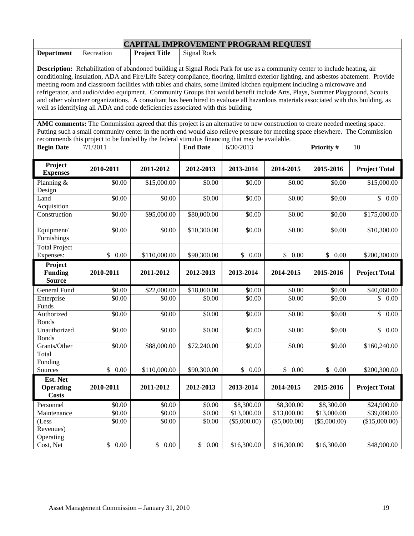| <b>CAPITAL IMPROVEMENT PROGRAM REQUEST</b>                                                                                                                                                                                                                                                                                                                                                                                                                                                                                                                                                                                                                                                                                                              |                      |                      |                    |              |              |                |                      |  |  |
|---------------------------------------------------------------------------------------------------------------------------------------------------------------------------------------------------------------------------------------------------------------------------------------------------------------------------------------------------------------------------------------------------------------------------------------------------------------------------------------------------------------------------------------------------------------------------------------------------------------------------------------------------------------------------------------------------------------------------------------------------------|----------------------|----------------------|--------------------|--------------|--------------|----------------|----------------------|--|--|
| <b>Department</b>                                                                                                                                                                                                                                                                                                                                                                                                                                                                                                                                                                                                                                                                                                                                       | Recreation           | <b>Project Title</b> | <b>Signal Rock</b> |              |              |                |                      |  |  |
| Description: Rehabilitation of abandoned building at Signal Rock Park for use as a community center to include heating, air<br>conditioning, insulation, ADA and Fire/Life Safety compliance, flooring, limited exterior lighting, and asbestos abatement. Provide<br>meeting room and classroom facilities with tables and chairs, some limited kitchen equipment including a microwave and<br>refrigerator, and audio/video equipment. Community Groups that would benefit include Arts, Plays, Summer Playground, Scouts<br>and other volunteer organizations. A consultant has been hired to evaluate all hazardous materials associated with this building, as<br>well as identifying all ADA and code deficiencies associated with this building. |                      |                      |                    |              |              |                |                      |  |  |
| AMC comments: The Commission agreed that this project is an alternative to new construction to create needed meeting space.<br>Putting such a small community center in the north end would also relieve pressure for meeting space elsewhere. The Commission<br>recommends this project to be funded by the federal stimulus financing that may be available.                                                                                                                                                                                                                                                                                                                                                                                          |                      |                      |                    |              |              |                |                      |  |  |
| <b>Begin Date</b>                                                                                                                                                                                                                                                                                                                                                                                                                                                                                                                                                                                                                                                                                                                                       | 7/1/2011             |                      | <b>End Date</b>    | 6/30/2013    |              | Priority #     | 10                   |  |  |
| Project<br><b>Expenses</b>                                                                                                                                                                                                                                                                                                                                                                                                                                                                                                                                                                                                                                                                                                                              | 2010-2011            | 2011-2012            | 2012-2013          | 2013-2014    | 2014-2015    | 2015-2016      | <b>Project Total</b> |  |  |
| Planning &<br>Design                                                                                                                                                                                                                                                                                                                                                                                                                                                                                                                                                                                                                                                                                                                                    | \$0.00               | \$15,000.00          | \$0.00             | \$0.00       | \$0.00       | \$0.00         | \$15,000.00          |  |  |
| Land<br>Acquisition                                                                                                                                                                                                                                                                                                                                                                                                                                                                                                                                                                                                                                                                                                                                     | \$0.00               | \$0.00               | \$0.00             | \$0.00       | \$0.00       | \$0.00         | $\mathbb{S}$<br>0.00 |  |  |
| Construction                                                                                                                                                                                                                                                                                                                                                                                                                                                                                                                                                                                                                                                                                                                                            | \$0.00               | \$95,000.00          | \$80,000.00        | \$0.00       | \$0.00       | \$0.00         | \$175,000.00         |  |  |
| Equipment/<br>Furnishings                                                                                                                                                                                                                                                                                                                                                                                                                                                                                                                                                                                                                                                                                                                               | \$0.00               | \$0.00               | \$10,300.00        | \$0.00       | \$0.00       | \$0.00         | \$10,300.00          |  |  |
| <b>Total Project</b><br>Expenses:                                                                                                                                                                                                                                                                                                                                                                                                                                                                                                                                                                                                                                                                                                                       | \$0.00               | \$110,000.00         | \$90,300.00        | \$0.00       | \$0.00       | \$0.00         | \$200,300.00         |  |  |
| Project<br><b>Funding</b><br><b>Source</b>                                                                                                                                                                                                                                                                                                                                                                                                                                                                                                                                                                                                                                                                                                              | 2010-2011            | 2011-2012            | 2012-2013          | 2013-2014    | 2014-2015    | 2015-2016      | <b>Project Total</b> |  |  |
| General Fund                                                                                                                                                                                                                                                                                                                                                                                                                                                                                                                                                                                                                                                                                                                                            | \$0.00               | \$22,000.00          | \$18,060.00        | \$0.00       | \$0.00       | \$0.00         | \$40,060.00          |  |  |
| Enterprise<br>Funds                                                                                                                                                                                                                                                                                                                                                                                                                                                                                                                                                                                                                                                                                                                                     | \$0.00               | \$0.00               | \$0.00             | \$0.00       | \$0.00       | \$0.00         | \$<br>0.00           |  |  |
| Authorized<br><b>Bonds</b>                                                                                                                                                                                                                                                                                                                                                                                                                                                                                                                                                                                                                                                                                                                              | \$0.00               | \$0.00               | \$0.00             | \$0.00       | \$0.00       | \$0.00         | \$<br>0.00           |  |  |
| Unauthorized<br><b>Bonds</b>                                                                                                                                                                                                                                                                                                                                                                                                                                                                                                                                                                                                                                                                                                                            | \$0.00               | \$0.00               | \$0.00             | \$0.00       | \$0.00       | \$0.00         | \$<br>0.00           |  |  |
| Grants/Other                                                                                                                                                                                                                                                                                                                                                                                                                                                                                                                                                                                                                                                                                                                                            | \$0.00               | \$88,000.00          | \$72,240.00        | \$0.00       | \$0.00       | \$0.00         | \$160,240.00         |  |  |
| Total<br>Funding<br>Sources                                                                                                                                                                                                                                                                                                                                                                                                                                                                                                                                                                                                                                                                                                                             | 0.00<br>$\mathbb{S}$ | \$110,000.00         | \$90,300.00        | \$0.00       | \$0.00       | \$<br>0.00     | \$200,300.00         |  |  |
| Est. Net<br><b>Operating</b><br><b>Costs</b>                                                                                                                                                                                                                                                                                                                                                                                                                                                                                                                                                                                                                                                                                                            | 2010-2011            | 2011-2012            | 2012-2013          | 2013-2014    | 2014-2015    | 2015-2016      | <b>Project Total</b> |  |  |
| Personnel                                                                                                                                                                                                                                                                                                                                                                                                                                                                                                                                                                                                                                                                                                                                               | \$0.00               | \$0.00               | \$0.00             | \$8,300.00   | \$8,300.00   | \$8,300.00     | \$24,900.00          |  |  |
| Maintenance                                                                                                                                                                                                                                                                                                                                                                                                                                                                                                                                                                                                                                                                                                                                             | \$0.00               | \$0.00               | \$0.00             | \$13,000.00  | \$13,000.00  | \$13,000.00    | \$39,000.00          |  |  |
| (Less<br>Revenues)                                                                                                                                                                                                                                                                                                                                                                                                                                                                                                                                                                                                                                                                                                                                      | \$0.00               | \$0.00               | \$0.00             | (\$5,000.00) | (\$5,000.00) | $(\$5,000.00)$ | (\$15,000.00)        |  |  |
| Operating<br>Cost, Net                                                                                                                                                                                                                                                                                                                                                                                                                                                                                                                                                                                                                                                                                                                                  | \$0.00               | \$0.00               | \$<br>0.00         | \$16,300.00  | \$16,300.00  | \$16,300.00    | \$48,900.00          |  |  |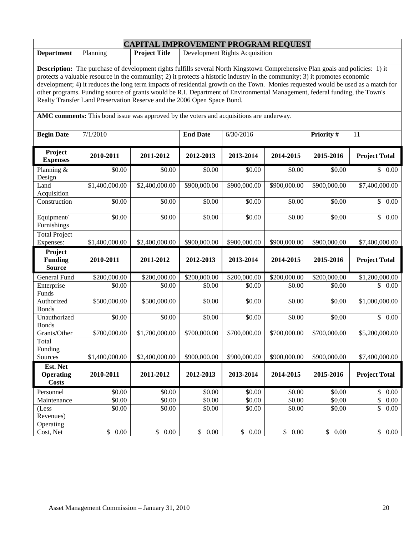| <b>CAPITAL IMPROVEMENT PROGRAM REQUEST</b>                                                                                                                                                                                                                                                                                                                                                                                                                                                                                                                                                                 |                |                      |                 |                                |              |              |                      |  |  |
|------------------------------------------------------------------------------------------------------------------------------------------------------------------------------------------------------------------------------------------------------------------------------------------------------------------------------------------------------------------------------------------------------------------------------------------------------------------------------------------------------------------------------------------------------------------------------------------------------------|----------------|----------------------|-----------------|--------------------------------|--------------|--------------|----------------------|--|--|
| <b>Department</b>                                                                                                                                                                                                                                                                                                                                                                                                                                                                                                                                                                                          | Planning       | <b>Project Title</b> |                 | Development Rights Acquisition |              |              |                      |  |  |
| Description: The purchase of development rights fulfills several North Kingstown Comprehensive Plan goals and policies: 1) it<br>protects a valuable resource in the community; 2) it protects a historic industry in the community; 3) it promotes economic<br>development; 4) it reduces the long term impacts of residential growth on the Town. Monies requested would be used as a match for<br>other programs. Funding source of grants would be R.I. Department of Environmental Management, federal funding, the Town's<br>Realty Transfer Land Preservation Reserve and the 2006 Open Space Bond. |                |                      |                 |                                |              |              |                      |  |  |
| AMC comments: This bond issue was approved by the voters and acquisitions are underway.                                                                                                                                                                                                                                                                                                                                                                                                                                                                                                                    |                |                      |                 |                                |              |              |                      |  |  |
| <b>Begin Date</b>                                                                                                                                                                                                                                                                                                                                                                                                                                                                                                                                                                                          | 7/1/2010       |                      | <b>End Date</b> | 6/30/2016                      |              | Priority #   | 11                   |  |  |
| Project<br><b>Expenses</b>                                                                                                                                                                                                                                                                                                                                                                                                                                                                                                                                                                                 | 2010-2011      | 2011-2012            | 2012-2013       | 2013-2014                      | 2014-2015    | 2015-2016    | <b>Project Total</b> |  |  |
| Planning &<br>Design                                                                                                                                                                                                                                                                                                                                                                                                                                                                                                                                                                                       | \$0.00         | \$0.00               | \$0.00          | \$0.00                         | \$0.00       | \$0.00       | \$0.00               |  |  |
| Land<br>Acquisition                                                                                                                                                                                                                                                                                                                                                                                                                                                                                                                                                                                        | \$1,400,000.00 | \$2,400,000.00       | \$900,000.00    | \$900,000.00                   | \$900,000.00 | \$900,000.00 | \$7,400,000.00       |  |  |
| Construction                                                                                                                                                                                                                                                                                                                                                                                                                                                                                                                                                                                               | \$0.00         | \$0.00               | \$0.00          | \$0.00                         | \$0.00       | \$0.00       | \$0.00               |  |  |
| Equipment/<br>Furnishings                                                                                                                                                                                                                                                                                                                                                                                                                                                                                                                                                                                  | \$0.00         | \$0.00               | \$0.00          | \$0.00                         | \$0.00       | \$0.00       | \$<br>0.00           |  |  |
| <b>Total Project</b><br>Expenses:                                                                                                                                                                                                                                                                                                                                                                                                                                                                                                                                                                          | \$1,400,000.00 | \$2,400,000.00       | \$900,000.00    | \$900,000.00                   | \$900,000.00 | \$900,000.00 | \$7,400,000.00       |  |  |
| Project<br><b>Funding</b><br><b>Source</b>                                                                                                                                                                                                                                                                                                                                                                                                                                                                                                                                                                 | 2010-2011      | 2011-2012            | 2012-2013       | 2013-2014                      | 2014-2015    | 2015-2016    | <b>Project Total</b> |  |  |
| General Fund                                                                                                                                                                                                                                                                                                                                                                                                                                                                                                                                                                                               | \$200,000.00   | \$200,000.00         | \$200,000.00    | \$200,000.00                   | \$200,000.00 | \$200,000.00 | \$1,200,000.00       |  |  |
| Enterprise<br>Funds                                                                                                                                                                                                                                                                                                                                                                                                                                                                                                                                                                                        | \$0.00         | \$0.00               | \$0.00          | \$0.00                         | \$0.00       | \$0.00       | 0.00                 |  |  |
| Authorized<br><b>Bonds</b>                                                                                                                                                                                                                                                                                                                                                                                                                                                                                                                                                                                 | \$500,000.00   | \$500,000.00         | \$0.00          | \$0.00                         | \$0.00       | \$0.00       | \$1,000,000.00       |  |  |
| Unauthorized<br><b>Bonds</b>                                                                                                                                                                                                                                                                                                                                                                                                                                                                                                                                                                               | \$0.00         | \$0.00               | \$0.00          | \$0.00                         | \$0.00       | \$0.00       | \$0.00               |  |  |
| Grants/Other                                                                                                                                                                                                                                                                                                                                                                                                                                                                                                                                                                                               | \$700,000.00   | \$1,700,000.00       | \$700,000.00    | \$700,000.00                   | \$700,000.00 | \$700,000.00 | \$5,200,000.00       |  |  |
| Total<br>Funding<br>Sources                                                                                                                                                                                                                                                                                                                                                                                                                                                                                                                                                                                | \$1,400,000.00 | \$2,400,000.00       | \$900,000.00    | \$900,000.00                   | \$900,000.00 | \$900,000.00 | \$7,400,000.00       |  |  |
| Est. Net                                                                                                                                                                                                                                                                                                                                                                                                                                                                                                                                                                                                   |                |                      |                 |                                |              |              |                      |  |  |
| <b>Operating</b><br><b>Costs</b>                                                                                                                                                                                                                                                                                                                                                                                                                                                                                                                                                                           | 2010-2011      | 2011-2012            | 2012-2013       | 2013-2014                      | 2014-2015    | 2015-2016    | <b>Project Total</b> |  |  |
| Personnel                                                                                                                                                                                                                                                                                                                                                                                                                                                                                                                                                                                                  | \$0.00         | \$0.00               | \$0.00          | \$0.00                         | \$0.00       | \$0.00       | \$<br>0.00           |  |  |
| Maintenance                                                                                                                                                                                                                                                                                                                                                                                                                                                                                                                                                                                                | \$0.00         | \$0.00               | \$0.00          | \$0.00                         | \$0.00       | \$0.00       | $\mathbb{S}$<br>0.00 |  |  |
| (Less<br>Revenues)                                                                                                                                                                                                                                                                                                                                                                                                                                                                                                                                                                                         | \$0.00         | \$0.00               | \$0.00          | \$0.00                         | \$0.00       | \$0.00       | \$<br>0.00           |  |  |
| Operating<br>Cost, Net                                                                                                                                                                                                                                                                                                                                                                                                                                                                                                                                                                                     | \$ 0.00        | \$0.00               | \$0.00          | \$0.00                         | \$0.00       | \$0.00       | \$0.00               |  |  |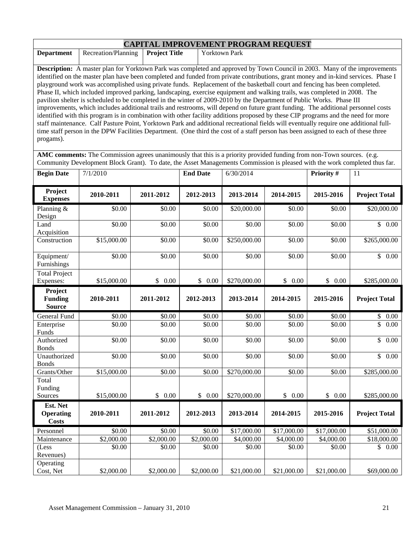| <b>CAPITAL IMPROVEMENT PROGRAM REQUEST</b> |                                                                                                                                    |                      |                                                                                                                                      |  |  |  |  |  |  |  |
|--------------------------------------------|------------------------------------------------------------------------------------------------------------------------------------|----------------------|--------------------------------------------------------------------------------------------------------------------------------------|--|--|--|--|--|--|--|
| <b>Department</b>                          | Recreation/Planning                                                                                                                | <b>Project Title</b> | <b>Yorktown Park</b>                                                                                                                 |  |  |  |  |  |  |  |
|                                            |                                                                                                                                    |                      |                                                                                                                                      |  |  |  |  |  |  |  |
|                                            |                                                                                                                                    |                      | <b>Description:</b> A master plan for Yorktown Park was completed and approved by Town Council in 2003. Many of the improvements     |  |  |  |  |  |  |  |
|                                            |                                                                                                                                    |                      | identified on the master plan have been completed and funded from private contributions, grant money and in-kind services. Phase I   |  |  |  |  |  |  |  |
|                                            |                                                                                                                                    |                      | playground work was accomplished using private funds. Replacement of the basketball court and fencing has been completed.            |  |  |  |  |  |  |  |
|                                            |                                                                                                                                    |                      | Phase II, which included improved parking, landscaping, exercise equipment and walking trails, was completed in 2008. The            |  |  |  |  |  |  |  |
|                                            |                                                                                                                                    |                      | pavilion shelter is scheduled to be completed in the winter of 2009-2010 by the Department of Public Works. Phase III                |  |  |  |  |  |  |  |
|                                            |                                                                                                                                    |                      | improvements, which includes additional trails and restrooms, will depend on future grant funding. The additional personnel costs    |  |  |  |  |  |  |  |
|                                            |                                                                                                                                    |                      | identified with this program is in combination with other facility additions proposed by these CIP programs and the need for more    |  |  |  |  |  |  |  |
|                                            |                                                                                                                                    |                      | staff maintenance. Calf Pasture Point, Yorktown Park and additional recreational fields will eventually require one additional full- |  |  |  |  |  |  |  |
|                                            | time staff person in the DPW Facilities Department. (One third the cost of a staff person has been assigned to each of these three |                      |                                                                                                                                      |  |  |  |  |  |  |  |
| progams).                                  |                                                                                                                                    |                      |                                                                                                                                      |  |  |  |  |  |  |  |
|                                            |                                                                                                                                    |                      |                                                                                                                                      |  |  |  |  |  |  |  |

**AMC comments:** The Commission agrees unanimously that this is a priority provided funding from non-Town sources. (e.g. Community Development Block Grant). To date, the Asset Managements Commission is pleased with the work completed thus far.

| <b>Begin Date</b>                            | 7/1/2010    |            | <b>End Date</b>    | 6/30/2014        |             | Priority #  | 11                              |
|----------------------------------------------|-------------|------------|--------------------|------------------|-------------|-------------|---------------------------------|
| Project<br><b>Expenses</b>                   | 2010-2011   | 2011-2012  | 2012-2013          | 2013-2014        | 2014-2015   | 2015-2016   | <b>Project Total</b>            |
| Planning &<br>Design                         | \$0.00      | \$0.00     | \$0.00             | \$20,000.00      | \$0.00      | \$0.00      | \$20,000.00                     |
| Land<br>Acquisition                          | \$0.00      | \$0.00     | \$0.00             | \$0.00           | \$0.00      | \$0.00      | \$0.00                          |
| Construction                                 | \$15,000.00 | \$0.00     | \$0.00             | \$250,000.00     | \$0.00      | \$0.00      | \$265,000.00                    |
| Equipment/<br>Furnishings                    | \$0.00      | \$0.00     | \$0.00             | \$0.00           | \$0.00      | \$0.00      | \$0.00                          |
| <b>Total Project</b><br>Expenses:            | \$15,000.00 | \$0.00     | \$0.00             | \$270,000.00     | \$0.00      | \$0.00      | \$285,000.00                    |
| Project<br><b>Funding</b><br><b>Source</b>   | 2010-2011   | 2011-2012  | 2012-2013          | 2013-2014        | 2014-2015   | 2015-2016   | <b>Project Total</b>            |
| <b>General Fund</b>                          | \$0.00      | \$0.00     | \$0.00             | \$0.00           | \$0.00      | \$0.00      | \$<br>$0.00\,$                  |
| Enterprise<br>Funds                          | \$0.00      | \$0.00     | \$0.00             | \$0.00           | \$0.00      | \$0.00      | $\overline{\mathbb{S}}$<br>0.00 |
| Authorized<br><b>Bonds</b>                   | \$0.00      | \$0.00     | $\sqrt{$0.00}$     | $\frac{1}{0.00}$ | \$0.00      | \$0.00      | $\overline{\$}$<br>0.00         |
| Unauthorized<br><b>Bonds</b>                 | \$0.00      | \$0.00     | $\overline{$}0.00$ | \$0.00           | \$0.00      | \$0.00      | \$<br>$\overline{0.00}$         |
| Grants/Other                                 | \$15,000.00 | \$0.00     | \$0.00             | \$270,000.00     | \$0.00      | \$0.00      | \$285,000.00                    |
| Total<br>Funding                             |             |            |                    |                  |             |             |                                 |
| Sources                                      | \$15,000.00 | \$0.00     | \$0.00             | \$270,000.00     | \$0.00      | \$0.00      | \$285,000.00                    |
| Est. Net<br><b>Operating</b><br><b>Costs</b> | 2010-2011   | 2011-2012  | 2012-2013          | 2013-2014        | 2014-2015   | 2015-2016   | <b>Project Total</b>            |
| Personnel                                    | \$0.00      | \$0.00     | \$0.00             | \$17,000.00      | \$17,000.00 | \$17,000.00 | \$51,000.00                     |
| Maintenance                                  | \$2,000.00  | \$2,000.00 | \$2,000.00         | \$4,000.00       | \$4,000.00  | \$4,000.00  | \$18,000.00                     |
| (Less<br>Revenues)                           | \$0.00      | \$0.00     | \$0.00             | \$0.00           | \$0.00      | \$0.00      | 0.00<br>$\mathbb{S}$            |
| Operating<br>Cost, Net                       | \$2,000.00  | \$2,000.00 | \$2,000.00         | \$21,000.00      | \$21,000.00 | \$21,000.00 | \$69,000.00                     |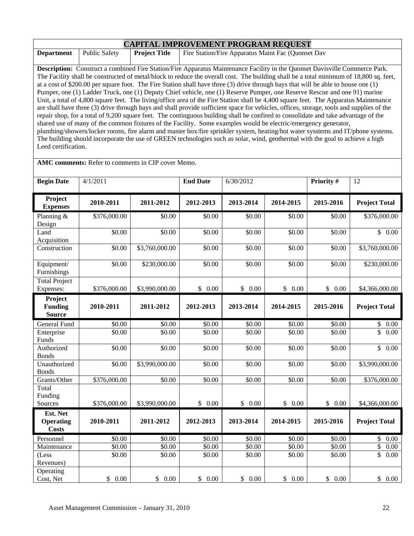| <b>CAPITAL IMPROVEMENT PROGRAM REQUEST</b>                                                                                             |               |                      |                                                                                                                                          |  |  |  |  |  |  |
|----------------------------------------------------------------------------------------------------------------------------------------|---------------|----------------------|------------------------------------------------------------------------------------------------------------------------------------------|--|--|--|--|--|--|
| <b>Department</b>                                                                                                                      | Public Safety | <b>Project Title</b> | Fire Station/Fire Apparatus Maint Fac (Quonset Dav                                                                                       |  |  |  |  |  |  |
|                                                                                                                                        |               |                      |                                                                                                                                          |  |  |  |  |  |  |
| <b>Description:</b> Construct a combined Fire Station/Fire Apparatus Maintenance Facility in the Quonset Davisville Commerce Park.     |               |                      |                                                                                                                                          |  |  |  |  |  |  |
|                                                                                                                                        |               |                      | The Facility shall be constructed of metal/block to reduce the overall cost. The building shall be a total minimum of 18,800 sq. feet,   |  |  |  |  |  |  |
| at a cost of \$200.00 per square foot. The Fire Station shall have three $(3)$ drive through bays that will be able to house one $(1)$ |               |                      |                                                                                                                                          |  |  |  |  |  |  |
|                                                                                                                                        |               |                      | Pumper, one (1) Ladder Truck, one (1) Deputy Chief vehicle, one (1) Reserve Pumper, one Reserve Rescue and one 91) marine                |  |  |  |  |  |  |
|                                                                                                                                        |               |                      | Unit, a total of 4,800 square feet. The living/office area of the Fire Station shall be 4,400 square feet. The Apparatus Maintenance     |  |  |  |  |  |  |
|                                                                                                                                        |               |                      | are shall have three (3) drive through bays and shall provide sufficient space for vehicles, offices, storage, tools and supplies of the |  |  |  |  |  |  |
|                                                                                                                                        |               |                      | repair shop, for a total of 9,200 square feet. The continguous building shall be confired to consolidate and take advantage of the       |  |  |  |  |  |  |
|                                                                                                                                        |               |                      | shared use of many of the common fixtures of the Facility. Some examples would be electric/emergency generator,                          |  |  |  |  |  |  |
|                                                                                                                                        |               |                      | plumbing/showers/locker rooms, fire alarm and master box/fire sprinkler system, heating/hot water systems and IT/phone systems.          |  |  |  |  |  |  |
|                                                                                                                                        |               |                      | The building should incorporate the use of GREEN technologies such as solar, wind, geothermal with the goal to achieve a high            |  |  |  |  |  |  |
| Leed certification.                                                                                                                    |               |                      |                                                                                                                                          |  |  |  |  |  |  |

**AMC comments:** Refer to comments in CIP cover Memo.

| <b>Begin Date</b>                          | 4/1/2011             |                      | <b>End Date</b> | 6/30/2012          |                      | Priority #         | 12                      |
|--------------------------------------------|----------------------|----------------------|-----------------|--------------------|----------------------|--------------------|-------------------------|
| Project<br><b>Expenses</b>                 | 2010-2011            | 2011-2012            | 2012-2013       | 2013-2014          | 2014-2015            | 2015-2016          | <b>Project Total</b>    |
| Planning $&$<br>Design                     | \$376,000.00         | \$0.00               | \$0.00          | $\overline{$}0.00$ | \$0.00               | \$0.00             | \$376,000.00            |
| Land<br>Acquisition                        | \$0.00               | \$0.00               | \$0.00          | \$0.00             | \$0.00               | \$0.00             | $\overline{\$}$ 0.00    |
| Construction                               | \$0.00               | \$3,760,000.00       | \$0.00          | \$0.00             | \$0.00               | \$0.00             | \$3,760,000.00          |
| Equipment/<br>Furnishings                  | \$0.00               | \$230,000.00         | \$0.00          | \$0.00             | \$0.00               | \$0.00             | \$230,000.00            |
| <b>Total Project</b><br>Expenses:          | \$376,000.00         | \$3,990,000.00       | \$0.00          | \$0.00             | \$0.00               | \$0.00             | \$4,366,000.00          |
| Project<br><b>Funding</b><br><b>Source</b> | 2010-2011            | 2011-2012            | 2012-2013       | 2013-2014          | 2014-2015            | 2015-2016          | <b>Project Total</b>    |
| General Fund                               | \$0.00               | \$0.00               | \$0.00          | \$0.00             | \$0.00               | \$0.00             | \$<br>0.00              |
| Enterprise<br>Funds                        | \$0.00               | \$0.00               | \$0.00          | \$0.00             | \$0.00               | \$0.00             | $\overline{\$}$<br>0.00 |
| Authorized<br><b>Bonds</b>                 | \$0.00               | \$0.00               | \$0.00          | \$0.00             | \$0.00               | $\overline{$}0.00$ | \$<br>0.00              |
| Unauthorized<br><b>Bonds</b>               | \$0.00               | \$3,990,000.00       | \$0.00          | \$0.00             | \$0.00               | \$0.00             | \$3,990,000.00          |
| Grants/Other                               | \$376,000.00         | \$0.00               | \$0.00          | \$0.00             | \$0.00               | \$0.00             | \$376,000.00            |
| Total<br>Funding<br>Sources                | \$376,000.00         | \$3,990,000.00       | \$0.00          | \$0.00             | \$0.00               | \$0.00             | \$4,366,000.00          |
| Est. Net                                   |                      |                      |                 |                    |                      |                    |                         |
| <b>Operating</b><br><b>Costs</b>           | 2010-2011            | 2011-2012            | 2012-2013       | 2013-2014          | 2014-2015            | 2015-2016          | <b>Project Total</b>    |
| Personnel                                  | \$0.00               | \$0.00               | \$0.00          | \$0.00             | \$0.00               | \$0.00             | \$<br>0.00              |
| Maintenance                                | $\overline{$}0.00$   | \$0.00               | \$0.00          | \$0.00             | \$0.00               | \$0.00             | \$<br>0.00              |
| (Less<br>Revenues)                         | \$0.00               | \$0.00               | \$0.00          | \$0.00             | \$0.00               | \$0.00             | $\overline{\$}$<br>0.00 |
| Operating<br>Cost, Net                     | $\mathbb{S}$<br>0.00 | $\mathbb{S}$<br>0.00 | \$<br>0.00      | \$0.00             | $\mathbb{S}$<br>0.00 | \$<br>0.00         | 0.00<br>\$              |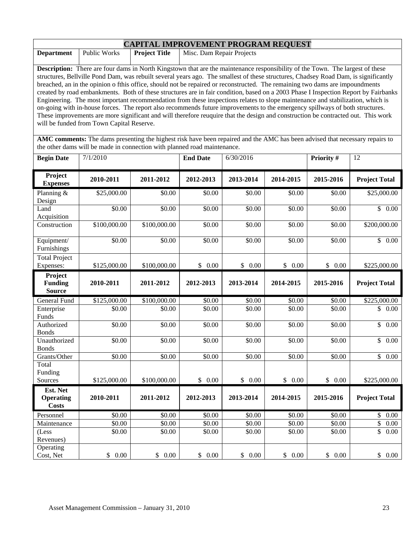| <b>CAPITAL IMPROVEMENT PROGRAM REQUEST</b>                                                                                                                                                                                                                                                                                                                                                                                                                                                                                                                                              |              |                      |                           |                                      |  |  |  |  |  |  |
|-----------------------------------------------------------------------------------------------------------------------------------------------------------------------------------------------------------------------------------------------------------------------------------------------------------------------------------------------------------------------------------------------------------------------------------------------------------------------------------------------------------------------------------------------------------------------------------------|--------------|----------------------|---------------------------|--------------------------------------|--|--|--|--|--|--|
| <b>Department</b>                                                                                                                                                                                                                                                                                                                                                                                                                                                                                                                                                                       | Public Works | <b>Project Title</b> | Misc. Dam Repair Projects |                                      |  |  |  |  |  |  |
| <b>Description:</b> There are four dams in North Kingstown that are the maintenance responsibility of the Town. The largest of these<br>structures, Bellville Pond Dam, was rebuilt several years ago. The smallest of these structures, Chadsey Road Dam, is significantly<br>breached, an in the opinion o fthis office, should not be repaired or reconstructed. The remaining two dams are impoundments                                                                                                                                                                             |              |                      |                           |                                      |  |  |  |  |  |  |
| created by road embankments. Both of these structures are in fair condition, based on a 2003 Phase I Inspection Report by Fairbanks<br>Engineering. The most important recommendation from these inspections relates to slope maintenance and stabilization, which is<br>on-going with in-house forces. The report also recommends future improvements to the emergency spillways of both structures.<br>These improvements are more significant and will therefore reuquire that the design and construction be contracted out. This work<br>will be funded from Town Capital Reserve. |              |                      |                           |                                      |  |  |  |  |  |  |
| AMC comments: The dams presenting the highest risk have been repaired and the AMC has been advised that necessary repairs to<br>the other dams will be made in connection with planned road maintenance.                                                                                                                                                                                                                                                                                                                                                                                |              |                      |                           |                                      |  |  |  |  |  |  |
| <b>Begin Date</b>                                                                                                                                                                                                                                                                                                                                                                                                                                                                                                                                                                       | 7/1/2010     |                      | <b>End Date</b>           | <b>Priority #</b><br>6/30/2016<br>12 |  |  |  |  |  |  |
| Project                                                                                                                                                                                                                                                                                                                                                                                                                                                                                                                                                                                 | 8010 8011    |                      |                           |                                      |  |  |  |  |  |  |

| Project<br><b>Expenses</b>   | 2010-2011    | 2011-2012            | 2012-2013  | 2013-2014            | 2014-2015             | 2015-2016  | <b>Project Total</b>             |
|------------------------------|--------------|----------------------|------------|----------------------|-----------------------|------------|----------------------------------|
| Planning &                   | \$25,000.00  | \$0.00               | \$0.00     | \$0.00               | \$0.00                | \$0.00     | \$25,000.00                      |
| Design                       |              |                      |            |                      |                       |            |                                  |
| Land                         | \$0.00       | \$0.00               | \$0.00     | \$0.00               | \$0.00                | \$0.00     | \$0.00                           |
| Acquisition                  |              |                      |            |                      |                       |            |                                  |
| Construction                 | \$100,000.00 | \$100,000.00         | \$0.00     | \$0.00               | \$0.00                | \$0.00     | \$200,000.00                     |
| Equipment/                   | \$0.00       | \$0.00               | \$0.00     | \$0.00               | \$0.00                | \$0.00     | \$0.00                           |
| Furnishings                  |              |                      |            |                      |                       |            |                                  |
| <b>Total Project</b>         |              |                      |            |                      |                       |            |                                  |
| Expenses:                    | \$125,000.00 | \$100,000.00         | \$<br>0.00 | $\mathbb{S}$<br>0.00 | $\mathbb{S}$<br>0.00  | \$<br>0.00 | \$225,000.00                     |
| Project                      |              |                      |            |                      |                       |            |                                  |
| <b>Funding</b>               | 2010-2011    | 2011-2012            | 2012-2013  | 2013-2014            | 2014-2015             | 2015-2016  | <b>Project Total</b>             |
| <b>Source</b>                |              |                      |            |                      |                       |            |                                  |
| <b>General Fund</b>          | \$125,000.00 | \$100,000.00         | \$0.00     | \$0.00               | \$0.00                | \$0.00     | \$225,000.00                     |
| Enterprise                   | \$0.00       | \$0.00               | \$0.00     | \$0.00               | \$0.00                | \$0.00     | \$<br>0.00                       |
| Funds                        |              |                      |            |                      |                       |            |                                  |
| Authorized                   | \$0.00       | \$0.00               | \$0.00     | \$0.00               | \$0.00                | \$0.00     | $\overline{\mathbb{S}}$<br>0.00  |
| <b>Bonds</b>                 |              |                      |            |                      |                       |            |                                  |
| Unauthorized                 | \$0.00       | \$0.00               | \$0.00     | \$0.00               | \$0.00                | \$0.00     | $\overline{\mathcal{S}}$<br>0.00 |
| <b>Bonds</b><br>Grants/Other | \$0.00       |                      | \$0.00     | \$0.00               | \$0.00                | \$0.00     |                                  |
| Total                        |              | \$0.00               |            |                      |                       |            | \$0.00                           |
| Funding                      |              |                      |            |                      |                       |            |                                  |
| Sources                      | \$125,000.00 | \$100,000.00         | \$<br>0.00 | \$0.00               | \$0.00                | \$<br>0.00 | \$225,000.00                     |
| Est. Net                     |              |                      |            |                      |                       |            |                                  |
| <b>Operating</b>             | 2010-2011    | 2011-2012            | 2012-2013  | 2013-2014            | 2014-2015             | 2015-2016  | <b>Project Total</b>             |
| <b>Costs</b>                 |              |                      |            |                      |                       |            |                                  |
| Personnel                    | \$0.00       | \$0.00               | \$0.00     | \$0.00               | \$0.00                | \$0.00     | $\mathbb{S}$<br>0.00             |
| Maintenance                  | \$0.00       | \$0.00               | \$0.00     | \$0.00               | \$0.00                | \$0.00     | $\overline{\$}$<br>0.00          |
| (Less                        | \$0.00       | \$0.00               | \$0.00     | \$0.00               | \$0.00                | \$0.00     | \$<br>0.00                       |
| Revenues)                    |              |                      |            |                      |                       |            |                                  |
| Operating                    |              |                      |            |                      |                       |            |                                  |
| Cost, Net                    | \$<br>0.00   | $\mathbb{S}$<br>0.00 | \$<br>0.00 | \$<br>0.00           | $\mathcal{S}$<br>0.00 | \$<br>0.00 | \$<br>0.00                       |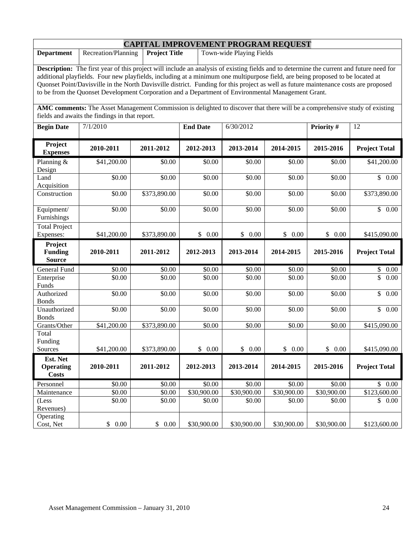| <b>CAPITAL IMPROVEMENT PROGRAM REQUEST</b>                                                                                                                                                                                                                                                                                                                                                                                                                                                                                      |                     |                      |                 |                          |             |             |                      |  |  |
|---------------------------------------------------------------------------------------------------------------------------------------------------------------------------------------------------------------------------------------------------------------------------------------------------------------------------------------------------------------------------------------------------------------------------------------------------------------------------------------------------------------------------------|---------------------|----------------------|-----------------|--------------------------|-------------|-------------|----------------------|--|--|
| <b>Department</b>                                                                                                                                                                                                                                                                                                                                                                                                                                                                                                               | Recreation/Planning | <b>Project Title</b> |                 | Town-wide Playing Fields |             |             |                      |  |  |
| <b>Description:</b> The first year of this project will include an analysis of existing fields and to determine the current and future need for<br>additional playfields. Four new playfields, including at a minimum one multipurpose field, are being proposed to be located at<br>Quonset Point/Davisville in the North Davisville district. Funding for this project as well as future maintenance costs are proposed<br>to be from the Quonset Development Corporation and a Department of Environmental Management Grant. |                     |                      |                 |                          |             |             |                      |  |  |
| AMC comments: The Asset Management Commission is delighted to discover that there will be a comprehensive study of existing<br>fields and awaits the findings in that report.                                                                                                                                                                                                                                                                                                                                                   |                     |                      |                 |                          |             |             |                      |  |  |
| <b>Begin Date</b>                                                                                                                                                                                                                                                                                                                                                                                                                                                                                                               | 7/1/2010            |                      | <b>End Date</b> | 6/30/2012                |             | Priority #  | 12                   |  |  |
| Project<br><b>Expenses</b>                                                                                                                                                                                                                                                                                                                                                                                                                                                                                                      | 2010-2011           | 2011-2012            | 2012-2013       | 2013-2014                | 2014-2015   | 2015-2016   | <b>Project Total</b> |  |  |
| Planning &<br>Design                                                                                                                                                                                                                                                                                                                                                                                                                                                                                                            | \$41,200.00         | \$0.00               | \$0.00          | \$0.00                   | \$0.00      | \$0.00      | \$41,200.00          |  |  |
| Land<br>Acquisition                                                                                                                                                                                                                                                                                                                                                                                                                                                                                                             | \$0.00              | \$0.00               | \$0.00          | \$0.00                   | \$0.00      | \$0.00      | \$0.00               |  |  |
| Construction                                                                                                                                                                                                                                                                                                                                                                                                                                                                                                                    | \$0.00              | \$373,890.00         | \$0.00          | \$0.00                   | \$0.00      | \$0.00      | \$373,890.00         |  |  |
| Equipment/<br>Furnishings                                                                                                                                                                                                                                                                                                                                                                                                                                                                                                       | \$0.00              | \$0.00               | \$0.00          | \$0.00                   | \$0.00      | \$0.00      | \$0.00               |  |  |
| <b>Total Project</b><br>Expenses:                                                                                                                                                                                                                                                                                                                                                                                                                                                                                               | \$41,200.00         | \$373,890.00         | \$0.00          | \$0.00                   | \$0.00      | \$0.00      | \$415,090.00         |  |  |
| Project<br><b>Funding</b><br><b>Source</b>                                                                                                                                                                                                                                                                                                                                                                                                                                                                                      | 2010-2011           | 2011-2012            | 2012-2013       | 2013-2014                | 2014-2015   | 2015-2016   | <b>Project Total</b> |  |  |
| General Fund                                                                                                                                                                                                                                                                                                                                                                                                                                                                                                                    | \$0.00              | \$0.00               | \$0.00          | \$0.00                   | \$0.00      | \$0.00      | \$<br>0.00           |  |  |
| Enterprise<br>Funds                                                                                                                                                                                                                                                                                                                                                                                                                                                                                                             | \$0.00              | \$0.00               | \$0.00          | \$0.00                   | \$0.00      | \$0.00      | \$<br>0.00           |  |  |
| Authorized<br><b>Bonds</b>                                                                                                                                                                                                                                                                                                                                                                                                                                                                                                      | \$0.00              | \$0.00               | \$0.00          | \$0.00                   | \$0.00      | \$0.00      | \$<br>0.00           |  |  |
| Unauthorized<br><b>Bonds</b>                                                                                                                                                                                                                                                                                                                                                                                                                                                                                                    | \$0.00              | \$0.00               | \$0.00          | \$0.00                   | \$0.00      | \$0.00      | \$<br>0.00           |  |  |
| Grants/Other                                                                                                                                                                                                                                                                                                                                                                                                                                                                                                                    | \$41,200.00         | \$373,890.00         | \$0.00          | \$0.00                   | \$0.00      | \$0.00      | \$415,090.00         |  |  |
| Total<br>Funding<br>Sources                                                                                                                                                                                                                                                                                                                                                                                                                                                                                                     | \$41,200.00         | \$373,890.00         | \$0.00          | \$0.00                   | \$0.00      | \$0.00      | \$415,090.00         |  |  |
| Est. Net<br><b>Operating</b><br><b>Costs</b>                                                                                                                                                                                                                                                                                                                                                                                                                                                                                    | 2010-2011           | 2011-2012            | 2012-2013       | 2013-2014                | 2014-2015   | 2015-2016   | <b>Project Total</b> |  |  |
| Personnel                                                                                                                                                                                                                                                                                                                                                                                                                                                                                                                       | \$0.00              | \$0.00               | \$0.00          | \$0.00                   | \$0.00      | \$0.00      | \$0.00               |  |  |
| Maintenance                                                                                                                                                                                                                                                                                                                                                                                                                                                                                                                     | \$0.00              | \$0.00               | \$30,900.00     | \$30,900.00              | \$30,900.00 | \$30,900.00 | \$123,600.00         |  |  |
| (Less<br>Revenues)                                                                                                                                                                                                                                                                                                                                                                                                                                                                                                              | \$0.00              | \$0.00               | \$0.00          | \$0.00                   | \$0.00      | \$0.00      | \$0.00               |  |  |
| Operating<br>Cost, Net                                                                                                                                                                                                                                                                                                                                                                                                                                                                                                          | \$0.00              | \$0.00               | \$30,900.00     | \$30,900.00              | \$30,900.00 | \$30,900.00 | \$123,600.00         |  |  |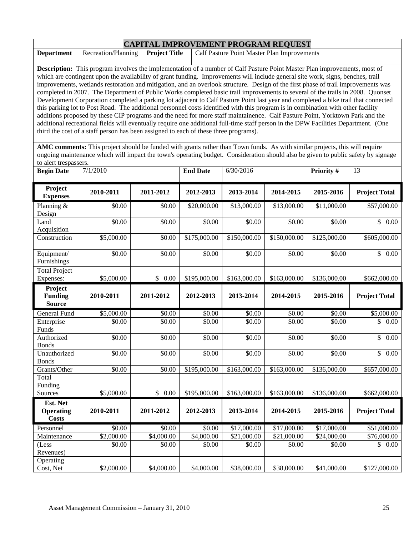| <b>CAPITAL IMPROVEMENT PROGRAM REQUEST</b>                                                                                        |                     |                      |                                                                                                                                     |  |  |  |  |  |
|-----------------------------------------------------------------------------------------------------------------------------------|---------------------|----------------------|-------------------------------------------------------------------------------------------------------------------------------------|--|--|--|--|--|
| <b>Department</b>                                                                                                                 | Recreation/Planning | <b>Project Title</b> | Calf Pasture Point Master Plan Improvements                                                                                         |  |  |  |  |  |
|                                                                                                                                   |                     |                      |                                                                                                                                     |  |  |  |  |  |
| <b>Description:</b> This program involves the implementation of a number of Calf Pasture Point Master Plan improvements, most of  |                     |                      |                                                                                                                                     |  |  |  |  |  |
| which are contingent upon the availability of grant funding. Improvements will include general site work, signs, benches, trail   |                     |                      |                                                                                                                                     |  |  |  |  |  |
| improvements, wetlands restoration and mitigation, and an overlook structure. Design of the first phase of trail improvements was |                     |                      |                                                                                                                                     |  |  |  |  |  |
|                                                                                                                                   |                     |                      | completed in 2007. The Department of Public Works completed basic trail improvements to several of the trails in 2008. Quonset      |  |  |  |  |  |
|                                                                                                                                   |                     |                      | Development Corporation completed a parking lot adjacent to Calf Pasture Point last year and completed a bike trail that connected  |  |  |  |  |  |
|                                                                                                                                   |                     |                      | this parking lot to Post Road. The additional personnel costs identified with this program is in combination with other facility    |  |  |  |  |  |
|                                                                                                                                   |                     |                      | additions proposed by these CIP programs and the need for more staff maintainence. Calf Pasture Point, Yorktown Park and the        |  |  |  |  |  |
|                                                                                                                                   |                     |                      | additional recreational fields will eventually require one additional full-time staff person in the DPW Facilities Department. (One |  |  |  |  |  |
|                                                                                                                                   |                     |                      | third the cost of a staff person has been assigned to each of these three programs).                                                |  |  |  |  |  |

**AMC comments:** This project should be funded with grants rather than Town funds. As with similar projects, this will require ongoing maintenance which will impact the town's operating budget. Consideration should also be given to public safety by signage to alert trespassers.

| <b>Begin Date</b>                            | 7/1/2010   |                        | <b>End Date</b>  | 6/30/2016    |                         |              | 13                               |
|----------------------------------------------|------------|------------------------|------------------|--------------|-------------------------|--------------|----------------------------------|
| Project<br><b>Expenses</b>                   | 2010-2011  | 2011-2012              | 2012-2013        | 2013-2014    | 2014-2015               | 2015-2016    | <b>Project Total</b>             |
| Planning &<br>Design                         | \$0.00     | \$0.00                 | \$20,000.00      | \$13,000.00  | \$13,000.00             | \$11,000.00  | \$57,000.00                      |
| Land<br>Acquisition                          | \$0.00     | \$0.00                 | \$0.00           | \$0.00       | \$0.00                  | \$0.00       | $\overline{\mathcal{S}}$<br>0.00 |
| Construction                                 | \$5,000.00 | \$0.00                 | \$175,000.00     | \$150,000.00 | \$150,000.00            | \$125,000.00 | \$605,000.00                     |
| Equipment/<br>Furnishings                    | \$0.00     | \$0.00                 | \$0.00           | \$0.00       | \$0.00                  | \$0.00       | \$0.00                           |
| <b>Total Project</b><br>Expenses:            | \$5,000.00 | \$0.00                 | \$195,000.00     | \$163,000.00 | \$163,000.00            | \$136,000.00 | \$662,000.00                     |
| Project<br><b>Funding</b><br><b>Source</b>   | 2010-2011  | 2011-2012              | 2012-2013        | 2013-2014    | 2014-2015               | 2015-2016    | <b>Project Total</b>             |
| <b>General Fund</b>                          | \$5,000.00 | \$0.00                 | \$0.00           | \$0.00       | \$0.00                  | \$0.00       | \$5,000.00                       |
| Enterprise<br>Funds                          | \$0.00     | \$0.00                 | \$0.00           | \$0.00       | \$0.00                  | \$0.00       | \$<br>0.00                       |
| Authorized<br><b>Bonds</b>                   | \$0.00     | \$0.00                 | \$0.00           | \$0.00       | \$0.00                  | \$0.00       | \$<br>0.00                       |
| Unauthorized<br><b>Bonds</b>                 | \$0.00     | \$0.00                 | $\frac{1}{0.00}$ | \$0.00       | \$0.00                  | \$0.00       | \$<br>0.00                       |
| Grants/Other                                 | \$0.00     | \$0.00                 | \$195,000.00     | \$163,000.00 | \$163,000.00            | \$136,000.00 | \$657,000.00                     |
| Total<br>Funding                             |            |                        |                  |              |                         |              |                                  |
| Sources                                      | \$5,000.00 | \$0.00                 | \$195,000.00     | \$163,000.00 | \$163,000.00            | \$136,000.00 | \$662,000.00                     |
| Est. Net<br><b>Operating</b><br><b>Costs</b> | 2010-2011  | 2011-2012              | 2012-2013        | 2013-2014    | 2014-2015               | 2015-2016    | <b>Project Total</b>             |
| Personnel                                    | \$0.00     | \$0.00                 | \$0.00           | \$17,000.00  | \$17,000.00             | \$17,000.00  | \$51,000.00                      |
| Maintenance                                  | \$2,000.00 | $\overline{$4,000.00}$ | \$4,000.00       | \$21,000.00  | $\overline{$21,000.00}$ | \$24,000.00  | \$76,000.00                      |
| (Less<br>Revenues)                           | \$0.00     | \$0.00                 | \$0.00           | \$0.00       | \$0.00                  | \$0.00       | 0.00<br>\$                       |
| Operating<br>Cost, Net                       | \$2,000.00 | \$4,000.00             | \$4,000.00       | \$38,000.00  | \$38,000.00             | \$41,000.00  | \$127,000.00                     |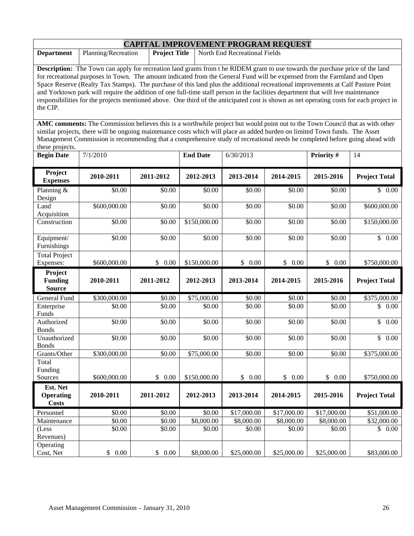| <b>CAPITAL IMPROVEMENT PROGRAM REQUEST</b>                                                                                                                                                                                                                                                                                                                                                                                                                                                                                                                                                                                                                                                        |                     |                      |                 |                               |             |             |                      |  |  |
|---------------------------------------------------------------------------------------------------------------------------------------------------------------------------------------------------------------------------------------------------------------------------------------------------------------------------------------------------------------------------------------------------------------------------------------------------------------------------------------------------------------------------------------------------------------------------------------------------------------------------------------------------------------------------------------------------|---------------------|----------------------|-----------------|-------------------------------|-------------|-------------|----------------------|--|--|
| <b>Department</b>                                                                                                                                                                                                                                                                                                                                                                                                                                                                                                                                                                                                                                                                                 | Planning/Recreation | <b>Project Title</b> |                 | North End Recreational Fields |             |             |                      |  |  |
| <b>Description:</b> The Town can apply for recreation land grants from the RIDEM grant to use towards the purchase price of the land<br>for recreational purposes in Town. The amount indicated from the General Fund will be expensed from the Farmland and Open<br>Space Reserve (Realty Tax Stamps). The purchase of this land plus the additional recreational improvements at Calf Pasture Point<br>and Yorktown park will require the addition of one full-time staff person in the facilities department that will hve maintenance<br>responsibilities for the projects mentioned above. One third of the anticipated cost is shown as net operating costs for each project in<br>the CIP. |                     |                      |                 |                               |             |             |                      |  |  |
| AMC comments: The Commission believes this is a worthwhile project but would point out to the Town Council that as with other<br>similar projects, there will be ongoing maintenance costs which will place an added burden on limited Town funds. The Asset<br>Management Commission is recommending that a comprehensive study of recreational needs be completed before going ahead with<br>these projects.                                                                                                                                                                                                                                                                                    |                     |                      |                 |                               |             |             |                      |  |  |
| <b>Begin Date</b>                                                                                                                                                                                                                                                                                                                                                                                                                                                                                                                                                                                                                                                                                 | 7/1/2010            |                      | <b>End Date</b> | $\sqrt{6}/30/2013$            |             | Priority #  | 14                   |  |  |
| Project<br><b>Expenses</b>                                                                                                                                                                                                                                                                                                                                                                                                                                                                                                                                                                                                                                                                        | 2010-2011           | 2011-2012            | 2012-2013       | 2013-2014                     | 2014-2015   | 2015-2016   | <b>Project Total</b> |  |  |
| Planning &<br>Design                                                                                                                                                                                                                                                                                                                                                                                                                                                                                                                                                                                                                                                                              | \$0.00              | \$0.00               | \$0.00          | \$0.00                        | \$0.00      | \$0.00      | \$0.00               |  |  |
| Land<br>Acquisition                                                                                                                                                                                                                                                                                                                                                                                                                                                                                                                                                                                                                                                                               | \$600,000.00        | \$0.00               | \$0.00          | \$0.00                        | \$0.00      | \$0.00      | \$600,000.00         |  |  |
| Construction                                                                                                                                                                                                                                                                                                                                                                                                                                                                                                                                                                                                                                                                                      | \$0.00              | \$0.00               | \$150,000.00    | \$0.00                        | \$0.00      | \$0.00      | \$150,000.00         |  |  |
| Equipment/<br>Furnishings                                                                                                                                                                                                                                                                                                                                                                                                                                                                                                                                                                                                                                                                         | \$0.00              | \$0.00               | \$0.00          | \$0.00                        | \$0.00      | \$0.00      | \$0.00               |  |  |
| Total Project<br>Expenses:                                                                                                                                                                                                                                                                                                                                                                                                                                                                                                                                                                                                                                                                        | \$600,000.00        | \$0.00               | \$150,000.00    | \$0.00                        | \$0.00      | \$0.00      | \$750,000.00         |  |  |
| Project<br><b>Funding</b><br><b>Source</b>                                                                                                                                                                                                                                                                                                                                                                                                                                                                                                                                                                                                                                                        | 2010-2011           | 2011-2012            | 2012-2013       | 2013-2014                     | 2014-2015   | 2015-2016   | <b>Project Total</b> |  |  |
| General Fund                                                                                                                                                                                                                                                                                                                                                                                                                                                                                                                                                                                                                                                                                      | \$300,000.00        | \$0.00               | \$75,000.00     | \$0.00                        | \$0.00      | \$0.00      | \$375,000.00         |  |  |
| Enterprise<br>Funds                                                                                                                                                                                                                                                                                                                                                                                                                                                                                                                                                                                                                                                                               | \$0.00              | \$0.00               | \$0.00          | \$0.00                        | \$0.00      | \$0.00      | \$<br>0.00           |  |  |
| Authorized<br><b>Bonds</b>                                                                                                                                                                                                                                                                                                                                                                                                                                                                                                                                                                                                                                                                        | \$0.00              | \$0.00               | \$0.00          | \$0.00                        | \$0.00      | \$0.00      | $\mathbb{S}$<br>0.00 |  |  |
| Unauthorized<br><b>Bonds</b>                                                                                                                                                                                                                                                                                                                                                                                                                                                                                                                                                                                                                                                                      | \$0.00              | \$0.00               | \$0.00          | \$0.00                        | \$0.00      | \$0.00      | \$0.00               |  |  |
| Grants/Other                                                                                                                                                                                                                                                                                                                                                                                                                                                                                                                                                                                                                                                                                      | \$300,000.00        | \$0.00               | \$75,000.00     | \$0.00                        | \$0.00      | \$0.00      | \$375,000.00         |  |  |
| Total<br>Funding<br>Sources                                                                                                                                                                                                                                                                                                                                                                                                                                                                                                                                                                                                                                                                       | \$600,000.00        | \$0.00               | \$150,000.00    | \$0.00                        | \$0.00      | \$0.00      | \$750,000.00         |  |  |
| Est. Net<br><b>Operating</b><br><b>Costs</b>                                                                                                                                                                                                                                                                                                                                                                                                                                                                                                                                                                                                                                                      | 2010-2011           | 2011-2012            | 2012-2013       | 2013-2014                     | 2014-2015   | 2015-2016   | <b>Project Total</b> |  |  |
| Personnel                                                                                                                                                                                                                                                                                                                                                                                                                                                                                                                                                                                                                                                                                         | \$0.00              | \$0.00               | \$0.00          | \$17,000.00                   | \$17,000.00 | \$17,000.00 | \$51,000.00          |  |  |
| Maintenance                                                                                                                                                                                                                                                                                                                                                                                                                                                                                                                                                                                                                                                                                       | \$0.00              | \$0.00               | \$8,000.00      | \$8,000.00                    | \$8,000.00  | \$8,000.00  | \$32,000.00          |  |  |
| (Less<br>Revenues)                                                                                                                                                                                                                                                                                                                                                                                                                                                                                                                                                                                                                                                                                | \$0.00              | \$0.00               | \$0.00          | \$0.00                        | \$0.00      | \$0.00      | \$0.00               |  |  |
| Operating<br>Cost, Net                                                                                                                                                                                                                                                                                                                                                                                                                                                                                                                                                                                                                                                                            | \$<br>0.00          | \$<br>0.00           | \$8,000.00      | \$25,000.00                   | \$25,000.00 | \$25,000.00 | \$83,000.00          |  |  |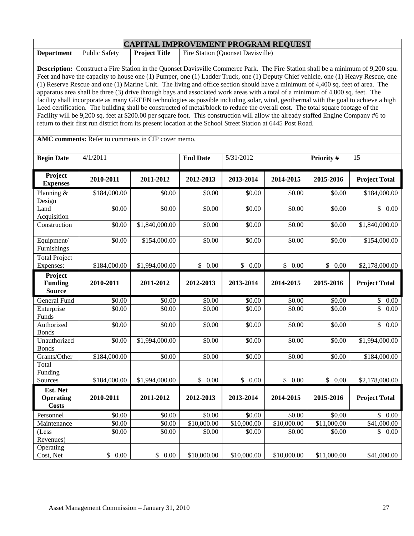|                              | <b>CAPITAL IMPROVEMENT PROGRAM REQUEST</b>                                                                                                                                                                                                                            |                      |                 |                                   |             |             |                      |  |  |  |
|------------------------------|-----------------------------------------------------------------------------------------------------------------------------------------------------------------------------------------------------------------------------------------------------------------------|----------------------|-----------------|-----------------------------------|-------------|-------------|----------------------|--|--|--|
| <b>Department</b>            | <b>Public Safety</b>                                                                                                                                                                                                                                                  | <b>Project Title</b> |                 | Fire Station (Quonset Davisville) |             |             |                      |  |  |  |
|                              |                                                                                                                                                                                                                                                                       |                      |                 |                                   |             |             |                      |  |  |  |
|                              | Description: Construct a Fire Station in the Quonset Davisville Commerce Park. The Fire Station shall be a minimum of 9,200 squ.<br>Feet and have the capacity to house one (1) Pumper, one (1) Ladder Truck, one (1) Deputy Chief vehicle, one (1) Heavy Rescue, one |                      |                 |                                   |             |             |                      |  |  |  |
|                              | (1) Reserve Rescue and one (1) Marine Unit. The living and office section should have a minimum of 4,400 sq. feet of area. The                                                                                                                                        |                      |                 |                                   |             |             |                      |  |  |  |
|                              | apparatus area shall be three (3) drive through bays and associated work areas with a total of a minimum of 4,800 sq. feet. The                                                                                                                                       |                      |                 |                                   |             |             |                      |  |  |  |
|                              | facility shall incorporate as many GREEN technologies as possible including solar, wind, geothermal with the goal to achieve a high                                                                                                                                   |                      |                 |                                   |             |             |                      |  |  |  |
|                              | Leed certification. The building shall be constructed of metal/block to reduce the overall cost. The total square footage of the                                                                                                                                      |                      |                 |                                   |             |             |                      |  |  |  |
|                              | Facility will be 9,200 sq. feet at \$200.00 per square foot. This construction will allow the already staffed Engine Company #6 to<br>return to their first run district from its present location at the School Street Station at 6445 Post Road.                    |                      |                 |                                   |             |             |                      |  |  |  |
|                              |                                                                                                                                                                                                                                                                       |                      |                 |                                   |             |             |                      |  |  |  |
|                              | AMC comments: Refer to comments in CIP cover memo.                                                                                                                                                                                                                    |                      |                 |                                   |             |             |                      |  |  |  |
| <b>Begin Date</b>            | 4/1/2011                                                                                                                                                                                                                                                              |                      | <b>End Date</b> | 5/31/2012                         |             | Priority #  | 15                   |  |  |  |
|                              |                                                                                                                                                                                                                                                                       |                      |                 |                                   |             |             |                      |  |  |  |
| Project<br><b>Expenses</b>   | 2010-2011                                                                                                                                                                                                                                                             | 2011-2012            | 2012-2013       | 2013-2014                         | 2014-2015   | 2015-2016   | <b>Project Total</b> |  |  |  |
| Planning $&$<br>Design       | \$184,000.00                                                                                                                                                                                                                                                          | \$0.00               | \$0.00          | \$0.00                            | \$0.00      | \$0.00      | \$184,000.00         |  |  |  |
| Land<br>Acquisition          | \$0.00                                                                                                                                                                                                                                                                | \$0.00               | \$0.00          | \$0.00                            | \$0.00      | \$0.00      | \$0.00               |  |  |  |
| Construction                 | \$0.00                                                                                                                                                                                                                                                                | \$1,840,000.00       | \$0.00          | \$0.00                            | \$0.00      | \$0.00      | \$1,840,000.00       |  |  |  |
| Equipment/                   | \$0.00                                                                                                                                                                                                                                                                | \$154,000.00         | \$0.00          | \$0.00                            | \$0.00      | \$0.00      | \$154,000.00         |  |  |  |
| Furnishings                  |                                                                                                                                                                                                                                                                       |                      |                 |                                   |             |             |                      |  |  |  |
| <b>Total Project</b>         |                                                                                                                                                                                                                                                                       |                      |                 |                                   |             |             |                      |  |  |  |
| Expenses:                    | \$184,000.00                                                                                                                                                                                                                                                          | \$1,994,000.00       | \$0.00          | \$0.00                            | \$0.00      | \$0.00      | \$2,178,000.00       |  |  |  |
| Project<br><b>Funding</b>    | 2010-2011                                                                                                                                                                                                                                                             | 2011-2012            | 2012-2013       | 2013-2014                         | 2014-2015   | 2015-2016   |                      |  |  |  |
| <b>Source</b>                |                                                                                                                                                                                                                                                                       |                      |                 |                                   |             |             | <b>Project Total</b> |  |  |  |
| General Fund                 | \$0.00                                                                                                                                                                                                                                                                | \$0.00               | \$0.00          | \$0.00                            | \$0.00      | \$0.00      | \$0.00               |  |  |  |
| Enterprise                   | \$0.00                                                                                                                                                                                                                                                                | \$0.00               | \$0.00          | \$0.00                            | \$0.00      | \$0.00      | \$<br>0.00           |  |  |  |
| Funds                        |                                                                                                                                                                                                                                                                       |                      |                 |                                   |             |             |                      |  |  |  |
| Authorized<br><b>Bonds</b>   | \$0.00                                                                                                                                                                                                                                                                | \$0.00               | \$0.00          | \$0.00                            | \$0.00      | \$0.00      | \$0.00               |  |  |  |
| Unauthorized<br><b>Bonds</b> | \$0.00                                                                                                                                                                                                                                                                | \$1,994,000.00       | \$0.00          | \$0.00                            | \$0.00      | \$0.00      | \$1,994,000.00       |  |  |  |
| Grants/Other                 | \$184,000.00                                                                                                                                                                                                                                                          | \$0.00               | \$0.00          | \$0.00                            | \$0.00      | \$0.00      | \$184,000.00         |  |  |  |
| Total                        |                                                                                                                                                                                                                                                                       |                      |                 |                                   |             |             |                      |  |  |  |
| Funding                      |                                                                                                                                                                                                                                                                       |                      |                 |                                   |             |             |                      |  |  |  |
| Sources                      | \$184,000.00                                                                                                                                                                                                                                                          | \$1,994,000.00       | \$0.00          | \$0.00                            | \$0.00      | \$0.00      | \$2,178,000.00       |  |  |  |
| Est. Net                     |                                                                                                                                                                                                                                                                       |                      |                 |                                   |             |             |                      |  |  |  |
| <b>Operating</b>             | 2010-2011                                                                                                                                                                                                                                                             | 2011-2012            | 2012-2013       | 2013-2014                         | 2014-2015   | 2015-2016   | <b>Project Total</b> |  |  |  |
| <b>Costs</b>                 |                                                                                                                                                                                                                                                                       |                      |                 |                                   |             |             |                      |  |  |  |
| Personnel                    | \$0.00                                                                                                                                                                                                                                                                | \$0.00               | \$0.00          | \$0.00                            | \$0.00      | \$0.00      | \$0.00               |  |  |  |
| Maintenance                  | \$0.00                                                                                                                                                                                                                                                                | \$0.00               | \$10,000.00     | $\overline{$10,000.00}$           | \$10,000.00 | \$11,000.00 | \$41,000.00          |  |  |  |
| (Less<br>Revenues)           | \$0.00                                                                                                                                                                                                                                                                | \$0.00               | \$0.00          | \$0.00                            | \$0.00      | \$0.00      | \$0.00               |  |  |  |
| Operating                    |                                                                                                                                                                                                                                                                       |                      |                 |                                   |             |             |                      |  |  |  |
| Cost, Net                    | 0.00<br>\$                                                                                                                                                                                                                                                            | \$0.00               | \$10,000.00     | \$10,000.00                       | \$10,000.00 | \$11,000.00 | \$41,000.00          |  |  |  |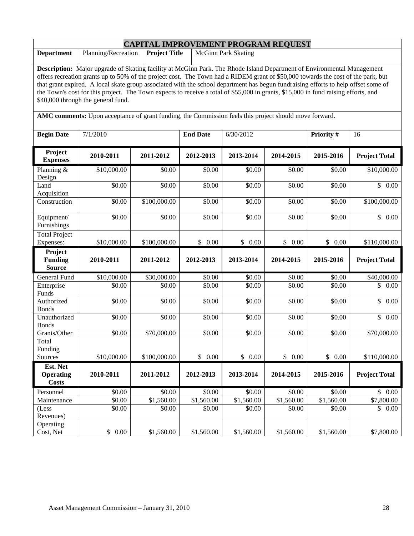| <b>CAPITAL IMPROVEMENT PROGRAM REQUEST</b>                                                                                                                                                                                                                                                                                                                                                                                                                                                                                                                                   |             |              |                 |                      |            |            |                      |  |  |
|------------------------------------------------------------------------------------------------------------------------------------------------------------------------------------------------------------------------------------------------------------------------------------------------------------------------------------------------------------------------------------------------------------------------------------------------------------------------------------------------------------------------------------------------------------------------------|-------------|--------------|-----------------|----------------------|------------|------------|----------------------|--|--|
| Planning/Recreation<br><b>Project Title</b><br><b>McGinn Park Skating</b><br><b>Department</b>                                                                                                                                                                                                                                                                                                                                                                                                                                                                               |             |              |                 |                      |            |            |                      |  |  |
| Description: Major upgrade of Skating facility at McGinn Park. The Rhode Island Department of Environmental Management<br>offers recreation grants up to 50% of the project cost. The Town had a RIDEM grant of \$50,000 towards the cost of the park, but<br>that grant expired. A local skate group associated with the school department has begun fundraising efforts to help offset some of<br>the Town's cost for this project. The Town expects to receive a total of \$55,000 in grants, \$15,000 in fund raising efforts, and<br>\$40,000 through the general fund. |             |              |                 |                      |            |            |                      |  |  |
| AMC comments: Upon acceptance of grant funding, the Commission feels this project should move forward.                                                                                                                                                                                                                                                                                                                                                                                                                                                                       |             |              |                 |                      |            |            |                      |  |  |
| <b>Begin Date</b>                                                                                                                                                                                                                                                                                                                                                                                                                                                                                                                                                            | 7/1/2010    |              | <b>End Date</b> | 6/30/2012            |            | Priority # | 16                   |  |  |
| Project<br><b>Expenses</b>                                                                                                                                                                                                                                                                                                                                                                                                                                                                                                                                                   | 2010-2011   | 2011-2012    | 2012-2013       | 2013-2014            | 2014-2015  | 2015-2016  | <b>Project Total</b> |  |  |
| Planning &<br>Design                                                                                                                                                                                                                                                                                                                                                                                                                                                                                                                                                         | \$10,000.00 | \$0.00       | \$0.00          | \$0.00               | \$0.00     | \$0.00     | \$10,000.00          |  |  |
| Land<br>Acquisition                                                                                                                                                                                                                                                                                                                                                                                                                                                                                                                                                          | \$0.00      | \$0.00       | \$0.00          | $\overline{$}0.00$   | \$0.00     | \$0.00     | $\mathbb{S}$<br>0.00 |  |  |
| Construction                                                                                                                                                                                                                                                                                                                                                                                                                                                                                                                                                                 | \$0.00      | \$100,000.00 | \$0.00          | \$0.00               | \$0.00     | \$0.00     | \$100,000.00         |  |  |
| Equipment/<br>Furnishings                                                                                                                                                                                                                                                                                                                                                                                                                                                                                                                                                    | \$0.00      | \$0.00       | \$0.00          | \$0.00               | \$0.00     | \$0.00     | \$0.00               |  |  |
| <b>Total Project</b><br>Expenses:                                                                                                                                                                                                                                                                                                                                                                                                                                                                                                                                            | \$10,000.00 | \$100,000.00 | \$0.00          | $\mathbb{S}$<br>0.00 | \$0.00     | \$0.00     | \$110,000.00         |  |  |
| Project<br><b>Funding</b><br><b>Source</b>                                                                                                                                                                                                                                                                                                                                                                                                                                                                                                                                   | 2010-2011   | 2011-2012    | 2012-2013       | 2013-2014            | 2014-2015  | 2015-2016  | <b>Project Total</b> |  |  |
| General Fund                                                                                                                                                                                                                                                                                                                                                                                                                                                                                                                                                                 | \$10,000.00 | \$30,000.00  | \$0.00          | \$0.00               | \$0.00     | \$0.00     | \$40,000.00          |  |  |
| Enterprise<br>Funds                                                                                                                                                                                                                                                                                                                                                                                                                                                                                                                                                          | \$0.00      | \$0.00       | \$0.00          | \$0.00               | \$0.00     | \$0.00     | \$<br>0.00           |  |  |
| Authorized<br><b>Bonds</b>                                                                                                                                                                                                                                                                                                                                                                                                                                                                                                                                                   | \$0.00      | \$0.00       | \$0.00          | \$0.00               | \$0.00     | \$0.00     | \$<br>0.00           |  |  |
| Unauthorized<br><b>Bonds</b>                                                                                                                                                                                                                                                                                                                                                                                                                                                                                                                                                 | \$0.00      | \$0.00       | \$0.00          | \$0.00               | \$0.00     | \$0.00     | \$<br>0.00           |  |  |
| Grants/Other                                                                                                                                                                                                                                                                                                                                                                                                                                                                                                                                                                 | \$0.00      | \$70,000.00  | \$0.00          | \$0.00               | \$0.00     | \$0.00     | \$70,000.00          |  |  |
| Total<br>Funding<br>Sources                                                                                                                                                                                                                                                                                                                                                                                                                                                                                                                                                  | \$10,000.00 | \$100,000.00 | \$0.00          | \$0.00               | \$0.00     | \$0.00     | \$110,000.00         |  |  |
| Est. Net                                                                                                                                                                                                                                                                                                                                                                                                                                                                                                                                                                     |             |              |                 |                      |            |            |                      |  |  |
| <b>Operating</b><br><b>Costs</b>                                                                                                                                                                                                                                                                                                                                                                                                                                                                                                                                             | 2010-2011   | 2011-2012    | 2012-2013       | 2013-2014            | 2014-2015  | 2015-2016  | <b>Project Total</b> |  |  |
| Personnel                                                                                                                                                                                                                                                                                                                                                                                                                                                                                                                                                                    | \$0.00      | \$0.00       | \$0.00          | \$0.00               | \$0.00     | \$0.00     | \$0.00               |  |  |
| Maintenance                                                                                                                                                                                                                                                                                                                                                                                                                                                                                                                                                                  | \$0.00      | \$1,560.00   | \$1,560.00      | \$1,560.00           | \$1,560.00 | \$1,560.00 | \$7,800.00           |  |  |
| (Less<br>Revenues)                                                                                                                                                                                                                                                                                                                                                                                                                                                                                                                                                           | \$0.00      | \$0.00       | \$0.00          | \$0.00               | \$0.00     | \$0.00     | \$0.00               |  |  |
| Operating<br>Cost, Net                                                                                                                                                                                                                                                                                                                                                                                                                                                                                                                                                       | \$<br>0.00  | \$1,560.00   | \$1,560.00      | \$1,560.00           | \$1,560.00 | \$1,560.00 | \$7,800.00           |  |  |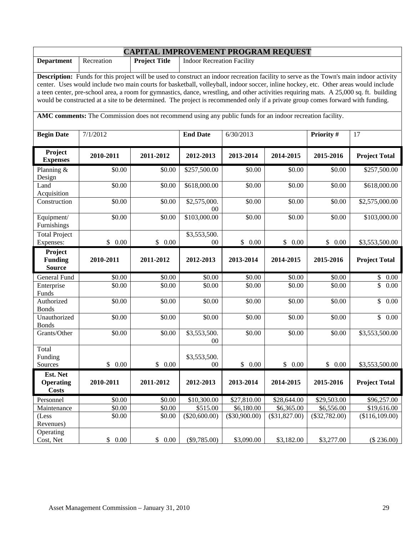| <b>CAPITAL IMPROVEMENT PROGRAM REQUEST</b>                                                                                              |                                                                                                                                                                                                                                                                                |                      |                                   |                  |                  |                  |                      |  |  |  |
|-----------------------------------------------------------------------------------------------------------------------------------------|--------------------------------------------------------------------------------------------------------------------------------------------------------------------------------------------------------------------------------------------------------------------------------|----------------------|-----------------------------------|------------------|------------------|------------------|----------------------|--|--|--|
| <b>Department</b>                                                                                                                       | Recreation                                                                                                                                                                                                                                                                     | <b>Project Title</b> | <b>Indoor Recreation Facility</b> |                  |                  |                  |                      |  |  |  |
|                                                                                                                                         |                                                                                                                                                                                                                                                                                |                      |                                   |                  |                  |                  |                      |  |  |  |
|                                                                                                                                         | Description: Funds for this project will be used to construct an indoor recreation facility to serve as the Town's main indoor activity<br>center. Uses would include two main courts for basketball, volleyball, indoor soccer, inline hockey, etc. Other areas would include |                      |                                   |                  |                  |                  |                      |  |  |  |
| a teen center, pre-school area, a room for gymnastics, dance, wrestling, and other activities requiring mats. A 25,000 sq. ft. building |                                                                                                                                                                                                                                                                                |                      |                                   |                  |                  |                  |                      |  |  |  |
|                                                                                                                                         | would be constructed at a site to be determined. The project is recommended only if a private group comes forward with funding.                                                                                                                                                |                      |                                   |                  |                  |                  |                      |  |  |  |
|                                                                                                                                         |                                                                                                                                                                                                                                                                                |                      |                                   |                  |                  |                  |                      |  |  |  |
| AMC comments: The Commission does not recommend using any public funds for an indoor recreation facility.                               |                                                                                                                                                                                                                                                                                |                      |                                   |                  |                  |                  |                      |  |  |  |
| <b>Begin Date</b>                                                                                                                       | 7/1/2012                                                                                                                                                                                                                                                                       |                      | <b>End Date</b>                   | 6/30/2013        |                  | Priority #       | 17                   |  |  |  |
| Project<br><b>Expenses</b>                                                                                                              | 2010-2011                                                                                                                                                                                                                                                                      | 2011-2012            | 2012-2013                         | 2013-2014        | 2014-2015        | 2015-2016        | <b>Project Total</b> |  |  |  |
| Planning &<br>Design                                                                                                                    | \$0.00                                                                                                                                                                                                                                                                         | \$0.00               | $\overline{$}257,500.00$          | \$0.00           | \$0.00           | \$0.00           | \$257,500.00         |  |  |  |
| Land<br>Acquisition                                                                                                                     | \$0.00                                                                                                                                                                                                                                                                         | \$0.00               | \$618,000.00                      | \$0.00           | \$0.00           | \$0.00           | \$618,000.00         |  |  |  |
| Construction                                                                                                                            | \$0.00                                                                                                                                                                                                                                                                         | \$0.00               | \$2,575,000.<br>00                | \$0.00           | \$0.00           | \$0.00           | \$2,575,000.00       |  |  |  |
| Equipment/<br>Furnishings                                                                                                               | \$0.00                                                                                                                                                                                                                                                                         | \$0.00               | \$103,000.00                      | \$0.00           | \$0.00           | \$0.00           | \$103,000.00         |  |  |  |
| Total Project                                                                                                                           |                                                                                                                                                                                                                                                                                |                      | \$3,553,500.                      |                  |                  |                  |                      |  |  |  |
| Expenses:                                                                                                                               | \$0.00                                                                                                                                                                                                                                                                         | \$0.00               |                                   | \$0.00           |                  |                  |                      |  |  |  |
|                                                                                                                                         |                                                                                                                                                                                                                                                                                |                      | $00\,$                            |                  | \$0.00           | \$0.00           | \$3,553,500.00       |  |  |  |
| Project<br><b>Funding</b>                                                                                                               | 2010-2011                                                                                                                                                                                                                                                                      | 2011-2012            | 2012-2013                         | 2013-2014        | 2014-2015        | 2015-2016        | <b>Project Total</b> |  |  |  |
| <b>Source</b>                                                                                                                           |                                                                                                                                                                                                                                                                                |                      |                                   |                  |                  |                  |                      |  |  |  |
| General Fund<br>Enterprise<br>Funds                                                                                                     | \$0.00<br>\$0.00                                                                                                                                                                                                                                                               | \$0.00<br>\$0.00     | \$0.00<br>\$0.00                  | \$0.00<br>\$0.00 | \$0.00<br>\$0.00 | \$0.00<br>\$0.00 | \$0.00<br>\$<br>0.00 |  |  |  |
| Authorized<br><b>Bonds</b>                                                                                                              | \$0.00                                                                                                                                                                                                                                                                         | \$0.00               | \$0.00                            | \$0.00           | \$0.00           | \$0.00           | $\mathbb{S}$<br>0.00 |  |  |  |
| Unauthorized<br><b>Bonds</b>                                                                                                            | \$0.00                                                                                                                                                                                                                                                                         | \$0.00               | \$0.00                            | \$0.00           | \$0.00           | \$0.00           | $\overline{\$}$ 0.00 |  |  |  |
| Grants/Other                                                                                                                            | \$0.00                                                                                                                                                                                                                                                                         | \$0.00               | \$3,553,500.<br>$00\,$            | \$0.00           | \$0.00           | \$0.00           | \$3,553,500.00       |  |  |  |
| Total                                                                                                                                   |                                                                                                                                                                                                                                                                                |                      |                                   |                  |                  |                  |                      |  |  |  |
| Funding                                                                                                                                 |                                                                                                                                                                                                                                                                                |                      | \$3,553,500.                      |                  |                  |                  |                      |  |  |  |
| Sources                                                                                                                                 | \$0.00                                                                                                                                                                                                                                                                         | \$0.00               | $00\,$                            | \$0.00           | \$0.00           | \$0.00           | \$3,553,500.00       |  |  |  |
| Est. Net                                                                                                                                |                                                                                                                                                                                                                                                                                |                      |                                   |                  |                  |                  |                      |  |  |  |
| <b>Operating</b><br><b>Costs</b>                                                                                                        | 2010-2011                                                                                                                                                                                                                                                                      | 2011-2012            | 2012-2013                         | 2013-2014        | 2014-2015        | 2015-2016        | <b>Project Total</b> |  |  |  |
| Personnel                                                                                                                               | \$0.00                                                                                                                                                                                                                                                                         | \$0.00               | \$10,300.00                       | \$27,810.00      | \$28,644.00      | \$29,503.00      | \$96,257.00          |  |  |  |
| Maintenance                                                                                                                             | \$0.00                                                                                                                                                                                                                                                                         | \$0.00               | \$515.00                          | \$6,180.00       | \$6,365.00       | \$6,556.00       | \$19,616.00          |  |  |  |
| (Less<br>Revenues)<br>Operating                                                                                                         | \$0.00                                                                                                                                                                                                                                                                         | \$0.00               | $(\$20,600.00)$                   | $(\$30,900.00)$  | $(\$31,827.00)$  | $(\$32,782.00)$  | (\$116,109.00)       |  |  |  |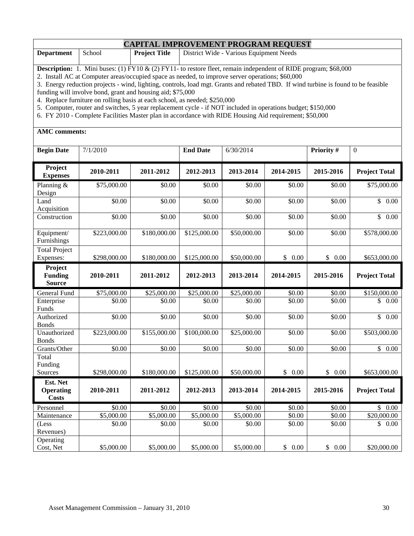#### **CAPITAL IMPROVEMENT PROGRAM REQUEST**

| <b>Department</b> | School | <b>Project Title</b> | District Wide - Various Equipment Needs |  |  |  |  |  |  |
|-------------------|--------|----------------------|-----------------------------------------|--|--|--|--|--|--|
|                   |        |                      |                                         |  |  |  |  |  |  |

**Description:** 1. Mini buses: (1) FY10 & (2) FY11- to restore fleet, remain independent of RIDE program; \$68,000

2. Install AC at Computer areas/occupied space as needed, to improve server operations; \$60,000

3. Energy reduction projects - wind, lighting, controls, load mgt. Grants and rebated TBD. If wind turbine is found to be feasible funding will involve bond, grant and housing aid; \$75,000

4. Replace furniture on rolling basis at each school, as needed; \$250,000

5. Computer, router and switches, 5 year replacement cycle - if NOT included in operations budget; \$150,000

6. FY 2010 - Complete Facilities Master plan in accordance with RIDE Housing Aid requirement; \$50,000

#### **AMC comments:**

| <b>Begin Date</b>                            | 7/1/2010     |              | <b>End Date</b> | 6/30/2014   |           | Priority # | $\mathbf{0}$                     |
|----------------------------------------------|--------------|--------------|-----------------|-------------|-----------|------------|----------------------------------|
| Project<br><b>Expenses</b>                   | 2010-2011    | 2011-2012    | 2012-2013       | 2013-2014   | 2014-2015 | 2015-2016  | <b>Project Total</b>             |
| Planning &<br>Design                         | \$75,000.00  | \$0.00       | \$0.00          | \$0.00      | \$0.00    | \$0.00     | \$75,000.00                      |
| Land<br>Acquisition                          | \$0.00       | \$0.00       | \$0.00          | \$0.00      | \$0.00    | \$0.00     | $\overline{\mathbb{S}}$<br>0.00  |
| Construction                                 | \$0.00       | \$0.00       | \$0.00          | \$0.00      | \$0.00    | \$0.00     | $\mathbb{S}$<br>0.00             |
| Equipment/<br>Furnishings                    | \$223,000.00 | \$180,000.00 | \$125,000.00    | \$50,000.00 | \$0.00    | \$0.00     | \$578,000.00                     |
| Total Project<br>Expenses:                   | \$298,000.00 | \$180,000.00 | \$125,000.00    | \$50,000.00 | \$0.00    | \$0.00     | \$653,000.00                     |
| Project<br><b>Funding</b><br><b>Source</b>   | 2010-2011    | 2011-2012    | 2012-2013       | 2013-2014   | 2014-2015 | 2015-2016  | <b>Project Total</b>             |
| General Fund                                 | \$75,000.00  | \$25,000.00  | \$25,000.00     | \$25,000.00 | \$0.00    | \$0.00     | \$150,000.00                     |
| Enterprise<br>Funds                          | \$0.00       | \$0.00       | \$0.00          | \$0.00      | \$0.00    | \$0.00     | \$<br>0.00                       |
| Authorized<br><b>Bonds</b>                   | \$0.00       | \$0.00       | \$0.00          | \$0.00      | \$0.00    | \$0.00     | $\overline{\$}$<br>0.00          |
| Unauthorized<br><b>Bonds</b>                 | \$223,000.00 | \$155,000.00 | \$100,000.00    | \$25,000.00 | \$0.00    | \$0.00     | \$503,000.00                     |
| Grants/Other                                 | \$0.00       | \$0.00       | \$0.00          | \$0.00      | \$0.00    | \$0.00     | $\overline{\mathcal{S}}$<br>0.00 |
| Total<br>Funding<br>Sources                  | \$298,000.00 | \$180,000.00 | \$125,000.00    | \$50,000.00 | \$0.00    | \$0.00     | \$653,000.00                     |
| Est. Net<br><b>Operating</b><br><b>Costs</b> | 2010-2011    | 2011-2012    | 2012-2013       | 2013-2014   | 2014-2015 | 2015-2016  | <b>Project Total</b>             |
| Personnel                                    | \$0.00       | \$0.00       | \$0.00          | \$0.00      | \$0.00    | \$0.00     | \$<br>0.00                       |
| Maintenance                                  | \$5,000.00   | \$5,000.00   | \$5,000.00      | \$5,000.00  | \$0.00    | \$0.00     | \$20,000.00                      |
| (Less<br>Revenues)                           | \$0.00       | \$0.00       | \$0.00          | \$0.00      | \$0.00    | \$0.00     | \$<br>0.00                       |
| Operating<br>Cost, Net                       | \$5,000.00   | \$5,000.00   | \$5,000.00      | \$5,000.00  | \$0.00    | \$<br>0.00 | \$20,000.00                      |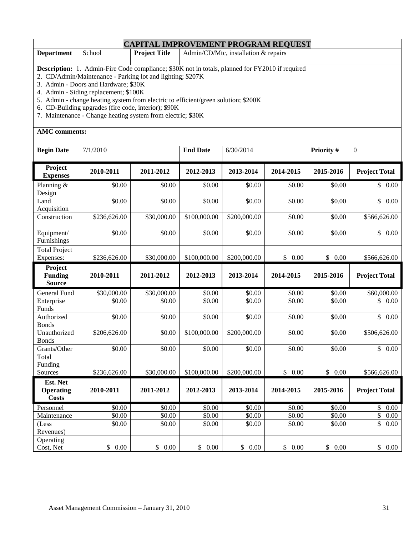|                                                                                                                                                                                                                                                                                                                                                                                                                                                                    | <b>CAPITAL IMPROVEMENT PROGRAM REQUEST</b> |                      |                 |                                      |           |            |                                  |  |  |  |
|--------------------------------------------------------------------------------------------------------------------------------------------------------------------------------------------------------------------------------------------------------------------------------------------------------------------------------------------------------------------------------------------------------------------------------------------------------------------|--------------------------------------------|----------------------|-----------------|--------------------------------------|-----------|------------|----------------------------------|--|--|--|
| <b>Department</b>                                                                                                                                                                                                                                                                                                                                                                                                                                                  | School                                     | <b>Project Title</b> |                 | Admin/CD/Mtc, installation & repairs |           |            |                                  |  |  |  |
| <b>Description:</b> 1. Admin-Fire Code compliance; \$30K not in totals, planned for FY2010 if required<br>2. CD/Admin/Maintenance - Parking lot and lighting; \$207K<br>3. Admin - Doors and Hardware; \$30K<br>4. Admin - Siding replacement; \$100K<br>5. Admin - change heating system from electric to efficient/green solution; \$200K<br>6. CD-Building upgrades (fire code, interior); \$90K<br>7. Maintenance - Change heating system from electric; \$30K |                                            |                      |                 |                                      |           |            |                                  |  |  |  |
| <b>AMC</b> comments:                                                                                                                                                                                                                                                                                                                                                                                                                                               |                                            |                      |                 |                                      |           |            |                                  |  |  |  |
| <b>Begin Date</b>                                                                                                                                                                                                                                                                                                                                                                                                                                                  | 7/1/2010                                   |                      | <b>End Date</b> | 6/30/2014                            |           | Priority # | $\mathbf{0}$                     |  |  |  |
| Project<br><b>Expenses</b>                                                                                                                                                                                                                                                                                                                                                                                                                                         | 2010-2011                                  | 2011-2012            | 2012-2013       | 2013-2014                            | 2014-2015 | 2015-2016  | <b>Project Total</b>             |  |  |  |
| Planning &<br>Design                                                                                                                                                                                                                                                                                                                                                                                                                                               | \$0.00                                     | \$0.00               | \$0.00          | \$0.00                               | \$0.00    | \$0.00     | \$0.00                           |  |  |  |
| Land<br>Acquisition                                                                                                                                                                                                                                                                                                                                                                                                                                                | \$0.00                                     | \$0.00               | \$0.00          | \$0.00                               | \$0.00    | \$0.00     | \$0.00                           |  |  |  |
| Construction                                                                                                                                                                                                                                                                                                                                                                                                                                                       | \$236,626.00                               | \$30,000.00          | \$100,000.00    | \$200,000.00                         | \$0.00    | \$0.00     | \$566,626.00                     |  |  |  |
| Equipment/<br>Furnishings                                                                                                                                                                                                                                                                                                                                                                                                                                          | \$0.00                                     | \$0.00               | \$0.00          | \$0.00                               | \$0.00    | \$0.00     | \$0.00                           |  |  |  |
| <b>Total Project</b><br>Expenses:                                                                                                                                                                                                                                                                                                                                                                                                                                  | \$236,626.00                               | \$30,000.00          | \$100,000.00    | \$200,000.00                         | \$0.00    | \$0.00     | \$566,626.00                     |  |  |  |
| Project<br><b>Funding</b><br><b>Source</b>                                                                                                                                                                                                                                                                                                                                                                                                                         | 2010-2011                                  | 2011-2012            | 2012-2013       | 2013-2014                            | 2014-2015 | 2015-2016  | <b>Project Total</b>             |  |  |  |
| General Fund                                                                                                                                                                                                                                                                                                                                                                                                                                                       | \$30,000.00                                | \$30,000.00          | \$0.00          | \$0.00                               | \$0.00    | \$0.00     | \$60,000.00                      |  |  |  |
| Enterprise<br>Funds                                                                                                                                                                                                                                                                                                                                                                                                                                                | \$0.00                                     | \$0.00               | \$0.00          | \$0.00                               | \$0.00    | \$0.00     | $\mathbb{S}$<br>$0.00\,$         |  |  |  |
| Authorized<br><b>Bonds</b>                                                                                                                                                                                                                                                                                                                                                                                                                                         | \$0.00                                     | \$0.00               | \$0.00          | \$0.00                               | \$0.00    | \$0.00     | \$0.00                           |  |  |  |
| Unauthorized<br><b>Bonds</b>                                                                                                                                                                                                                                                                                                                                                                                                                                       | \$206,626.00                               | \$0.00               | \$100,000.00    | \$200,000.00                         | \$0.00    | \$0.00     | \$506,626.00                     |  |  |  |
| Grants/Other                                                                                                                                                                                                                                                                                                                                                                                                                                                       | \$0.00                                     | \$0.00               | \$0.00          | \$0.00                               | \$0.00    | \$0.00     | $\mathsf{\$}$<br>$0.00\,$        |  |  |  |
| Total<br>Funding<br>Sources                                                                                                                                                                                                                                                                                                                                                                                                                                        | \$236,626.00                               | \$30,000.00          | \$100,000.00    | \$200,000.00                         | \$0.00    | \$0.00     | \$566,626.00                     |  |  |  |
| Est. Net<br><b>Operating</b><br><b>Costs</b>                                                                                                                                                                                                                                                                                                                                                                                                                       | 2010-2011                                  | 2011-2012            | 2012-2013       | 2013-2014                            | 2014-2015 | 2015-2016  | <b>Project Total</b>             |  |  |  |
| Personnel                                                                                                                                                                                                                                                                                                                                                                                                                                                          | \$0.00                                     | \$0.00               | \$0.00          | \$0.00                               | \$0.00    | \$0.00     | \$<br>$0.00\,$                   |  |  |  |
| Maintenance                                                                                                                                                                                                                                                                                                                                                                                                                                                        | \$0.00                                     | \$0.00               | \$0.00          | \$0.00                               | \$0.00    | \$0.00     | $\overline{\mathcal{L}}$<br>0.00 |  |  |  |
| (Less<br>Revenues)                                                                                                                                                                                                                                                                                                                                                                                                                                                 | \$0.00                                     | \$0.00               | \$0.00          | \$0.00                               | \$0.00    | \$0.00     | \$<br>$0.00\,$                   |  |  |  |

Cost, Net \$ 0.00 \$ 0.00 \$ 0.00 \$ 0.00 \$ 0.00 \$ 0.00 \$ 0.00

**Operating**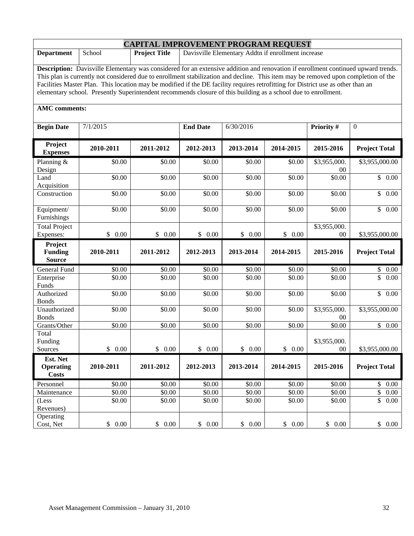|                                                                                                                                                                                                                                                                                                                                                                                                                                                                                                                                      | <b>CAPITAL IMPROVEMENT PROGRAM REQUEST</b> |                      |                 |                                                    |           |                        |                                 |  |  |
|--------------------------------------------------------------------------------------------------------------------------------------------------------------------------------------------------------------------------------------------------------------------------------------------------------------------------------------------------------------------------------------------------------------------------------------------------------------------------------------------------------------------------------------|--------------------------------------------|----------------------|-----------------|----------------------------------------------------|-----------|------------------------|---------------------------------|--|--|
| <b>Department</b>                                                                                                                                                                                                                                                                                                                                                                                                                                                                                                                    | School                                     | <b>Project Title</b> |                 | Davisville Elementary Addtn if enrollment increase |           |                        |                                 |  |  |
| <b>Description:</b> Davisville Elementary was considered for an extensive addition and renovation if enrollment continued upward trends.<br>This plan is currently not considered due to enrollment stabilization and decline. This item may be removed upon completion of the<br>Facilities Master Plan. This location may be modified if the DE facility requires retrofitting for District use as other than an<br>elementary school. Presently Superintendent recommends closure of this building as a school due to enrollment. |                                            |                      |                 |                                                    |           |                        |                                 |  |  |
| <b>AMC</b> comments:                                                                                                                                                                                                                                                                                                                                                                                                                                                                                                                 |                                            |                      |                 |                                                    |           |                        |                                 |  |  |
| <b>Begin Date</b>                                                                                                                                                                                                                                                                                                                                                                                                                                                                                                                    | 7/1/2015                                   |                      | <b>End Date</b> | 6/30/2016                                          |           | Priority #             | $\boldsymbol{0}$                |  |  |
| Project<br><b>Expenses</b>                                                                                                                                                                                                                                                                                                                                                                                                                                                                                                           | 2010-2011                                  | 2011-2012            | 2012-2013       | 2013-2014                                          | 2014-2015 | 2015-2016              | <b>Project Total</b>            |  |  |
| Planning $&$<br>Design                                                                                                                                                                                                                                                                                                                                                                                                                                                                                                               | \$0.00                                     | \$0.00               | \$0.00          | \$0.00                                             | \$0.00    | \$3,955,000.<br>$00\,$ | \$3,955,000.00                  |  |  |
| Land<br>Acquisition                                                                                                                                                                                                                                                                                                                                                                                                                                                                                                                  | \$0.00                                     | \$0.00               | \$0.00          | \$0.00                                             | \$0.00    | \$0.00                 | $\mathbb{S}$<br>0.00            |  |  |
| Construction                                                                                                                                                                                                                                                                                                                                                                                                                                                                                                                         | \$0.00                                     | \$0.00               | \$0.00          | \$0.00                                             | \$0.00    | \$0.00                 | $\mathbb{S}^-$<br>0.00          |  |  |
| Equipment/<br>Furnishings                                                                                                                                                                                                                                                                                                                                                                                                                                                                                                            | \$0.00                                     | \$0.00               | \$0.00          | \$0.00                                             | \$0.00    | \$0.00                 | \$0.00                          |  |  |
| <b>Total Project</b><br>Expenses:                                                                                                                                                                                                                                                                                                                                                                                                                                                                                                    | \$0.00                                     | \$0.00               | \$0.00          | \$0.00                                             | \$0.00    | \$3,955,000.<br>$00\,$ | \$3,955,000.00                  |  |  |
| Project<br><b>Funding</b><br><b>Source</b>                                                                                                                                                                                                                                                                                                                                                                                                                                                                                           | 2010-2011                                  | 2011-2012            | 2012-2013       | 2013-2014                                          | 2014-2015 | 2015-2016              | <b>Project Total</b>            |  |  |
| General Fund                                                                                                                                                                                                                                                                                                                                                                                                                                                                                                                         | \$0.00                                     | \$0.00               | \$0.00          | \$0.00                                             | \$0.00    | \$0.00                 | \$0.00                          |  |  |
| Enterprise<br>Funds                                                                                                                                                                                                                                                                                                                                                                                                                                                                                                                  | \$0.00                                     | \$0.00               | \$0.00          | \$0.00                                             | \$0.00    | \$0.00                 | $\overline{\mathbb{S}}$<br>0.00 |  |  |
| Authorized<br><b>Bonds</b>                                                                                                                                                                                                                                                                                                                                                                                                                                                                                                           | \$0.00                                     | \$0.00               | \$0.00          | \$0.00                                             | \$0.00    | \$0.00                 | $\mathbb{S}$<br>0.00            |  |  |
| Unauthorized<br><b>Bonds</b>                                                                                                                                                                                                                                                                                                                                                                                                                                                                                                         | \$0.00                                     | \$0.00               | \$0.00          | \$0.00                                             | \$0.00    | \$3,955,000.<br>$00\,$ | \$3,955,000.00                  |  |  |
| Grants/Other                                                                                                                                                                                                                                                                                                                                                                                                                                                                                                                         | \$0.00                                     | \$0.00               | \$0.00          | \$0.00                                             | \$0.00    | \$0.00                 | $\overline{\$}$ 0.00            |  |  |
| Total<br>Funding<br>Sources                                                                                                                                                                                                                                                                                                                                                                                                                                                                                                          | \$0.00                                     | \$0.00               | \$0.00          | \$0.00                                             | \$0.00    | \$3,955,000.<br>00     | \$3,955,000.00                  |  |  |
| Est. Net<br><b>Operating</b><br><b>Costs</b>                                                                                                                                                                                                                                                                                                                                                                                                                                                                                         | 2010-2011                                  | 2011-2012            | 2012-2013       | 2013-2014                                          | 2014-2015 | 2015-2016              | <b>Project Total</b>            |  |  |
| Personnel                                                                                                                                                                                                                                                                                                                                                                                                                                                                                                                            | \$0.00                                     | \$0.00               | \$0.00          | \$0.00                                             | \$0.00    | \$0.00                 | \$0.00                          |  |  |
| Maintenance                                                                                                                                                                                                                                                                                                                                                                                                                                                                                                                          | \$0.00                                     | \$0.00               | \$0.00          | \$0.00                                             | \$0.00    | \$0.00                 | $\overline{\$}$ 0.00            |  |  |
| (Less<br>Revenues)                                                                                                                                                                                                                                                                                                                                                                                                                                                                                                                   | \$0.00                                     | \$0.00               | \$0.00          | \$0.00                                             | \$0.00    | \$0.00                 | \$<br>0.00                      |  |  |
| Operating<br>Cost, Net                                                                                                                                                                                                                                                                                                                                                                                                                                                                                                               | $$0.00$                                    | \$0.00               | \$0.00          | \$0.00                                             | \$0.00    | \$0.00                 | \$0.00                          |  |  |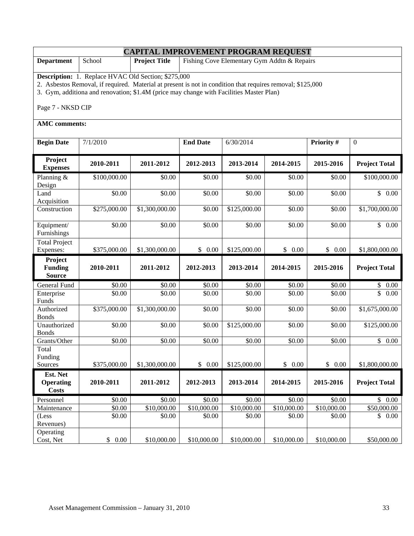|                                                                                                                                                                                                                                                                                          | <b>CAPITAL IMPROVEMENT PROGRAM REQUEST</b> |                      |                 |                                             |                |             |                      |  |  |  |
|------------------------------------------------------------------------------------------------------------------------------------------------------------------------------------------------------------------------------------------------------------------------------------------|--------------------------------------------|----------------------|-----------------|---------------------------------------------|----------------|-------------|----------------------|--|--|--|
| <b>Department</b>                                                                                                                                                                                                                                                                        | School                                     | <b>Project Title</b> |                 | Fishing Cove Elementary Gym Addtn & Repairs |                |             |                      |  |  |  |
| <b>Description:</b> 1. Replace HVAC Old Section; \$275,000<br>2. Asbestos Removal, if required. Material at present is not in condition that requires removal; \$125,000<br>3. Gym, additiona and renovation; \$1.4M (price may change with Facilities Master Plan)<br>Page 7 - NKSD CIP |                                            |                      |                 |                                             |                |             |                      |  |  |  |
| <b>AMC</b> comments:                                                                                                                                                                                                                                                                     |                                            |                      |                 |                                             |                |             |                      |  |  |  |
|                                                                                                                                                                                                                                                                                          |                                            |                      |                 |                                             |                |             |                      |  |  |  |
| <b>Begin Date</b>                                                                                                                                                                                                                                                                        | 7/1/2010                                   |                      | <b>End Date</b> | 6/30/2014                                   |                | Priority #  | $\mathbf{0}$         |  |  |  |
| Project<br><b>Expenses</b>                                                                                                                                                                                                                                                               | 2010-2011                                  | 2011-2012            | 2012-2013       | 2013-2014                                   | 2014-2015      | 2015-2016   | <b>Project Total</b> |  |  |  |
| Planning &<br>Design                                                                                                                                                                                                                                                                     | \$100,000.00                               | \$0.00               | \$0.00          | \$0.00                                      | \$0.00         | \$0.00      | \$100,000.00         |  |  |  |
| Land<br>Acquisition                                                                                                                                                                                                                                                                      | \$0.00                                     | \$0.00               | \$0.00          | \$0.00                                      | \$0.00         | \$0.00      | \$0.00               |  |  |  |
| Construction                                                                                                                                                                                                                                                                             | \$275,000.00                               | \$1,300,000.00       | \$0.00          | \$125,000.00                                | \$0.00         | \$0.00      | \$1,700,000.00       |  |  |  |
| Equipment/<br>Furnishings                                                                                                                                                                                                                                                                | \$0.00                                     | \$0.00               | \$0.00          | \$0.00                                      | \$0.00         | \$0.00      | \$0.00               |  |  |  |
| <b>Total Project</b><br>Expenses:                                                                                                                                                                                                                                                        | \$375,000.00                               | \$1,300,000.00       | \$0.00          | \$125,000.00                                | \$0.00         | \$0.00      | \$1,800,000.00       |  |  |  |
| Project<br><b>Funding</b><br><b>Source</b>                                                                                                                                                                                                                                               | 2010-2011                                  | 2011-2012            | 2012-2013       | 2013-2014                                   | 2014-2015      | 2015-2016   | <b>Project Total</b> |  |  |  |
| General Fund                                                                                                                                                                                                                                                                             | \$0.00                                     | \$0.00               | \$0.00          | \$0.00                                      | \$0.00         | \$0.00      | \$<br>$0.00\,$       |  |  |  |
| Enterprise<br>Funds                                                                                                                                                                                                                                                                      | \$0.00                                     | \$0.00               | \$0.00          | \$0.00                                      | \$0.00         | \$0.00      | \$<br>0.00           |  |  |  |
| Authorized<br><b>Bonds</b>                                                                                                                                                                                                                                                               | \$375,000.00                               | \$1,300,000.00       | \$0.00          | \$0.00                                      | \$0.00         | \$0.00      | \$1,675,000.00       |  |  |  |
| Unauthorized<br><b>Bonds</b>                                                                                                                                                                                                                                                             | \$0.00                                     | \$0.00               | \$0.00          | \$125,000.00                                | \$0.00         | \$0.00      | \$125,000.00         |  |  |  |
| Grants/Other                                                                                                                                                                                                                                                                             | \$0.00                                     | \$0.00               | \$0.00          | \$0.00                                      | \$0.00         | \$0.00      | \$0.00               |  |  |  |
| Total<br>Funding                                                                                                                                                                                                                                                                         |                                            |                      |                 |                                             |                |             |                      |  |  |  |
| Sources                                                                                                                                                                                                                                                                                  | \$375,000.00                               | \$1,300,000.00       | \$0.00          | \$125,000.00                                | \$<br>$0.00\,$ | \$0.00      | \$1,800,000.00       |  |  |  |
| Est. Net<br><b>Operating</b><br><b>Costs</b>                                                                                                                                                                                                                                             | 2010-2011                                  | 2011-2012            | 2012-2013       | 2013-2014                                   | 2014-2015      | 2015-2016   | <b>Project Total</b> |  |  |  |
| Personnel                                                                                                                                                                                                                                                                                | \$0.00                                     | \$0.00               | \$0.00          | \$0.00                                      | \$0.00         | \$0.00      | \$0.00               |  |  |  |
| Maintenance                                                                                                                                                                                                                                                                              | \$0.00                                     | \$10,000.00          | \$10,000.00     | \$10,000.00                                 | \$10,000.00    | \$10,000.00 | \$50,000.00          |  |  |  |
| (Less<br>Revenues)                                                                                                                                                                                                                                                                       | \$0.00                                     | \$0.00               | \$0.00          | \$0.00                                      | \$0.00         | \$0.00      | \$0.00               |  |  |  |
| Operating<br>Cost, Net                                                                                                                                                                                                                                                                   | $0.00\,$<br>\$                             | \$10,000.00          | \$10,000.00     | \$10,000.00                                 | \$10,000.00    | \$10,000.00 | \$50,000.00          |  |  |  |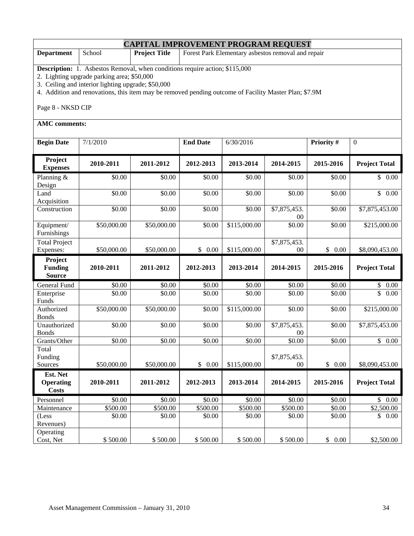|                                                                                                                                                                                                                                                                                                                      | <b>CAPITAL IMPROVEMENT PROGRAM REQUEST</b> |                      |                      |                                                    |                        |                    |                       |  |  |  |
|----------------------------------------------------------------------------------------------------------------------------------------------------------------------------------------------------------------------------------------------------------------------------------------------------------------------|--------------------------------------------|----------------------|----------------------|----------------------------------------------------|------------------------|--------------------|-----------------------|--|--|--|
| <b>Department</b>                                                                                                                                                                                                                                                                                                    | School                                     | <b>Project Title</b> |                      | Forest Park Elementary asbestos removal and repair |                        |                    |                       |  |  |  |
| <b>Description:</b> 1. Asbestos Removal, when conditions require action; \$115,000<br>2. Lighting upgrade parking area; \$50,000<br>3. Ceiling and interior lighting upgrade; \$50,000<br>4. Addition and renovations, this item may be removed pending outcome of Facility Master Plan; \$7.9M<br>Page 8 - NKSD CIP |                                            |                      |                      |                                                    |                        |                    |                       |  |  |  |
| <b>AMC</b> comments:                                                                                                                                                                                                                                                                                                 |                                            |                      |                      |                                                    |                        |                    |                       |  |  |  |
| <b>Begin Date</b>                                                                                                                                                                                                                                                                                                    | 7/1/2010                                   |                      | <b>End Date</b>      | 6/30/2016                                          |                        | Priority #         | $\mathbf{0}$          |  |  |  |
| Project<br><b>Expenses</b>                                                                                                                                                                                                                                                                                           | 2010-2011                                  | 2011-2012            | 2012-2013            | 2013-2014                                          | 2014-2015              | 2015-2016          | <b>Project Total</b>  |  |  |  |
| Planning &<br>Design                                                                                                                                                                                                                                                                                                 | \$0.00                                     | \$0.00               | \$0.00               | \$0.00                                             | \$0.00                 | \$0.00             | \$0.00                |  |  |  |
| Land<br>Acquisition                                                                                                                                                                                                                                                                                                  | \$0.00                                     | \$0.00               | \$0.00               | \$0.00                                             | \$0.00                 | \$0.00             | $\mathsf{\$}$<br>0.00 |  |  |  |
| Construction                                                                                                                                                                                                                                                                                                         | \$0.00                                     | \$0.00               | \$0.00               | \$0.00                                             | \$7,875,453.<br>$00\,$ | \$0.00             | \$7,875,453.00        |  |  |  |
| Equipment/<br>Furnishings                                                                                                                                                                                                                                                                                            | \$50,000.00                                | \$50,000.00          | \$0.00               | \$115,000.00                                       | \$0.00                 | \$0.00             | \$215,000.00          |  |  |  |
| <b>Total Project</b><br>Expenses:                                                                                                                                                                                                                                                                                    | \$50,000.00                                | \$50,000.00          | \$0.00               | \$115,000.00                                       | \$7,875,453.<br>$00\,$ | \$0.00             | \$8,090,453.00        |  |  |  |
| Project<br><b>Funding</b><br><b>Source</b>                                                                                                                                                                                                                                                                           | 2010-2011                                  | 2011-2012            | 2012-2013            | 2013-2014                                          | 2014-2015              | 2015-2016          | <b>Project Total</b>  |  |  |  |
| General Fund                                                                                                                                                                                                                                                                                                         | $\overline{$}0.00$                         | \$0.00               | \$0.00               | \$0.00                                             | \$0.00                 | \$0.00             | \$<br>$0.00\,$        |  |  |  |
| Enterprise<br>Funds                                                                                                                                                                                                                                                                                                  | \$0.00                                     | \$0.00               | \$0.00               | \$0.00                                             | \$0.00                 | \$0.00             | $\mathbb{S}$<br>0.00  |  |  |  |
| Authorized<br><b>Bonds</b>                                                                                                                                                                                                                                                                                           | \$50,000.00                                | \$50,000.00          | \$0.00               | \$115,000.00                                       | \$0.00                 | \$0.00             | \$215,000.00          |  |  |  |
| Unauthorized<br><b>Bonds</b>                                                                                                                                                                                                                                                                                         | \$0.00                                     | \$0.00               | \$0.00               | \$0.00                                             | \$7,875,453.<br>00     | \$0.00             | \$7,875,453.00        |  |  |  |
| Grants/Other                                                                                                                                                                                                                                                                                                         | \$0.00                                     | \$0.00               | \$0.00               | \$0.00                                             | \$0.00                 | \$0.00             | \$0.00                |  |  |  |
| Total<br>Funding<br>Sources                                                                                                                                                                                                                                                                                          | \$50,000.00                                | \$50,000.00          | \$0.00               | \$115,000.00                                       | \$7,875,453.<br>$00\,$ | \$0.00             | \$8,090,453.00        |  |  |  |
| Est. Net<br><b>Operating</b><br><b>Costs</b>                                                                                                                                                                                                                                                                         | 2010-2011                                  | 2011-2012            | 2012-2013            | 2013-2014                                          | 2014-2015              | 2015-2016          | <b>Project Total</b>  |  |  |  |
| Personnel                                                                                                                                                                                                                                                                                                            | $\overline{$}0.00$                         | $\overline{$}0.00$   | \$0.00               | $\overline{$}0.00$                                 | \$0.00                 | $\overline{$}0.00$ | \$0.00                |  |  |  |
| Maintenance                                                                                                                                                                                                                                                                                                          | $\overline{$}500.00$                       | $\overline{$}500.00$ | $\overline{$}500.00$ | $\overline{$}500.00$                               | \$500.00               | \$0.00             | \$2,500.00            |  |  |  |
| (Less<br>Revenues)                                                                                                                                                                                                                                                                                                   | \$0.00                                     | \$0.00               | \$0.00               | \$0.00                                             | \$0.00                 | \$0.00             | \$0.00                |  |  |  |
| Operating<br>Cost, Net                                                                                                                                                                                                                                                                                               | \$500.00                                   | \$500.00             | \$500.00             | \$500.00                                           | \$500.00               | \$0.00             | \$2,500.00            |  |  |  |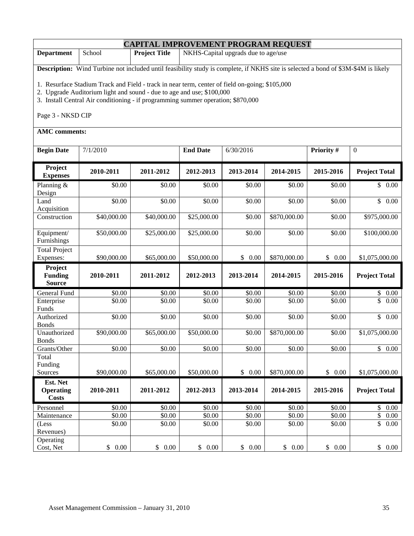|                                                                                                                                                           | <b>CAPITAL IMPROVEMENT PROGRAM REQUEST</b>                                                                                                                                                                                           |             |                 |           |              |            |                                  |  |  |
|-----------------------------------------------------------------------------------------------------------------------------------------------------------|--------------------------------------------------------------------------------------------------------------------------------------------------------------------------------------------------------------------------------------|-------------|-----------------|-----------|--------------|------------|----------------------------------|--|--|
| <b>Department</b>                                                                                                                                         | School<br>NKHS-Capital upgrads due to age/use<br><b>Project Title</b>                                                                                                                                                                |             |                 |           |              |            |                                  |  |  |
|                                                                                                                                                           | Description: Wind Turbine not included until feasibility study is complete, if NKHS site is selected a bond of \$3M-\$4M is likely<br>1. Resurface Stadium Track and Field - track in near term, center of field on-going; \$105,000 |             |                 |           |              |            |                                  |  |  |
| 2. Upgrade Auditorium light and sound - due to age and use; \$100,000<br>3. Install Central Air conditioning - if programming summer operation; \$870,000 |                                                                                                                                                                                                                                      |             |                 |           |              |            |                                  |  |  |
| Page 3 - NKSD CIP                                                                                                                                         |                                                                                                                                                                                                                                      |             |                 |           |              |            |                                  |  |  |
| <b>AMC</b> comments:                                                                                                                                      |                                                                                                                                                                                                                                      |             |                 |           |              |            |                                  |  |  |
| <b>Begin Date</b>                                                                                                                                         | 7/1/2010                                                                                                                                                                                                                             |             | <b>End Date</b> | 6/30/2016 |              | Priority # | $\mathbf{0}$                     |  |  |
| Project<br><b>Expenses</b>                                                                                                                                | 2010-2011                                                                                                                                                                                                                            | 2011-2012   | 2012-2013       | 2013-2014 | 2014-2015    | 2015-2016  | <b>Project Total</b>             |  |  |
| Planning $&$<br>Design                                                                                                                                    | \$0.00                                                                                                                                                                                                                               | \$0.00      | \$0.00          | \$0.00    | \$0.00       | \$0.00     | \$0.00                           |  |  |
| Land<br>Acquisition                                                                                                                                       | \$0.00                                                                                                                                                                                                                               | \$0.00      | \$0.00          | \$0.00    | \$0.00       | \$0.00     | \$0.00                           |  |  |
| Construction                                                                                                                                              | \$40,000.00                                                                                                                                                                                                                          | \$40,000.00 | \$25,000.00     | \$0.00    | \$870,000.00 | \$0.00     | \$975,000.00                     |  |  |
| Equipment/<br>Furnishings                                                                                                                                 | \$50,000.00                                                                                                                                                                                                                          | \$25,000.00 | \$25,000.00     | \$0.00    | \$0.00       | \$0.00     | \$100,000.00                     |  |  |
| <b>Total Project</b><br>Expenses:                                                                                                                         | \$90,000.00                                                                                                                                                                                                                          | \$65,000.00 | \$50,000.00     | \$0.00    | \$870,000.00 | \$0.00     | \$1,075,000.00                   |  |  |
| Project<br><b>Funding</b><br><b>Source</b>                                                                                                                | 2010-2011                                                                                                                                                                                                                            | 2011-2012   | 2012-2013       | 2013-2014 | 2014-2015    | 2015-2016  | <b>Project Total</b>             |  |  |
| General Fund                                                                                                                                              | \$0.00                                                                                                                                                                                                                               | \$0.00      | \$0.00          | \$0.00    | \$0.00       | \$0.00     | \$0.00                           |  |  |
| Enterprise<br>Funds                                                                                                                                       | \$0.00                                                                                                                                                                                                                               | \$0.00      | \$0.00          | \$0.00    | \$0.00       | \$0.00     | \$<br>0.00                       |  |  |
| Authorized<br><b>Bonds</b>                                                                                                                                | \$0.00                                                                                                                                                                                                                               | \$0.00      | \$0.00          | \$0.00    | \$0.00       | \$0.00     | $\overline{\$}$ 0.00             |  |  |
| Unauthorized<br>Bonds                                                                                                                                     | \$90,000.00                                                                                                                                                                                                                          | \$65,000.00 | \$50,000.00     | \$0.00    | \$870,000.00 | \$0.00     | \$1,075,000.00                   |  |  |
| Grants/Other                                                                                                                                              | \$0.00                                                                                                                                                                                                                               | \$0.00      | \$0.00          | \$0.00    | \$0.00       | \$0.00     | $\mathbb{S}$<br>0.00             |  |  |
| Total                                                                                                                                                     |                                                                                                                                                                                                                                      |             |                 |           |              |            |                                  |  |  |
| Funding<br>Sources                                                                                                                                        | \$90,000.00                                                                                                                                                                                                                          | \$65,000.00 | \$50,000.00     | \$0.00    | \$870,000.00 | \$0.00     | \$1,075,000.00                   |  |  |
| Est. Net                                                                                                                                                  |                                                                                                                                                                                                                                      |             |                 |           |              |            |                                  |  |  |
| <b>Operating</b><br><b>Costs</b>                                                                                                                          | 2010-2011                                                                                                                                                                                                                            | 2011-2012   | 2012-2013       | 2013-2014 | 2014-2015    | 2015-2016  | <b>Project Total</b>             |  |  |
| Personnel                                                                                                                                                 | \$0.00                                                                                                                                                                                                                               | \$0.00      | \$0.00          | \$0.00    | \$0.00       | \$0.00     | $\mathbb{S}$<br>0.00             |  |  |
| Maintenance                                                                                                                                               | \$0.00                                                                                                                                                                                                                               | \$0.00      | \$0.00          | \$0.00    | \$0.00       | \$0.00     | $\overline{\mathcal{L}}$<br>0.00 |  |  |
| (Less<br>Revenues)                                                                                                                                        | \$0.00                                                                                                                                                                                                                               | \$0.00      | \$0.00          | \$0.00    | \$0.00       | \$0.00     | \$<br>0.00                       |  |  |
| Operating<br>Cost, Net                                                                                                                                    | \$0.00                                                                                                                                                                                                                               | \$0.00      | \$0.00          | \$0.00    | \$0.00       | \$0.00     | \$0.00                           |  |  |

٦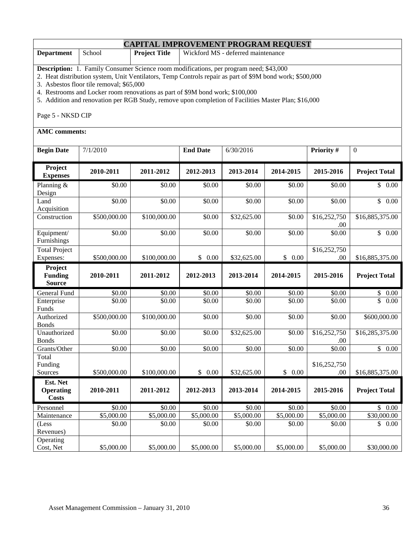| <b>Department</b>                 | School                                                                                                                                                                                             | <b>Project Title</b> |                 | Wickford MS - deferred maintenance |           |                      |                      |  |  |  |  |  |
|-----------------------------------|----------------------------------------------------------------------------------------------------------------------------------------------------------------------------------------------------|----------------------|-----------------|------------------------------------|-----------|----------------------|----------------------|--|--|--|--|--|
|                                   | Description: 1. Family Consumer Science room modifications, per program need; \$43,000<br>2. Heat distribution system, Unit Ventilators, Temp Controls repair as part of \$9M bond work; \$500,000 |                      |                 |                                    |           |                      |                      |  |  |  |  |  |
|                                   | 3. Asbestos floor tile removal; \$65,000                                                                                                                                                           |                      |                 |                                    |           |                      |                      |  |  |  |  |  |
|                                   | 4. Restrooms and Locker room renovations as part of \$9M bond work; \$100,000<br>5. Addition and renovation per RGB Study, remove upon completion of Facilities Master Plan; \$16,000              |                      |                 |                                    |           |                      |                      |  |  |  |  |  |
|                                   |                                                                                                                                                                                                    |                      |                 |                                    |           |                      |                      |  |  |  |  |  |
| Page 5 - NKSD CIP                 |                                                                                                                                                                                                    |                      |                 |                                    |           |                      |                      |  |  |  |  |  |
| <b>AMC</b> comments:              |                                                                                                                                                                                                    |                      |                 |                                    |           |                      |                      |  |  |  |  |  |
| <b>Begin Date</b>                 | 7/1/2010                                                                                                                                                                                           |                      | <b>End Date</b> | 6/30/2016                          |           | Priority #           | $\mathbf{0}$         |  |  |  |  |  |
| Project<br><b>Expenses</b>        | 2010-2011                                                                                                                                                                                          | 2011-2012            | 2012-2013       | 2013-2014                          | 2014-2015 | 2015-2016            | <b>Project Total</b> |  |  |  |  |  |
| Planning $&$<br>Design            | \$0.00                                                                                                                                                                                             | \$0.00               | \$0.00          | \$0.00                             | \$0.00    | \$0.00               | \$0.00               |  |  |  |  |  |
| Land<br>Acquisition               | \$0.00                                                                                                                                                                                             | \$0.00               | \$0.00          | \$0.00                             | \$0.00    | \$0.00               | \$0.00               |  |  |  |  |  |
| Construction                      | \$500,000.00                                                                                                                                                                                       | \$100,000.00         | \$0.00          | \$32,625.00                        | \$0.00    | \$16,252,750<br>.00. | \$16,885,375.00      |  |  |  |  |  |
| Equipment/<br>Furnishings         | \$0.00                                                                                                                                                                                             | \$0.00               | \$0.00          | \$0.00                             | \$0.00    | \$0.00               | \$0.00               |  |  |  |  |  |
| <b>Total Project</b><br>Expenses: | \$500,000.00                                                                                                                                                                                       | \$100,000.00         | \$0.00          | \$32,625.00                        | \$0.00    | \$16,252,750<br>.00  | \$16,885,375.00      |  |  |  |  |  |
| Project                           |                                                                                                                                                                                                    |                      |                 |                                    |           |                      |                      |  |  |  |  |  |
| <b>Funding</b>                    | 2010-2011                                                                                                                                                                                          | 2011-2012            | 2012-2013       | 2013-2014                          | 2014-2015 | 2015-2016            | <b>Project Total</b> |  |  |  |  |  |
| <b>Source</b>                     |                                                                                                                                                                                                    |                      |                 |                                    |           |                      |                      |  |  |  |  |  |
| General Fund                      | \$0.00                                                                                                                                                                                             | \$0.00               | \$0.00          | \$0.00                             | \$0.00    | \$0.00               | \$<br>$0.00\,$       |  |  |  |  |  |
| Enterprise<br>Funds               | \$0.00                                                                                                                                                                                             | \$0.00               | \$0.00          | \$0.00                             | \$0.00    | \$0.00               | $\mathbb{S}$<br>0.00 |  |  |  |  |  |
| Authorized<br><b>Bonds</b>        | \$500,000.00                                                                                                                                                                                       | \$100,000.00         | \$0.00          | \$0.00                             | \$0.00    | \$0.00               | \$600,000.00         |  |  |  |  |  |
| Unauthorized                      | $\overline{$}0.00$                                                                                                                                                                                 | \$0.00               | \$0.00          | \$32,625.00                        | \$0.00    | \$16,252,750         | \$16,285,375.00      |  |  |  |  |  |
| <b>Bonds</b><br>Grants/Other      | \$0.00                                                                                                                                                                                             | \$0.00               | \$0.00          | \$0.00                             | \$0.00    | .00.<br>\$0.00       | \$0.00               |  |  |  |  |  |
| Total                             |                                                                                                                                                                                                    |                      |                 |                                    |           |                      |                      |  |  |  |  |  |
| Funding                           |                                                                                                                                                                                                    |                      |                 |                                    |           | \$16,252,750         |                      |  |  |  |  |  |
| Sources                           | \$500,000.00                                                                                                                                                                                       | \$100,000.00         | \$0.00          | \$32,625.00                        | \$0.00    | .00                  | \$16,885,375.00      |  |  |  |  |  |
| Est. Net                          |                                                                                                                                                                                                    |                      |                 |                                    |           |                      |                      |  |  |  |  |  |
| <b>Operating</b><br><b>Costs</b>  | 2010-2011                                                                                                                                                                                          | 2011-2012            | 2012-2013       | 2013-2014                          | 2014-2015 | 2015-2016            | <b>Project Total</b> |  |  |  |  |  |
| Personnel                         | \$0.00                                                                                                                                                                                             | \$0.00               | \$0.00          | $\overline{$}0.00$                 | \$0.00    | \$0.00               | \$0.00               |  |  |  |  |  |

Maintenance | \$5,000.00 | \$5,000.00 | \$5,000.00 \$5,000.00 \$5,000.00 \$5,000.00 \$30,000.00

Cost, Net  $$5,000.00 \, | \quad $5,000.00 \, | \quad $5,000.00 \, | \quad $5,000.00 \, | \quad $5,000.00 \, | \quad $5,000.00 \, | \quad $5,000.00 \, | \quad $30,000.00 \, | \quad $30,000.00 \, | \quad $30,000.00 \, | \quad $30,000.00 \, | \quad $30,000.00 \, | \quad $30,000.00 \, | \quad $30,000.00 \, | \quad $30,000.$ 

 $$0.00$   $$0.00$   $$0.00$   $$0.00$   $$0.00$   $$0.00$   $$0.00$   $$0.00$ 

**CAPITAL IMPROVEMENT PROGRAM REQUEST**

(Less Revenues)

Operating<br>Cost, Net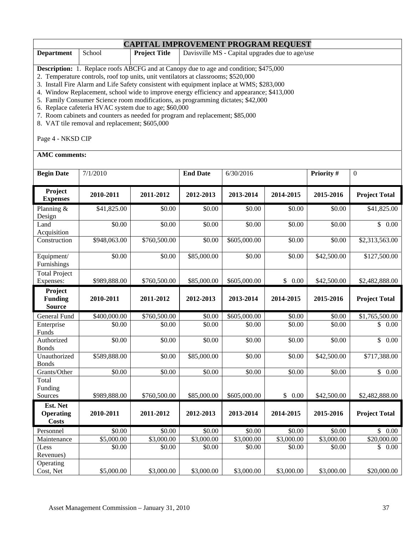#### **CAPITAL IMPROVEMENT PROGRAM REQUEST Department** School **Project Title** Davisville MS - Capital upgrades due to age/use **Description:** 1. Replace roofs ABCFG and at Canopy due to age and condition; \$475,000

2. Temperature controls, roof top units, unit ventilators at classrooms; \$520,000

3. Install Fire Alarm and Life Safety consistent with equipment inplace at WMS; \$283,000

4. Window Replacement, school wide to improve energy efficiency and appearance; \$413,000

5. Family Consumer Science room modifications, as programming dictates; \$42,000

6. Replace cafeteria HVAC system due to age; \$60,000

7. Room cabinets and counters as needed for program and replacement; \$85,000

8. VAT tile removal and replacement; \$605,000

Page 4 - NKSD CIP

**AMC comments:** 

| <b>Begin Date</b>                            | 7/1/2010     |                    | <b>End Date</b> | 6/30/2016    |                        | Priority #  | $\overline{0}$       |
|----------------------------------------------|--------------|--------------------|-----------------|--------------|------------------------|-------------|----------------------|
| Project<br><b>Expenses</b>                   | 2010-2011    | 2011-2012          | 2012-2013       | 2013-2014    | 2014-2015              | 2015-2016   | <b>Project Total</b> |
| Planning &<br>Design                         | \$41,825.00  | \$0.00             | \$0.00          | \$0.00       | \$0.00                 | \$0.00      | \$41,825.00          |
| Land<br>Acquisition                          | \$0.00       | \$0.00             | \$0.00          | \$0.00       | \$0.00                 | \$0.00      | \$0.00               |
| Construction                                 | \$948,063.00 | \$760,500.00       | \$0.00          | \$605,000.00 | \$0.00                 | \$0.00      | \$2,313,563.00       |
| Equipment/<br>Furnishings                    | \$0.00       | \$0.00             | \$85,000.00     | \$0.00       | \$0.00                 | \$42,500.00 | \$127,500.00         |
| <b>Total Project</b><br>Expenses:            | \$989,888.00 | \$760,500.00       | \$85,000.00     | \$605,000.00 | \$0.00                 | \$42,500.00 | \$2,482,888.00       |
| Project<br><b>Funding</b><br><b>Source</b>   | 2010-2011    | 2011-2012          | 2012-2013       | 2013-2014    | 2014-2015              | 2015-2016   | <b>Project Total</b> |
| <b>General Fund</b>                          | \$400,000.00 | \$760,500.00       | \$0.00          | \$605,000.00 | \$0.00                 | \$0.00      | \$1,765,500.00       |
| Enterprise<br>Funds                          | \$0.00       | \$0.00             | \$0.00          | \$0.00       | \$0.00                 | \$0.00      | \$<br>0.00           |
| Authorized<br><b>Bonds</b>                   | \$0.00       | \$0.00             | \$0.00          | \$0.00       | \$0.00                 | \$0.00      | \$<br>0.00           |
| Unauthorized<br><b>Bonds</b>                 | \$589,888.00 | \$0.00             | \$85,000.00     | \$0.00       | \$0.00                 | \$42,500.00 | \$717,388.00         |
| Grants/Other                                 | \$0.00       | $\overline{$}0.00$ | \$0.00          | \$0.00       | \$0.00                 | \$0.00      | $\overline{\$}$ 0.00 |
| Total<br>Funding                             |              |                    |                 |              |                        |             |                      |
| Sources                                      | \$989,888.00 | \$760,500.00       | \$85,000.00     | \$605,000.00 | \$0.00                 | \$42,500.00 | \$2,482,888.00       |
| Est. Net<br><b>Operating</b><br><b>Costs</b> | 2010-2011    | 2011-2012          | 2012-2013       | 2013-2014    | 2014-2015              | 2015-2016   | <b>Project Total</b> |
| Personnel                                    | \$0.00       | \$0.00             | \$0.00          | \$0.00       | \$0.00                 | \$0.00      | \$0.00               |
| Maintenance                                  | \$5,000.00   | \$3,000.00         | \$3,000.00      | \$3,000.00   | $\overline{$3,000.00}$ | \$3,000.00  | \$20,000.00          |
| (Less<br>Revenues)                           | \$0.00       | \$0.00             | \$0.00          | \$0.00       | \$0.00                 | \$0.00      | \$<br>0.00           |
| Operating<br>Cost, Net                       | \$5,000.00   | \$3,000.00         | \$3,000.00      | \$3,000.00   | \$3,000.00             | \$3,000.00  | \$20,000.00          |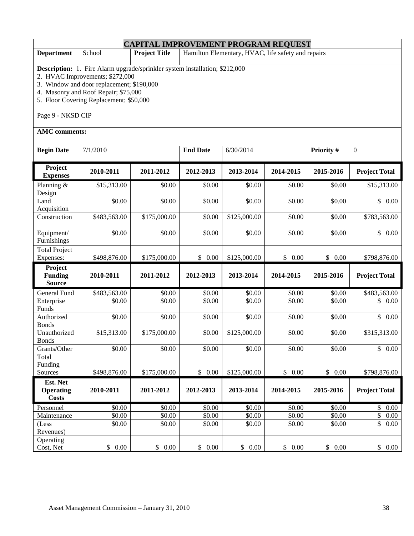| <b>CAPITAL IMPROVEMENT PROGRAM REQUEST</b>                                                                                                                                                                                                                                 |                                                                                      |              |                 |              |           |                                |                                  |  |  |
|----------------------------------------------------------------------------------------------------------------------------------------------------------------------------------------------------------------------------------------------------------------------------|--------------------------------------------------------------------------------------|--------------|-----------------|--------------|-----------|--------------------------------|----------------------------------|--|--|
| <b>Department</b>                                                                                                                                                                                                                                                          | Hamilton Elementary, HVAC, life safety and repairs<br>School<br><b>Project Title</b> |              |                 |              |           |                                |                                  |  |  |
| <b>Description:</b> 1. Fire Alarm upgrade/sprinkler system installation; \$212,000<br>2. HVAC Improvements; \$272,000<br>3. Window and door replacement; \$190,000<br>4. Masonry and Roof Repair; \$75,000<br>5. Floor Covering Replacement; \$50,000<br>Page 9 - NKSD CIP |                                                                                      |              |                 |              |           |                                |                                  |  |  |
| <b>AMC</b> comments:                                                                                                                                                                                                                                                       |                                                                                      |              |                 |              |           |                                |                                  |  |  |
| <b>Begin Date</b>                                                                                                                                                                                                                                                          | 7/1/2010                                                                             |              | <b>End Date</b> | 6/30/2014    |           | Priority #<br>$\boldsymbol{0}$ |                                  |  |  |
| Project<br><b>Expenses</b>                                                                                                                                                                                                                                                 | 2010-2011<br>2011-2012                                                               |              | 2012-2013       | 2013-2014    | 2014-2015 | 2015-2016                      | <b>Project Total</b>             |  |  |
| Planning $&$<br>Design                                                                                                                                                                                                                                                     | \$15,313.00                                                                          | \$0.00       | \$0.00          | \$0.00       | \$0.00    | \$0.00                         | \$15,313.00                      |  |  |
| Land<br>Acquisition                                                                                                                                                                                                                                                        | \$0.00                                                                               | \$0.00       | \$0.00          | \$0.00       | \$0.00    | \$0.00                         | $\mathbb{S}$<br>0.00             |  |  |
| Construction                                                                                                                                                                                                                                                               | \$483,563.00                                                                         | \$175,000.00 | \$0.00          | \$125,000.00 | \$0.00    | \$0.00                         | \$783,563.00                     |  |  |
| Equipment/<br>Furnishings                                                                                                                                                                                                                                                  | \$0.00                                                                               | \$0.00       | \$0.00          | \$0.00       | \$0.00    | \$0.00                         | $\mathbb{S}$<br>$0.00\,$         |  |  |
| <b>Total Project</b><br>Expenses:                                                                                                                                                                                                                                          | \$498,876.00                                                                         | \$175,000.00 | \$0.00          | \$125,000.00 | \$0.00    | \$0.00                         | \$798,876.00                     |  |  |
| Project<br><b>Funding</b><br><b>Source</b>                                                                                                                                                                                                                                 | 2010-2011                                                                            | 2011-2012    | 2012-2013       | 2013-2014    | 2014-2015 | 2015-2016                      | <b>Project Total</b>             |  |  |
| General Fund                                                                                                                                                                                                                                                               | \$483,563.00                                                                         | \$0.00       | \$0.00          | \$0.00       | \$0.00    | \$0.00                         | \$483,563.00                     |  |  |
| Enterprise<br>Funds                                                                                                                                                                                                                                                        | \$0.00                                                                               | \$0.00       | \$0.00          | \$0.00       | \$0.00    | \$0.00                         | \$<br>0.00                       |  |  |
| Authorized<br><b>Bonds</b>                                                                                                                                                                                                                                                 | \$0.00                                                                               | \$0.00       | \$0.00          | \$0.00       | \$0.00    | \$0.00                         | $\mathbb{S}$<br>0.00             |  |  |
| Unauthorized<br><b>Bonds</b>                                                                                                                                                                                                                                               | \$15,313.00                                                                          | \$175,000.00 | \$0.00          | \$125,000.00 | \$0.00    | \$0.00                         | \$315,313.00                     |  |  |
| Grants/Other                                                                                                                                                                                                                                                               | \$0.00                                                                               | \$0.00       | \$0.00          | \$0.00       | \$0.00    | \$0.00                         | $\overline{\$}$ 0.00             |  |  |
| Total<br>Funding<br>Sources                                                                                                                                                                                                                                                | \$498,876.00                                                                         | \$175,000.00 | \$0.00          | \$125,000.00 | \$0.00    | \$0.00                         | \$798,876.00                     |  |  |
| Est. Net<br><b>Operating</b><br><b>Costs</b>                                                                                                                                                                                                                               | 2010-2011                                                                            | 2011-2012    | 2012-2013       | 2013-2014    | 2014-2015 | 2015-2016                      | <b>Project Total</b>             |  |  |
| Personnel                                                                                                                                                                                                                                                                  | \$0.00                                                                               | \$0.00       | \$0.00          | \$0.00       | \$0.00    | \$0.00                         | \$<br>$0.00\,$                   |  |  |
| Maintenance                                                                                                                                                                                                                                                                | \$0.00                                                                               | \$0.00       | \$0.00          | \$0.00       | \$0.00    | \$0.00                         | $\sqrt{\frac{2}{n}}$<br>$0.00\,$ |  |  |
| (Less<br>Revenues)                                                                                                                                                                                                                                                         | \$0.00                                                                               | \$0.00       | \$0.00          | \$0.00       | \$0.00    | \$0.00                         | \$<br>$0.00\,$                   |  |  |
| Operating<br>Cost, Net                                                                                                                                                                                                                                                     | \$0.00                                                                               | \$0.00       | \$0.00          | \$0.00       | \$0.00    | \$0.00                         | \$0.00                           |  |  |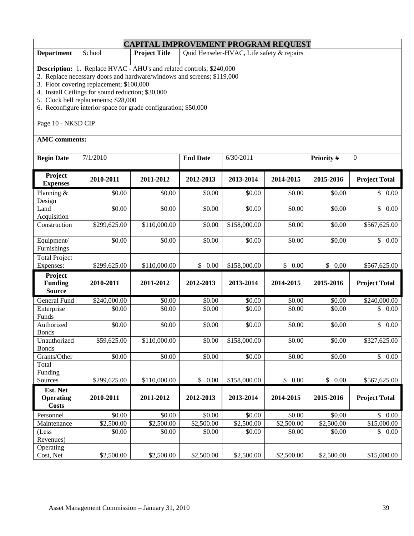| <b>CAPITAL IMPROVEMENT PROGRAM REQUEST</b>                                                                                                                                                                                                                                                                                                                                                                      |                                                                                                    |                                                                   |                    |              |            |            |                      |  |  |
|-----------------------------------------------------------------------------------------------------------------------------------------------------------------------------------------------------------------------------------------------------------------------------------------------------------------------------------------------------------------------------------------------------------------|----------------------------------------------------------------------------------------------------|-------------------------------------------------------------------|--------------------|--------------|------------|------------|----------------------|--|--|
| <b>Department</b>                                                                                                                                                                                                                                                                                                                                                                                               | School                                                                                             | Quid Henseler-HVAC, Life safety & repairs<br><b>Project Title</b> |                    |              |            |            |                      |  |  |
| <b>Description:</b> 1. Replace HVAC - AHU's and related controls; \$240,000<br>2. Replace necessary doors and hardware/windows and screens; \$119,000<br>3. Floor covering replacement; \$100,000<br>4. Install Ceilings for sound reduction; \$30,000<br>5. Clock bell replacements; \$28,000<br>6. Reconfigure interior space for grade configuration; \$50,000<br>Page 10 - NKSD CIP<br><b>AMC</b> comments: |                                                                                                    |                                                                   |                    |              |            |            |                      |  |  |
| <b>Begin Date</b>                                                                                                                                                                                                                                                                                                                                                                                               | 7/1/2010                                                                                           |                                                                   | <b>End Date</b>    | 6/30/2011    |            | Priority # | $\boldsymbol{0}$     |  |  |
| Project<br><b>Expenses</b>                                                                                                                                                                                                                                                                                                                                                                                      | 2010-2011                                                                                          | 2011-2012                                                         | 2012-2013          | 2013-2014    | 2014-2015  | 2015-2016  | <b>Project Total</b> |  |  |
| Planning $&$<br>Design                                                                                                                                                                                                                                                                                                                                                                                          | \$0.00                                                                                             | \$0.00                                                            | \$0.00             | \$0.00       | \$0.00     | \$0.00     | \$0.00               |  |  |
| Land<br>Acquisition                                                                                                                                                                                                                                                                                                                                                                                             | \$0.00                                                                                             | \$0.00                                                            | \$0.00             | \$0.00       | \$0.00     | \$0.00     | $\mathbb{S}$<br>0.00 |  |  |
| Construction                                                                                                                                                                                                                                                                                                                                                                                                    | \$299,625.00                                                                                       | \$110,000.00                                                      | \$0.00             | \$158,000.00 | \$0.00     | \$0.00     | \$567,625.00         |  |  |
| Equipment/<br>Furnishings                                                                                                                                                                                                                                                                                                                                                                                       | \$0.00                                                                                             | \$0.00                                                            | \$0.00             | \$0.00       | \$0.00     | \$0.00     | $\overline{\$}$ 0.00 |  |  |
| <b>Total Project</b><br>Expenses:                                                                                                                                                                                                                                                                                                                                                                               | \$299,625.00                                                                                       | \$110,000.00                                                      | \$0.00             | \$158,000.00 | \$0.00     | \$0.00     | \$567,625.00         |  |  |
| Project<br><b>Funding</b><br><b>Source</b>                                                                                                                                                                                                                                                                                                                                                                      | 2010-2011<br>2011-2012<br>2012-2013<br>2013-2014<br>2014-2015<br>2015-2016<br><b>Project Total</b> |                                                                   |                    |              |            |            |                      |  |  |
| General Fund                                                                                                                                                                                                                                                                                                                                                                                                    | \$240,000.00                                                                                       | \$0.00                                                            | \$0.00             | \$0.00       | \$0.00     | \$0.00     | \$240,000.00         |  |  |
| Enterprise<br>Funds                                                                                                                                                                                                                                                                                                                                                                                             | \$0.00                                                                                             | \$0.00                                                            | \$0.00             | \$0.00       | \$0.00     | \$0.00     | \$<br>0.00           |  |  |
| Authorized<br><b>Bonds</b>                                                                                                                                                                                                                                                                                                                                                                                      | \$0.00                                                                                             | \$0.00                                                            | \$0.00             | \$0.00       | \$0.00     | \$0.00     | $\mathbb{S}$<br>0.00 |  |  |
| Unauthorized<br><b>Bonds</b>                                                                                                                                                                                                                                                                                                                                                                                    | \$59,625.00                                                                                        | \$110,000.00                                                      | \$0.00             | \$158,000.00 | \$0.00     | \$0.00     | \$327,625.00         |  |  |
| Grants/Other                                                                                                                                                                                                                                                                                                                                                                                                    | \$0.00                                                                                             | \$0.00                                                            | $\overline{$}0.00$ | \$0.00       | \$0.00     | \$0.00     | $\overline{\$}$ 0.00 |  |  |
| Total<br>Funding<br>Sources                                                                                                                                                                                                                                                                                                                                                                                     | \$299,625.00                                                                                       | \$110,000.00                                                      | \$0.00             | \$158,000.00 | \$0.00     | \$0.00     | \$567,625.00         |  |  |
| Est. Net<br><b>Operating</b><br><b>Costs</b>                                                                                                                                                                                                                                                                                                                                                                    | 2010-2011                                                                                          | 2011-2012                                                         | 2012-2013          | 2013-2014    | 2014-2015  | 2015-2016  | <b>Project Total</b> |  |  |
| Personnel                                                                                                                                                                                                                                                                                                                                                                                                       | \$0.00                                                                                             | \$0.00                                                            | \$0.00             | \$0.00       | \$0.00     | \$0.00     | \$0.00               |  |  |
| Maintenance                                                                                                                                                                                                                                                                                                                                                                                                     | \$2,500.00                                                                                         | \$2,500.00                                                        | \$2,500.00         | \$2,500.00   | \$2,500.00 | \$2,500.00 | \$15,000.00          |  |  |
| (Less<br>Revenues)                                                                                                                                                                                                                                                                                                                                                                                              | \$0.00<br>\$0.00<br>\$0.00<br>\$0.00<br>\$0.00<br>\$0.00<br>\$0.00                                 |                                                                   |                    |              |            |            |                      |  |  |
| Operating<br>Cost, Net                                                                                                                                                                                                                                                                                                                                                                                          | \$2,500.00                                                                                         | \$2,500.00                                                        | \$2,500.00         | \$2,500.00   | \$2,500.00 | \$2,500.00 | \$15,000.00          |  |  |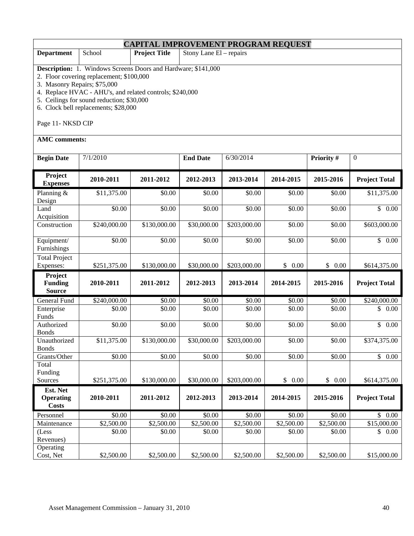| <b>CAPITAL IMPROVEMENT PROGRAM REQUEST</b>                                                                                                                                                                                                                                                                                              |                        |                        |                           |              |            |                        |                      |  |  |  |
|-----------------------------------------------------------------------------------------------------------------------------------------------------------------------------------------------------------------------------------------------------------------------------------------------------------------------------------------|------------------------|------------------------|---------------------------|--------------|------------|------------------------|----------------------|--|--|--|
| <b>Department</b>                                                                                                                                                                                                                                                                                                                       | School                 | <b>Project Title</b>   | Stony Lane $El$ – repairs |              |            |                        |                      |  |  |  |
| Description: 1. Windows Screens Doors and Hardware; \$141,000<br>2. Floor covering replacement; \$100,000<br>3. Masonry Repairs; \$75,000<br>4. Replace HVAC - AHU's, and related controls; \$240,000<br>5. Ceilings for sound reduction; \$30,000<br>6. Clock bell replacements; \$28,000<br>Page 11- NKSD CIP<br><b>AMC</b> comments: |                        |                        |                           |              |            |                        |                      |  |  |  |
| <b>Begin Date</b>                                                                                                                                                                                                                                                                                                                       | 7/1/2010               |                        | <b>End Date</b>           | 6/30/2014    |            | Priority #             | $\boldsymbol{0}$     |  |  |  |
| Project<br><b>Expenses</b>                                                                                                                                                                                                                                                                                                              | 2010-2011              | 2011-2012              |                           | 2013-2014    | 2014-2015  | 2015-2016              | <b>Project Total</b> |  |  |  |
| Planning &<br>Design                                                                                                                                                                                                                                                                                                                    | \$11,375.00            | \$0.00                 | \$0.00                    | \$0.00       | \$0.00     | \$0.00                 | \$11,375.00          |  |  |  |
| Land<br>Acquisition                                                                                                                                                                                                                                                                                                                     | \$0.00                 | \$0.00                 | \$0.00                    | \$0.00       | \$0.00     | \$0.00                 | $\overline{\$}$ 0.00 |  |  |  |
| Construction                                                                                                                                                                                                                                                                                                                            | \$240,000.00           | \$130,000.00           | \$30,000.00               | \$203,000.00 | \$0.00     | \$0.00                 | \$603,000.00         |  |  |  |
| Equipment/<br>Furnishings                                                                                                                                                                                                                                                                                                               | \$0.00                 | \$0.00                 | \$0.00                    | \$0.00       | \$0.00     | \$0.00                 | \$0.00               |  |  |  |
| <b>Total Project</b><br>Expenses:                                                                                                                                                                                                                                                                                                       | \$251,375.00           | \$130,000.00           | \$30,000.00               | \$203,000.00 | \$0.00     | \$0.00                 | \$614,375.00         |  |  |  |
| Project<br><b>Funding</b><br><b>Source</b>                                                                                                                                                                                                                                                                                              | 2010-2011              | 2011-2012              | 2012-2013                 | 2013-2014    | 2014-2015  | 2015-2016              | <b>Project Total</b> |  |  |  |
| General Fund                                                                                                                                                                                                                                                                                                                            | \$240,000.00           | \$0.00                 | \$0.00                    | \$0.00       | \$0.00     | \$0.00                 | \$240,000.00         |  |  |  |
| Enterprise<br>Funds                                                                                                                                                                                                                                                                                                                     | \$0.00                 | \$0.00                 | \$0.00                    | \$0.00       | \$0.00     | \$0.00                 | \$<br>0.00           |  |  |  |
| Authorized<br><b>Bonds</b>                                                                                                                                                                                                                                                                                                              | \$0.00                 | \$0.00                 | \$0.00                    | \$0.00       | \$0.00     | \$0.00                 | \$0.00               |  |  |  |
| Unauthorized<br><b>Bonds</b>                                                                                                                                                                                                                                                                                                            | \$11,375.00            | \$130,000.00           | \$30,000.00               | \$203,000.00 | \$0.00     | \$0.00                 | \$374,375.00         |  |  |  |
| Grants/Other                                                                                                                                                                                                                                                                                                                            | $\overline{50.00}$     | \$0.00                 | \$0.00                    | \$0.00       | \$0.00     | \$0.00                 | $\overline{$}$ 0.00  |  |  |  |
| Total<br>Funding<br>Sources                                                                                                                                                                                                                                                                                                             | \$251,375.00           | \$130,000.00           | \$30,000.00               | \$203,000.00 | \$0.00     | \$0.00                 | \$614,375.00         |  |  |  |
| Est. Net<br><b>Operating</b><br><b>Costs</b>                                                                                                                                                                                                                                                                                            | 2010-2011              | 2011-2012              | 2012-2013                 | 2013-2014    | 2014-2015  | 2015-2016              | <b>Project Total</b> |  |  |  |
| Personnel                                                                                                                                                                                                                                                                                                                               | \$0.00                 | \$0.00                 | \$0.00                    | \$0.00       | \$0.00     | \$0.00                 | \$0.00               |  |  |  |
| Maintenance                                                                                                                                                                                                                                                                                                                             | $\overline{$2,500.00}$ | $\overline{$2,500.00}$ | $\overline{$}2,500.00$    | \$2,500.00   | \$2,500.00 | $\overline{$}2,500.00$ | \$15,000.00          |  |  |  |
| (Less<br>Revenues)                                                                                                                                                                                                                                                                                                                      | \$0.00                 | \$0.00                 | \$0.00                    | \$0.00       | \$0.00     | \$0.00                 | \$0.00               |  |  |  |
| Operating<br>Cost, Net                                                                                                                                                                                                                                                                                                                  | \$2,500.00             | \$2,500.00             | \$2,500.00                | \$2,500.00   | \$2,500.00 | \$2,500.00             | \$15,000.00          |  |  |  |